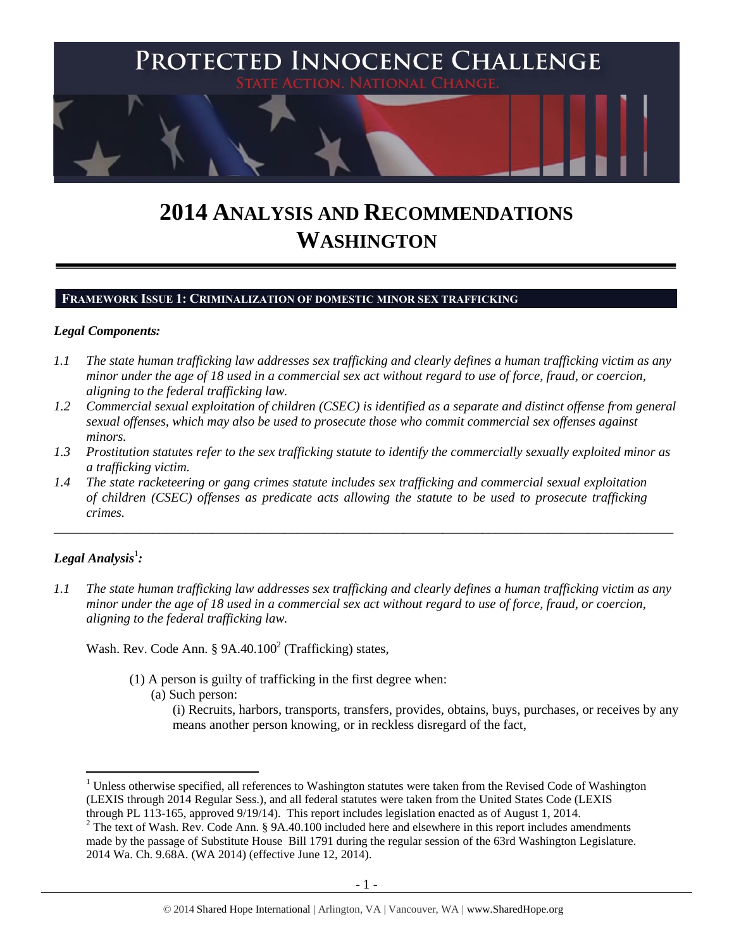

# **2014 ANALYSIS AND RECOMMENDATIONS WASHINGTON**

#### **FRAMEWORK ISSUE 1: CRIMINALIZATION OF DOMESTIC MINOR SEX TRAFFICKING**

#### *Legal Components:*

- *1.1 The state human trafficking law addresses sex trafficking and clearly defines a human trafficking victim as any minor under the age of 18 used in a commercial sex act without regard to use of force, fraud, or coercion, aligning to the federal trafficking law.*
- *1.2 Commercial sexual exploitation of children (CSEC) is identified as a separate and distinct offense from general sexual offenses, which may also be used to prosecute those who commit commercial sex offenses against minors.*
- *1.3 Prostitution statutes refer to the sex trafficking statute to identify the commercially sexually exploited minor as a trafficking victim.*

\_\_\_\_\_\_\_\_\_\_\_\_\_\_\_\_\_\_\_\_\_\_\_\_\_\_\_\_\_\_\_\_\_\_\_\_\_\_\_\_\_\_\_\_\_\_\_\_\_\_\_\_\_\_\_\_\_\_\_\_\_\_\_\_\_\_\_\_\_\_\_\_\_\_\_\_\_\_\_\_\_\_\_\_\_\_\_\_\_\_\_\_\_\_

*1.4 The state racketeering or gang crimes statute includes sex trafficking and commercial sexual exploitation of children (CSEC) offenses as predicate acts allowing the statute to be used to prosecute trafficking crimes.* 

# $\bm{L}$ egal Analysis $^1$ :

 $\overline{a}$ 

*1.1 The state human trafficking law addresses sex trafficking and clearly defines a human trafficking victim as any minor under the age of 18 used in a commercial sex act without regard to use of force, fraud, or coercion, aligning to the federal trafficking law.*

Wash. Rev. Code Ann. §  $9A.40.100<sup>2</sup>$  (Trafficking) states,

- <span id="page-0-0"></span>(1) A person is guilty of trafficking in the first degree when:
	- (a) Such person:
		- (i) Recruits, harbors, transports, transfers, provides, obtains, buys, purchases, or receives by any means another person knowing, or in reckless disregard of the fact,

<sup>&</sup>lt;sup>1</sup> Unless otherwise specified, all references to Washington statutes were taken from the Revised Code of Washington (LEXIS through 2014 Regular Sess.), and all federal statutes were taken from the United States Code (LEXIS

through PL 113-165, approved 9/19/14). This report includes legislation enacted as of August 1, 2014.

<sup>&</sup>lt;sup>2</sup> The text of Wash. Rev. Code Ann. § 9A.40.100 included here and elsewhere in this report includes amendments made by the passage of Substitute House Bill 1791 during the regular session of the 63rd Washington Legislature. 2014 Wa. Ch. 9.68A. (WA 2014) (effective June 12, 2014).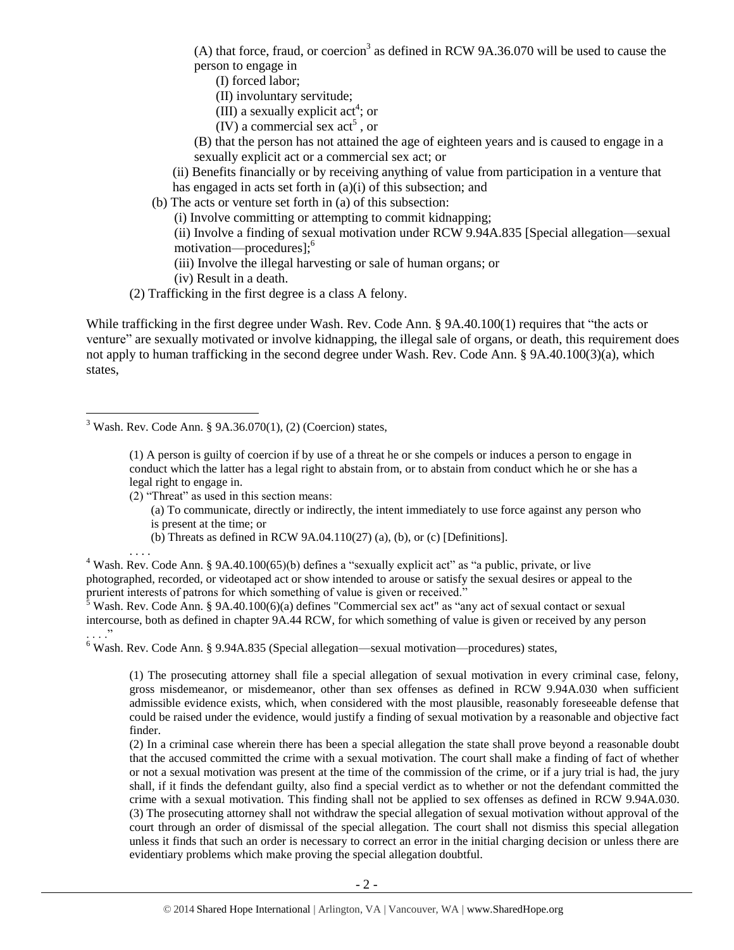(A) that force, fraud, or coercion<sup>3</sup> as defined in RCW 9A.36.070 will be used to cause the person to engage in

(I) forced labor;

(II) involuntary servitude;

<span id="page-1-0"></span>(III) a sexually explicit act<sup>4</sup>; or

- $(IV)$  a commercial sex act<sup>5</sup>, or
- (B) that the person has not attained the age of eighteen years and is caused to engage in a sexually explicit act or a commercial sex act; or

(ii) Benefits financially or by receiving anything of value from participation in a venture that has engaged in acts set forth in (a)(i) of this subsection; and

(b) The acts or venture set forth in (a) of this subsection:

(i) Involve committing or attempting to commit kidnapping;

(ii) Involve a finding of sexual motivation under RCW 9.94A.835 [Special allegation—sexual motivation—procedures];<sup>6</sup>

(iii) Involve the illegal harvesting or sale of human organs; or

(iv) Result in a death.

(2) Trafficking in the first degree is a class A felony.

While trafficking in the first degree under Wash. Rev. Code Ann. § 9A.40.100(1) requires that "the acts or venture" are sexually motivated or involve kidnapping, the illegal sale of organs, or death, this requirement does not apply to human trafficking in the second degree under Wash. Rev. Code Ann. § 9A.40.100(3)(a), which states,

 $3$  Wash. Rev. Code Ann. § 9A.36.070(1), (2) (Coercion) states,

 $\overline{a}$ 

(1) A person is guilty of coercion if by use of a threat he or she compels or induces a person to engage in conduct which the latter has a legal right to abstain from, or to abstain from conduct which he or she has a legal right to engage in.

(2) "Threat" as used in this section means: (a) To communicate, directly or indirectly, the intent immediately to use force against any person who is present at the time; or

(b) Threats as defined in RCW 9A.04.110(27) (a), (b), or (c) [Definitions].

. . . . <sup>4</sup> Wash. Rev. Code Ann. § 9A.40.100(65)(b) defines a "sexually explicit act" as "a public, private, or live photographed, recorded, or videotaped act or show intended to arouse or satisfy the sexual desires or appeal to the prurient interests of patrons for which something of value is given or received."

 $5$  Wash. Rev. Code Ann. § 9A.40.100(6)(a) defines "Commercial sex act" as "any act of sexual contact or sexual intercourse, both as defined in chapter 9A.44 RCW, for which something of value is given or received by any person . . . ."

<sup>6</sup> Wash. Rev. Code Ann. § 9.94A.835 (Special allegation—sexual motivation—procedures) states,

(1) The prosecuting attorney shall file a special allegation of sexual motivation in every criminal case, felony, gross misdemeanor, or misdemeanor, other than sex offenses as defined in RCW 9.94A.030 when sufficient admissible evidence exists, which, when considered with the most plausible, reasonably foreseeable defense that could be raised under the evidence, would justify a finding of sexual motivation by a reasonable and objective fact finder.

(2) In a criminal case wherein there has been a special allegation the state shall prove beyond a reasonable doubt that the accused committed the crime with a sexual motivation. The court shall make a finding of fact of whether or not a sexual motivation was present at the time of the commission of the crime, or if a jury trial is had, the jury shall, if it finds the defendant guilty, also find a special verdict as to whether or not the defendant committed the crime with a sexual motivation. This finding shall not be applied to sex offenses as defined in RCW 9.94A.030. (3) The prosecuting attorney shall not withdraw the special allegation of sexual motivation without approval of the court through an order of dismissal of the special allegation. The court shall not dismiss this special allegation unless it finds that such an order is necessary to correct an error in the initial charging decision or unless there are evidentiary problems which make proving the special allegation doubtful.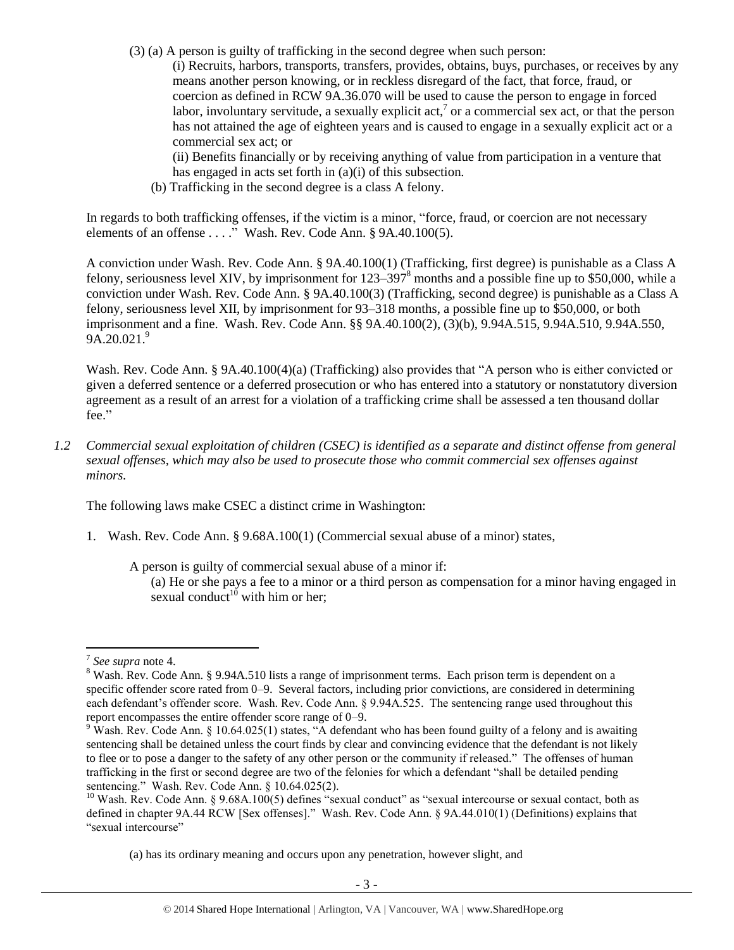(3) (a) A person is guilty of trafficking in the second degree when such person:

(i) Recruits, harbors, transports, transfers, provides, obtains, buys, purchases, or receives by any means another person knowing, or in reckless disregard of the fact, that force, fraud, or coercion as defined in RCW 9A.36.070 will be used to cause the person to engage in forced labor, involuntary servitude, a sexually explicit act,  $\alpha$  or a commercial sex act, or that the person has not attained the age of eighteen years and is caused to engage in a sexually explicit act or a commercial sex act; or

(ii) Benefits financially or by receiving anything of value from participation in a venture that has engaged in acts set forth in (a)(i) of this subsection.

(b) Trafficking in the second degree is a class A felony.

In regards to both trafficking offenses, if the victim is a minor, "force, fraud, or coercion are not necessary elements of an offense . . . ." Wash. Rev. Code Ann. § 9A.40.100(5).

A conviction under Wash. Rev. Code Ann. § 9A.40.100(1) (Trafficking, first degree) is punishable as a Class A felony, seriousness level XIV, by imprisonment for 123–397<sup>8</sup> months and a possible fine up to \$50,000, while a conviction under Wash. Rev. Code Ann. § 9A.40.100(3) (Trafficking, second degree) is punishable as a Class A felony, seriousness level XII, by imprisonment for 93–318 months, a possible fine up to \$50,000, or both imprisonment and a fine. Wash. Rev. Code Ann. §§ 9A.40.100(2), (3)(b), 9.94A.515, 9.94A.510, 9.94A.550,  $9A.20.021.<sup>9</sup>$ 

Wash. Rev. Code Ann. § 9A.40.100(4)(a) (Trafficking) also provides that "A person who is either convicted or given a deferred sentence or a deferred prosecution or who has entered into a statutory or nonstatutory diversion agreement as a result of an arrest for a violation of a trafficking crime shall be assessed a ten thousand dollar fee."

*1.2 Commercial sexual exploitation of children (CSEC) is identified as a separate and distinct offense from general sexual offenses, which may also be used to prosecute those who commit commercial sex offenses against minors.*

The following laws make CSEC a distinct crime in Washington:

1. Wash. Rev. Code Ann. § 9.68A.100(1) (Commercial sexual abuse of a minor) states,

A person is guilty of commercial sexual abuse of a minor if:

<span id="page-2-0"></span>(a) He or she pays a fee to a minor or a third person as compensation for a minor having engaged in sexual conduct<sup>10</sup> with him or her;

<sup>7</sup> *See supra* note [4.](#page-1-0)

<sup>&</sup>lt;sup>8</sup> Wash. Rev. Code Ann. § 9.94A.510 lists a range of imprisonment terms. Each prison term is dependent on a specific offender score rated from 0–9. Several factors, including prior convictions, are considered in determining each defendant's offender score. Wash. Rev. Code Ann. § 9.94A.525. The sentencing range used throughout this report encompasses the entire offender score range of 0–9.

<sup>&</sup>lt;sup>9</sup> Wash. Rev. Code Ann. § 10.64.025(1) states, "A defendant who has been found guilty of a felony and is awaiting sentencing shall be detained unless the court finds by clear and convincing evidence that the defendant is not likely to flee or to pose a danger to the safety of any other person or the community if released." The offenses of human trafficking in the first or second degree are two of the felonies for which a defendant "shall be detailed pending sentencing." Wash. Rev. Code Ann. § 10.64.025(2).

 $10$  Wash. Rev. Code Ann. § 9.68A.100(5) defines "sexual conduct" as "sexual intercourse or sexual contact, both as defined in chapter 9A.44 RCW [Sex offenses]." Wash. Rev. Code Ann. § 9A.44.010(1) (Definitions) explains that "sexual intercourse"

<sup>(</sup>a) has its ordinary meaning and occurs upon any penetration, however slight, and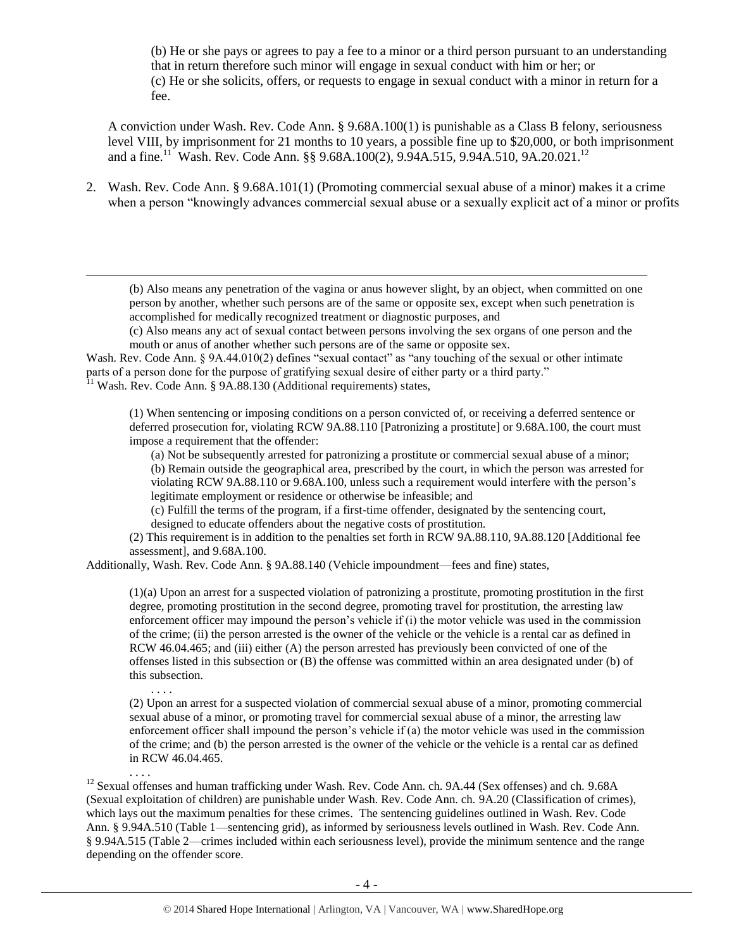(b) He or she pays or agrees to pay a fee to a minor or a third person pursuant to an understanding that in return therefore such minor will engage in sexual conduct with him or her; or (c) He or she solicits, offers, or requests to engage in sexual conduct with a minor in return for a fee.

<span id="page-3-0"></span>A conviction under Wash. Rev. Code Ann. § 9.68A.100(1) is punishable as a Class B felony, seriousness level VIII, by imprisonment for 21 months to 10 years, a possible fine up to \$20,000, or both imprisonment and a fine.<sup>11</sup> Wash. Rev. Code Ann. §§ 9.68A.100(2), 9.94A.515, 9.94A.510, 9A.20.021.<sup>12</sup>

2. Wash. Rev. Code Ann. § 9.68A.101(1) (Promoting commercial sexual abuse of a minor) makes it a crime when a person "knowingly advances commercial sexual abuse or a sexually explicit act of a minor or profits

(b) Also means any penetration of the vagina or anus however slight, by an object, when committed on one person by another, whether such persons are of the same or opposite sex, except when such penetration is accomplished for medically recognized treatment or diagnostic purposes, and

(c) Also means any act of sexual contact between persons involving the sex organs of one person and the mouth or anus of another whether such persons are of the same or opposite sex.

Wash. Rev. Code Ann. § 9A.44.010(2) defines "sexual contact" as "any touching of the sexual or other intimate parts of a person done for the purpose of gratifying sexual desire of either party or a third party."  $11$  Wash. Rev. Code Ann. § 9A.88.130 (Additional requirements) states,

 $\overline{a}$ 

. . . .

. . . .

(1) When sentencing or imposing conditions on a person convicted of, or receiving a deferred sentence or deferred prosecution for, violating RCW 9A.88.110 [Patronizing a prostitute] or 9.68A.100, the court must impose a requirement that the offender:

(a) Not be subsequently arrested for patronizing a prostitute or commercial sexual abuse of a minor; (b) Remain outside the geographical area, prescribed by the court, in which the person was arrested for violating RCW 9A.88.110 or 9.68A.100, unless such a requirement would interfere with the person's legitimate employment or residence or otherwise be infeasible; and

(c) Fulfill the terms of the program, if a first-time offender, designated by the sentencing court, designed to educate offenders about the negative costs of prostitution.

(2) This requirement is in addition to the penalties set forth in RCW 9A.88.110, 9A.88.120 [Additional fee assessment], and 9.68A.100.

Additionally, Wash. Rev. Code Ann. § 9A.88.140 (Vehicle impoundment—fees and fine) states,

(1)(a) Upon an arrest for a suspected violation of patronizing a prostitute, promoting prostitution in the first degree, promoting prostitution in the second degree, promoting travel for prostitution, the arresting law enforcement officer may impound the person's vehicle if (i) the motor vehicle was used in the commission of the crime; (ii) the person arrested is the owner of the vehicle or the vehicle is a rental car as defined in RCW 46.04.465; and (iii) either (A) the person arrested has previously been convicted of one of the offenses listed in this subsection or (B) the offense was committed within an area designated under (b) of this subsection.

(2) Upon an arrest for a suspected violation of commercial sexual abuse of a minor, promoting commercial sexual abuse of a minor, or promoting travel for commercial sexual abuse of a minor, the arresting law enforcement officer shall impound the person's vehicle if (a) the motor vehicle was used in the commission of the crime; and (b) the person arrested is the owner of the vehicle or the vehicle is a rental car as defined in RCW 46.04.465.

<sup>12</sup> Sexual offenses and human trafficking under Wash. Rev. Code Ann. ch. 9A.44 (Sex offenses) and ch. 9.68A (Sexual exploitation of children) are punishable under Wash. Rev. Code Ann. ch. 9A.20 (Classification of crimes), which lays out the maximum penalties for these crimes. The sentencing guidelines outlined in Wash. Rev. Code Ann. § 9.94A.510 (Table 1—sentencing grid), as informed by seriousness levels outlined in Wash. Rev. Code Ann. § 9.94A.515 (Table 2—crimes included within each seriousness level), provide the minimum sentence and the range depending on the offender score.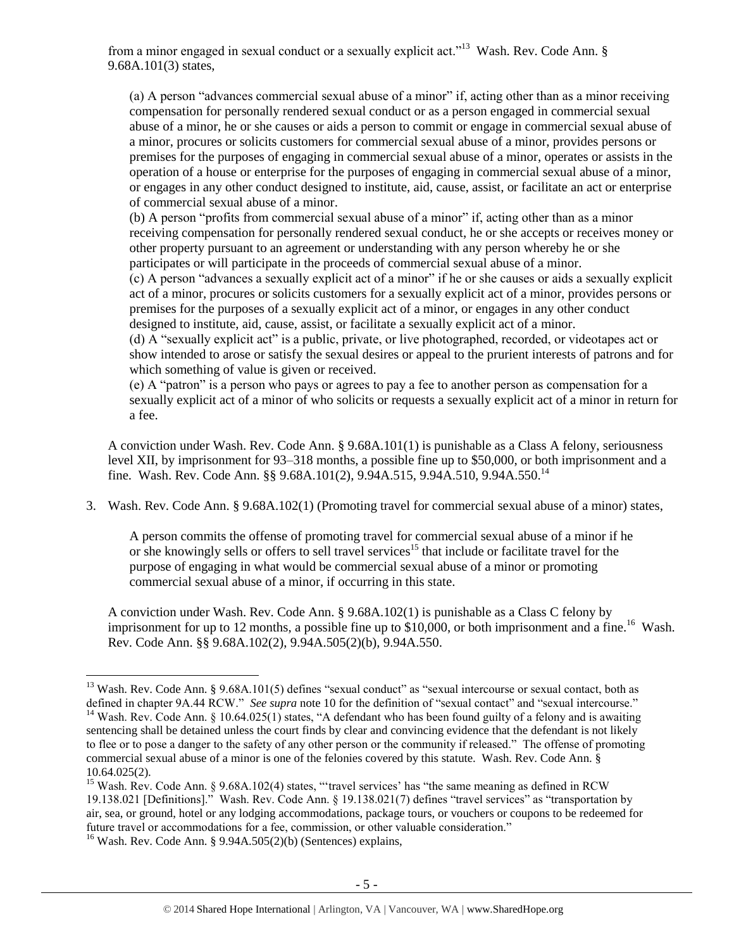from a minor engaged in sexual conduct or a sexually explicit act."<sup>13</sup> Wash. Rev. Code Ann. § 9.68A.101(3) states,

<span id="page-4-0"></span>(a) A person "advances commercial sexual abuse of a minor" if, acting other than as a minor receiving compensation for personally rendered sexual conduct or as a person engaged in commercial sexual abuse of a minor, he or she causes or aids a person to commit or engage in commercial sexual abuse of a minor, procures or solicits customers for commercial sexual abuse of a minor, provides persons or premises for the purposes of engaging in commercial sexual abuse of a minor, operates or assists in the operation of a house or enterprise for the purposes of engaging in commercial sexual abuse of a minor, or engages in any other conduct designed to institute, aid, cause, assist, or facilitate an act or enterprise of commercial sexual abuse of a minor.

(b) A person "profits from commercial sexual abuse of a minor" if, acting other than as a minor receiving compensation for personally rendered sexual conduct, he or she accepts or receives money or other property pursuant to an agreement or understanding with any person whereby he or she participates or will participate in the proceeds of commercial sexual abuse of a minor.

(c) A person "advances a sexually explicit act of a minor" if he or she causes or aids a sexually explicit act of a minor, procures or solicits customers for a sexually explicit act of a minor, provides persons or premises for the purposes of a sexually explicit act of a minor, or engages in any other conduct designed to institute, aid, cause, assist, or facilitate a sexually explicit act of a minor.

(d) A "sexually explicit act" is a public, private, or live photographed, recorded, or videotapes act or show intended to arose or satisfy the sexual desires or appeal to the prurient interests of patrons and for which something of value is given or received.

(e) A "patron" is a person who pays or agrees to pay a fee to another person as compensation for a sexually explicit act of a minor of who solicits or requests a sexually explicit act of a minor in return for a fee.

A conviction under Wash. Rev. Code Ann. § 9.68A.101(1) is punishable as a Class A felony, seriousness level XII, by imprisonment for 93–318 months, a possible fine up to \$50,000, or both imprisonment and a fine. Wash. Rev. Code Ann. §§ 9.68A.101(2), 9.94A.515, 9.94A.510, 9.94A.550.<sup>14</sup>

3. Wash. Rev. Code Ann. § 9.68A.102(1) (Promoting travel for commercial sexual abuse of a minor) states,

A person commits the offense of promoting travel for commercial sexual abuse of a minor if he or she knowingly sells or offers to sell travel services<sup>15</sup> that include or facilitate travel for the purpose of engaging in what would be commercial sexual abuse of a minor or promoting commercial sexual abuse of a minor, if occurring in this state.

A conviction under Wash. Rev. Code Ann. § 9.68A.102(1) is punishable as a Class C felony by imprisonment for up to 12 months, a possible fine up to  $$10,000$ , or both imprisonment and a fine.<sup>16</sup> Wash. Rev. Code Ann. §§ 9.68A.102(2), 9.94A.505(2)(b), 9.94A.550.

 $\overline{a}$ <sup>13</sup> Wash. Rev. Code Ann. § 9.68A.101(5) defines "sexual conduct" as "sexual intercourse or sexual contact, both as defined in chapter 9A.44 RCW." *See supra* note [10](#page-2-0) for the definition of "sexual contact" and "sexual intercourse." <sup>14</sup> Wash. Rev. Code Ann. § 10.64.025(1) states, "A defendant who has been found guilty of a felony and is awaiting sentencing shall be detained unless the court finds by clear and convincing evidence that the defendant is not likely to flee or to pose a danger to the safety of any other person or the community if released." The offense of promoting commercial sexual abuse of a minor is one of the felonies covered by this statute. Wash. Rev. Code Ann. § 10.64.025(2).

<sup>&</sup>lt;sup>15</sup> Wash. Rev. Code Ann. § 9.68A.102(4) states, "travel services' has "the same meaning as defined in RCW 19.138.021 [Definitions]." Wash. Rev. Code Ann. § 19.138.021(7) defines "travel services" as "transportation by air, sea, or ground, hotel or any lodging accommodations, package tours, or vouchers or coupons to be redeemed for future travel or accommodations for a fee, commission, or other valuable consideration."

<sup>&</sup>lt;sup>16</sup> Wash. Rev. Code Ann. § 9.94A.505(2)(b) (Sentences) explains,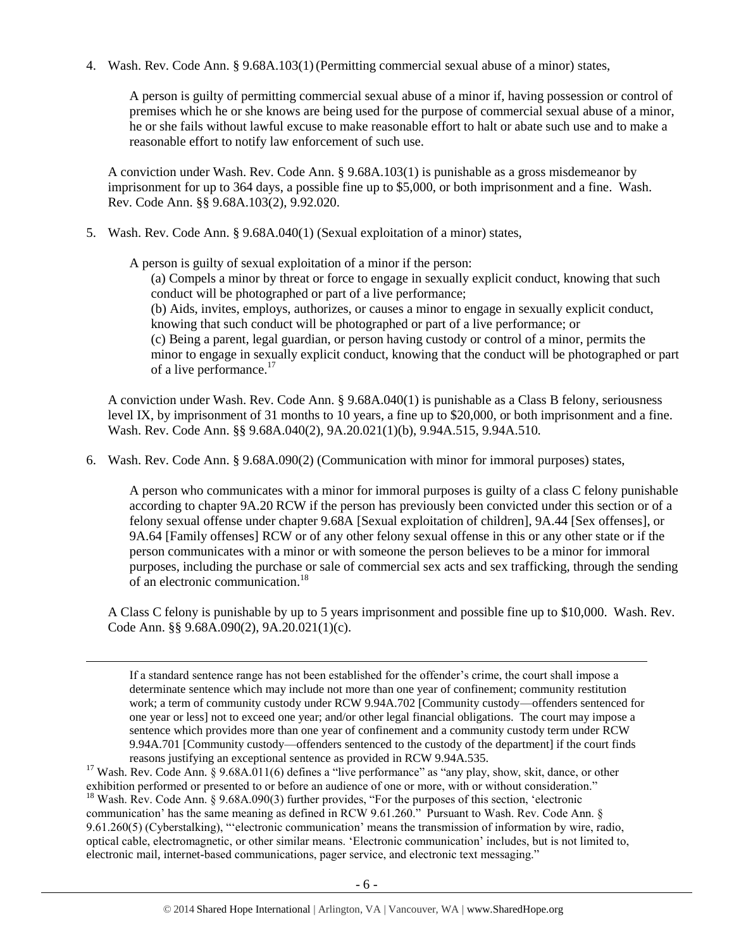4. Wash. Rev. Code Ann. § 9.68A.103(1)(Permitting commercial sexual abuse of a minor) states,

A person is guilty of permitting commercial sexual abuse of a minor if, having possession or control of premises which he or she knows are being used for the purpose of commercial sexual abuse of a minor, he or she fails without lawful excuse to make reasonable effort to halt or abate such use and to make a reasonable effort to notify law enforcement of such use.

A conviction under Wash. Rev. Code Ann. § 9.68A.103(1) is punishable as a gross misdemeanor by imprisonment for up to 364 days, a possible fine up to \$5,000, or both imprisonment and a fine. Wash. Rev. Code Ann. §§ 9.68A.103(2), 9.92.020.

5. Wash. Rev. Code Ann. § 9.68A.040(1) (Sexual exploitation of a minor) states,

A person is guilty of sexual exploitation of a minor if the person:

 $\overline{a}$ 

(a) Compels a minor by threat or force to engage in sexually explicit conduct, knowing that such conduct will be photographed or part of a live performance;

(b) Aids, invites, employs, authorizes, or causes a minor to engage in sexually explicit conduct, knowing that such conduct will be photographed or part of a live performance; or

(c) Being a parent, legal guardian, or person having custody or control of a minor, permits the minor to engage in sexually explicit conduct, knowing that the conduct will be photographed or part of a live performance.<sup>17</sup>

A conviction under Wash. Rev. Code Ann. § 9.68A.040(1) is punishable as a Class B felony, seriousness level IX, by imprisonment of 31 months to 10 years, a fine up to \$20,000, or both imprisonment and a fine. Wash. Rev. Code Ann. §§ 9.68A.040(2), 9A.20.021(1)(b), 9.94A.515, 9.94A.510.

6. Wash. Rev. Code Ann. § 9.68A.090(2) (Communication with minor for immoral purposes) states,

A person who communicates with a minor for immoral purposes is guilty of a class C felony punishable according to chapter 9A.20 RCW if the person has previously been convicted under this section or of a felony sexual offense under chapter 9.68A [Sexual exploitation of children], 9A.44 [Sex offenses], or 9A.64 [Family offenses] RCW or of any other felony sexual offense in this or any other state or if the person communicates with a minor or with someone the person believes to be a minor for immoral purposes, including the purchase or sale of commercial sex acts and sex trafficking, through the sending of an electronic communication.<sup>18</sup>

A Class C felony is punishable by up to 5 years imprisonment and possible fine up to \$10,000. Wash. Rev. Code Ann. §§ 9.68A.090(2), 9A.20.021(1)(c).

If a standard sentence range has not been established for the offender's crime, the court shall impose a determinate sentence which may include not more than one year of confinement; community restitution work; a term of community custody under RCW 9.94A.702 [Community custody—offenders sentenced for one year or less] not to exceed one year; and/or other legal financial obligations. The court may impose a sentence which provides more than one year of confinement and a community custody term under RCW 9.94A.701 [Community custody—offenders sentenced to the custody of the department] if the court finds reasons justifying an exceptional sentence as provided in RCW 9.94A.535.

<sup>17</sup> Wash. Rev. Code Ann. § 9.68A.011(6) defines a "live performance" as "any play, show, skit, dance, or other exhibition performed or presented to or before an audience of one or more, with or without consideration." <sup>18</sup> Wash. Rev. Code Ann. § 9.68A.090(3) further provides, "For the purposes of this section, 'electronic communication' has the same meaning as defined in RCW 9.61.260." Pursuant to Wash. Rev. Code Ann. § 9.61.260(5) (Cyberstalking), "'electronic communication' means the transmission of information by wire, radio, optical cable, electromagnetic, or other similar means. 'Electronic communication' includes, but is not limited to, electronic mail, internet-based communications, pager service, and electronic text messaging."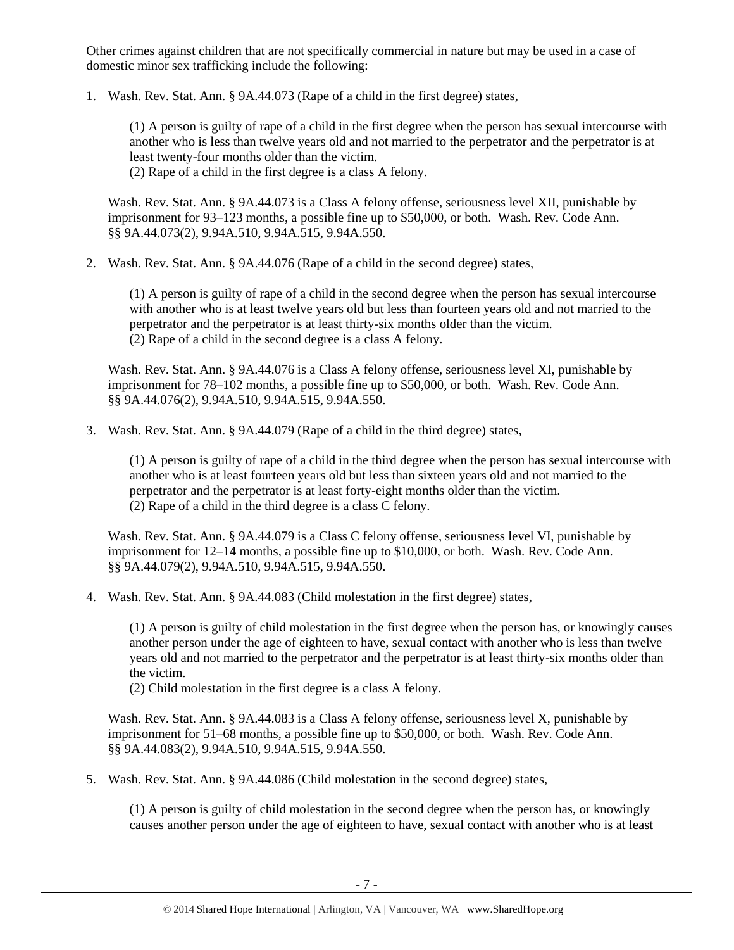Other crimes against children that are not specifically commercial in nature but may be used in a case of domestic minor sex trafficking include the following:

1. Wash. Rev. Stat. Ann. § 9A.44.073 (Rape of a child in the first degree) states,

(1) A person is guilty of rape of a child in the first degree when the person has sexual intercourse with another who is less than twelve years old and not married to the perpetrator and the perpetrator is at least twenty-four months older than the victim. (2) Rape of a child in the first degree is a class A felony.

Wash. Rev. Stat. Ann. § 9A.44.073 is a Class A felony offense, seriousness level XII, punishable by imprisonment for 93–123 months, a possible fine up to \$50,000, or both. Wash. Rev. Code Ann. §§ 9A.44.073(2), 9.94A.510, 9.94A.515, 9.94A.550.

2. Wash. Rev. Stat. Ann. § 9A.44.076 (Rape of a child in the second degree) states,

(1) A person is guilty of rape of a child in the second degree when the person has sexual intercourse with another who is at least twelve years old but less than fourteen years old and not married to the perpetrator and the perpetrator is at least thirty-six months older than the victim. (2) Rape of a child in the second degree is a class A felony.

Wash. Rev. Stat. Ann. § 9A.44.076 is a Class A felony offense, seriousness level XI, punishable by imprisonment for 78–102 months, a possible fine up to \$50,000, or both. Wash. Rev. Code Ann. §§ 9A.44.076(2), 9.94A.510, 9.94A.515, 9.94A.550.

3. Wash. Rev. Stat. Ann. § 9A.44.079 (Rape of a child in the third degree) states,

(1) A person is guilty of rape of a child in the third degree when the person has sexual intercourse with another who is at least fourteen years old but less than sixteen years old and not married to the perpetrator and the perpetrator is at least forty-eight months older than the victim. (2) Rape of a child in the third degree is a class C felony.

Wash. Rev. Stat. Ann. § 9A.44.079 is a Class C felony offense, seriousness level VI, punishable by imprisonment for 12–14 months, a possible fine up to \$10,000, or both. Wash. Rev. Code Ann. §§ 9A.44.079(2), 9.94A.510, 9.94A.515, 9.94A.550.

4. Wash. Rev. Stat. Ann. § 9A.44.083 (Child molestation in the first degree) states,

(1) A person is guilty of child molestation in the first degree when the person has, or knowingly causes another person under the age of eighteen to have, sexual contact with another who is less than twelve years old and not married to the perpetrator and the perpetrator is at least thirty-six months older than the victim.

(2) Child molestation in the first degree is a class A felony.

Wash. Rev. Stat. Ann. § 9A.44.083 is a Class A felony offense, seriousness level X, punishable by imprisonment for 51–68 months, a possible fine up to \$50,000, or both. Wash. Rev. Code Ann. §§ 9A.44.083(2), 9.94A.510, 9.94A.515, 9.94A.550.

5. Wash. Rev. Stat. Ann. § 9A.44.086 (Child molestation in the second degree) states,

(1) A person is guilty of child molestation in the second degree when the person has, or knowingly causes another person under the age of eighteen to have, sexual contact with another who is at least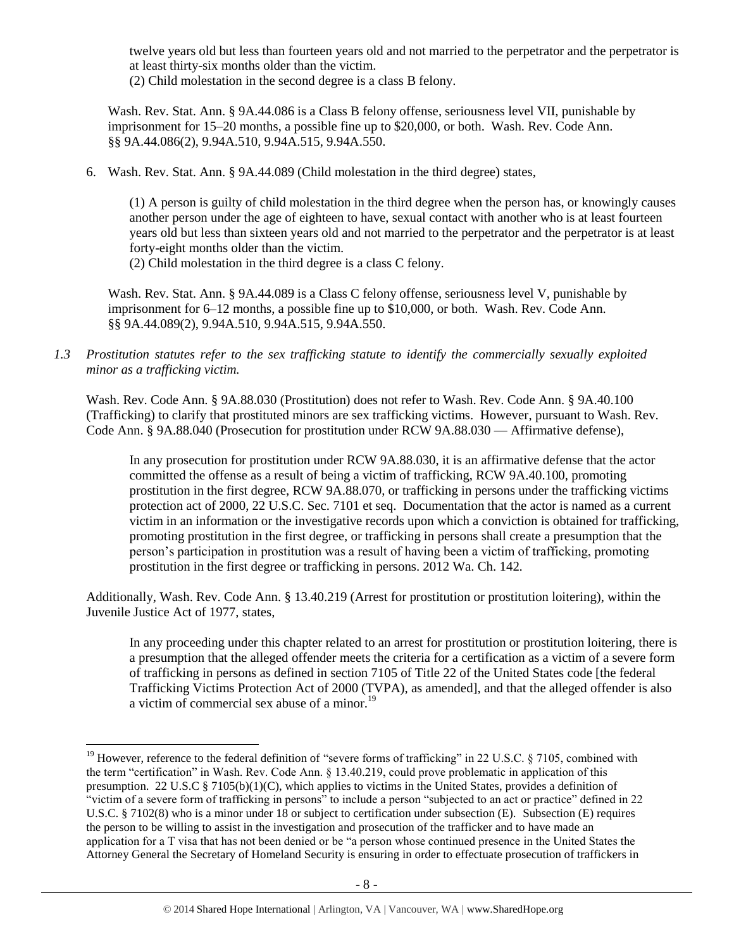twelve years old but less than fourteen years old and not married to the perpetrator and the perpetrator is at least thirty-six months older than the victim.

(2) Child molestation in the second degree is a class B felony.

Wash. Rev. Stat. Ann. § 9A.44.086 is a Class B felony offense, seriousness level VII, punishable by imprisonment for 15–20 months, a possible fine up to \$20,000, or both. Wash. Rev. Code Ann. §§ 9A.44.086(2), 9.94A.510, 9.94A.515, 9.94A.550.

6. Wash. Rev. Stat. Ann. § 9A.44.089 (Child molestation in the third degree) states,

(1) A person is guilty of child molestation in the third degree when the person has, or knowingly causes another person under the age of eighteen to have, sexual contact with another who is at least fourteen years old but less than sixteen years old and not married to the perpetrator and the perpetrator is at least forty-eight months older than the victim.

(2) Child molestation in the third degree is a class C felony.

Wash. Rev. Stat. Ann. § 9A.44.089 is a Class C felony offense, seriousness level V, punishable by imprisonment for 6–12 months, a possible fine up to \$10,000, or both. Wash. Rev. Code Ann. §§ 9A.44.089(2), 9.94A.510, 9.94A.515, 9.94A.550.

*1.3 Prostitution statutes refer to the sex trafficking statute to identify the commercially sexually exploited minor as a trafficking victim.* 

Wash. Rev. Code Ann. § 9A.88.030 (Prostitution) does not refer to Wash. Rev. Code Ann. § 9A.40.100 (Trafficking) to clarify that prostituted minors are sex trafficking victims. However, pursuant to Wash. Rev. Code Ann. § 9A.88.040 (Prosecution for prostitution under RCW 9A.88.030 — Affirmative defense),

In any prosecution for prostitution under RCW 9A.88.030, it is an affirmative defense that the actor committed the offense as a result of being a victim of trafficking, RCW 9A.40.100, promoting prostitution in the first degree, RCW 9A.88.070, or trafficking in persons under the trafficking victims protection act of 2000, 22 U.S.C. Sec. 7101 et seq. Documentation that the actor is named as a current victim in an information or the investigative records upon which a conviction is obtained for trafficking, promoting prostitution in the first degree, or trafficking in persons shall create a presumption that the person's participation in prostitution was a result of having been a victim of trafficking, promoting prostitution in the first degree or trafficking in persons. 2012 Wa. Ch. 142.

Additionally, Wash. Rev. Code Ann. § 13.40.219 (Arrest for prostitution or prostitution loitering), within the Juvenile Justice Act of 1977, states,

In any proceeding under this chapter related to an arrest for prostitution or prostitution loitering, there is a presumption that the alleged offender meets the criteria for a certification as a victim of a severe form of trafficking in persons as defined in section 7105 of Title 22 of the United States code [the federal Trafficking Victims Protection Act of 2000 (TVPA), as amended], and that the alleged offender is also a victim of commercial sex abuse of a minor.<sup>19</sup>

<sup>&</sup>lt;sup>19</sup> However, reference to the federal definition of "severe forms of trafficking" in 22 U.S.C. § 7105, combined with the term "certification" in Wash. Rev. Code Ann. § 13.40.219, could prove problematic in application of this presumption. 22 U.S.C § 7105(b)(1)(C), which applies to victims in the United States, provides a definition of "victim of a severe form of trafficking in persons" to include a person "subjected to an act or practice" defined in 22 U.S.C. § 7102(8) who is a minor under 18 or subject to certification under subsection (E). Subsection (E) requires the person to be willing to assist in the investigation and prosecution of the trafficker and to have made an application for a T visa that has not been denied or be "a person whose continued presence in the United States the Attorney General the Secretary of Homeland Security is ensuring in order to effectuate prosecution of traffickers in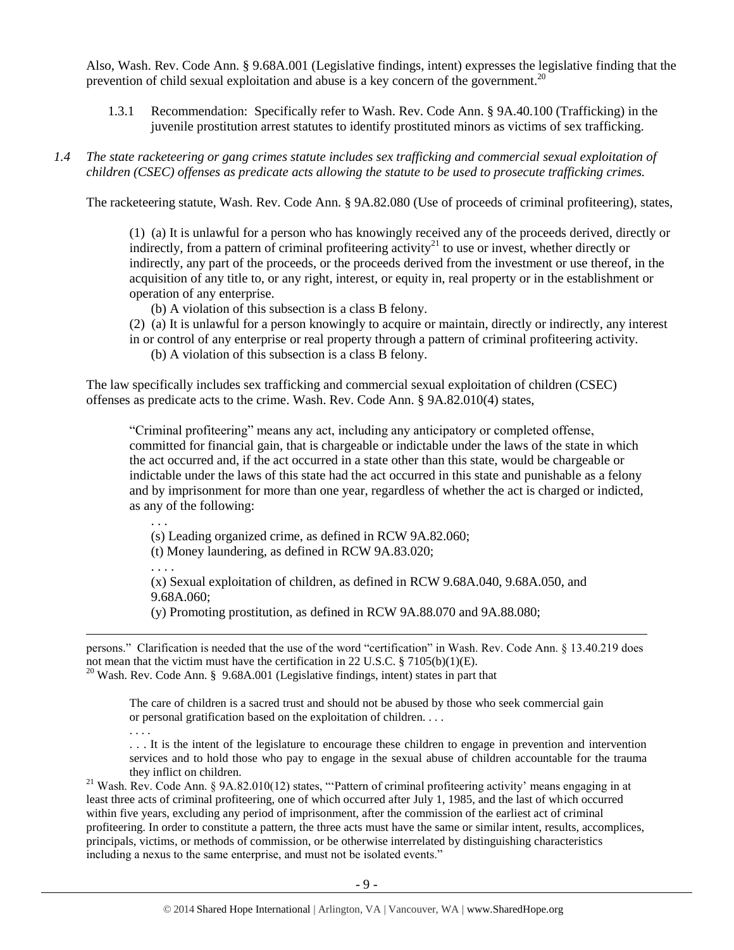Also, Wash. Rev. Code Ann. § 9.68A.001 (Legislative findings, intent) expresses the legislative finding that the prevention of child sexual exploitation and abuse is a key concern of the government.<sup>20</sup>

- 1.3.1 Recommendation: Specifically refer to Wash. Rev. Code Ann. § 9A.40.100 (Trafficking) in the juvenile prostitution arrest statutes to identify prostituted minors as victims of sex trafficking.
- *1.4 The state racketeering or gang crimes statute includes sex trafficking and commercial sexual exploitation of children (CSEC) offenses as predicate acts allowing the statute to be used to prosecute trafficking crimes.*

The racketeering statute, Wash. Rev. Code Ann. § 9A.82.080 (Use of proceeds of criminal profiteering), states,

(1) (a) It is unlawful for a person who has knowingly received any of the proceeds derived, directly or indirectly, from a pattern of criminal profiteering activity<sup>21</sup> to use or invest, whether directly or indirectly, any part of the proceeds, or the proceeds derived from the investment or use thereof, in the acquisition of any title to, or any right, interest, or equity in, real property or in the establishment or operation of any enterprise.

- (b) A violation of this subsection is a class B felony.
- (2) (a) It is unlawful for a person knowingly to acquire or maintain, directly or indirectly, any interest
- in or control of any enterprise or real property through a pattern of criminal profiteering activity. (b) A violation of this subsection is a class B felony.

The law specifically includes sex trafficking and commercial sexual exploitation of children (CSEC) offenses as predicate acts to the crime. Wash. Rev. Code Ann. § 9A.82.010(4) states,

"Criminal profiteering" means any act, including any anticipatory or completed offense, committed for financial gain, that is chargeable or indictable under the laws of the state in which the act occurred and, if the act occurred in a state other than this state, would be chargeable or indictable under the laws of this state had the act occurred in this state and punishable as a felony and by imprisonment for more than one year, regardless of whether the act is charged or indicted, as any of the following:

. . .

(s) Leading organized crime, as defined in RCW 9A.82.060;

(t) Money laundering, as defined in RCW 9A.83.020;

. . . .

 $\overline{a}$ 

(x) Sexual exploitation of children, as defined in RCW 9.68A.040, 9.68A.050, and 9.68A.060;

(y) Promoting prostitution, as defined in RCW 9A.88.070 and 9A.88.080;

| persons." Clarification is needed that the use of the word "certification" in Wash. Rev. Code Ann. § 13.40.219 does |  |  |  |
|---------------------------------------------------------------------------------------------------------------------|--|--|--|
| not mean that the victim must have the certification in 22 U.S.C. § 7105(b)(1)(E).                                  |  |  |  |
| $^{20}$ Wash. Rev. Code Ann. § 9.68A.001 (Legislative findings, intent) states in part that                         |  |  |  |

The care of children is a sacred trust and should not be abused by those who seek commercial gain or personal gratification based on the exploitation of children. . . .

. . . . . . . It is the intent of the legislature to encourage these children to engage in prevention and intervention services and to hold those who pay to engage in the sexual abuse of children accountable for the trauma they inflict on children.

<sup>21</sup> Wash. Rev. Code Ann. § 9A.82.010(12) states, "'Pattern of criminal profiteering activity' means engaging in at least three acts of criminal profiteering, one of which occurred after July 1, 1985, and the last of which occurred within five years, excluding any period of imprisonment, after the commission of the earliest act of criminal profiteering. In order to constitute a pattern, the three acts must have the same or similar intent, results, accomplices, principals, victims, or methods of commission, or be otherwise interrelated by distinguishing characteristics including a nexus to the same enterprise, and must not be isolated events."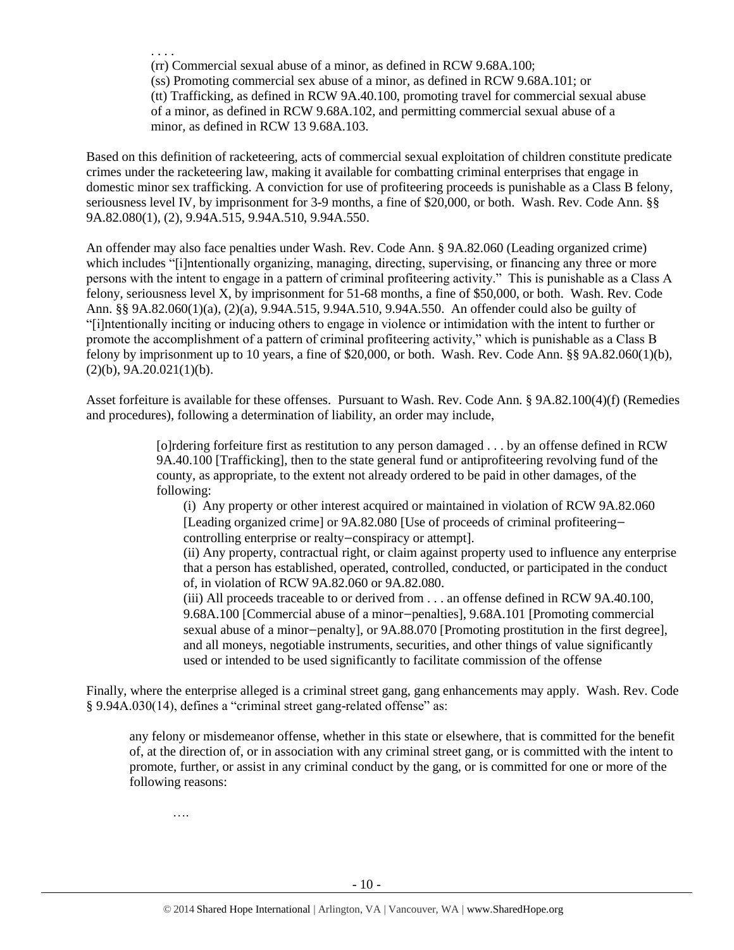. . . .

(rr) Commercial sexual abuse of a minor, as defined in RCW 9.68A.100; (ss) Promoting commercial sex abuse of a minor, as defined in RCW 9.68A.101; or (tt) Trafficking, as defined in RCW 9A.40.100, promoting travel for commercial sexual abuse of a minor, as defined in RCW 9.68A.102, and permitting commercial sexual abuse of a minor, as defined in RCW 13 9.68A.103.

Based on this definition of racketeering, acts of commercial sexual exploitation of children constitute predicate crimes under the racketeering law, making it available for combatting criminal enterprises that engage in domestic minor sex trafficking. A conviction for use of profiteering proceeds is punishable as a Class B felony, seriousness level IV, by imprisonment for 3-9 months, a fine of \$20,000, or both. Wash. Rev. Code Ann. §§ 9A.82.080(1), (2), 9.94A.515, 9.94A.510, 9.94A.550.

An offender may also face penalties under Wash. Rev. Code Ann. § 9A.82.060 (Leading organized crime) which includes "[i]ntentionally organizing, managing, directing, supervising, or financing any three or more persons with the intent to engage in a pattern of criminal profiteering activity." This is punishable as a Class A felony, seriousness level X, by imprisonment for 51-68 months, a fine of \$50,000, or both. Wash. Rev. Code Ann. §§ 9A.82.060(1)(a), (2)(a), 9.94A.515, 9.94A.510, 9.94A.550. An offender could also be guilty of "[i]ntentionally inciting or inducing others to engage in violence or intimidation with the intent to further or promote the accomplishment of a pattern of criminal profiteering activity," which is punishable as a Class B felony by imprisonment up to 10 years, a fine of \$20,000, or both. Wash. Rev. Code Ann. §§ 9A.82.060(1)(b),  $(2)(b)$ , 9A.20.021(1)(b).

Asset forfeiture is available for these offenses. Pursuant to Wash. Rev. Code Ann. § 9A.82.100(4)(f) (Remedies and procedures), following a determination of liability, an order may include,

> [o]rdering forfeiture first as restitution to any person damaged . . . by an offense defined in RCW 9A.40.100 [Trafficking], then to the state general fund or antiprofiteering revolving fund of the county, as appropriate, to the extent not already ordered to be paid in other damages, of the following:

(i) Any property or other interest acquired or maintained in violation of RCW 9A.82.060 [Leading organized crime] or 9A.82.080 [Use of proceeds of criminal profiteering controlling enterprise or realty—conspiracy or attempt].

(ii) Any property, contractual right, or claim against property used to influence any enterprise that a person has established, operated, controlled, conducted, or participated in the conduct of, in violation of RCW 9A.82.060 or 9A.82.080.

(iii) All proceeds traceable to or derived from . . . an offense defined in RCW 9A.40.100, 9.68A.100 [Commercial abuse of a minor—penalties], 9.68A.101 [Promoting commercial sexual abuse of a minor—penalty], or 9A.88.070 [Promoting prostitution in the first degree], and all moneys, negotiable instruments, securities, and other things of value significantly used or intended to be used significantly to facilitate commission of the offense

Finally, where the enterprise alleged is a criminal street gang, gang enhancements may apply. Wash. Rev. Code § 9.94A.030(14), defines a "criminal street gang-related offense" as:

any felony or misdemeanor offense, whether in this state or elsewhere, that is committed for the benefit of, at the direction of, or in association with any criminal street gang, or is committed with the intent to promote, further, or assist in any criminal conduct by the gang, or is committed for one or more of the following reasons:

….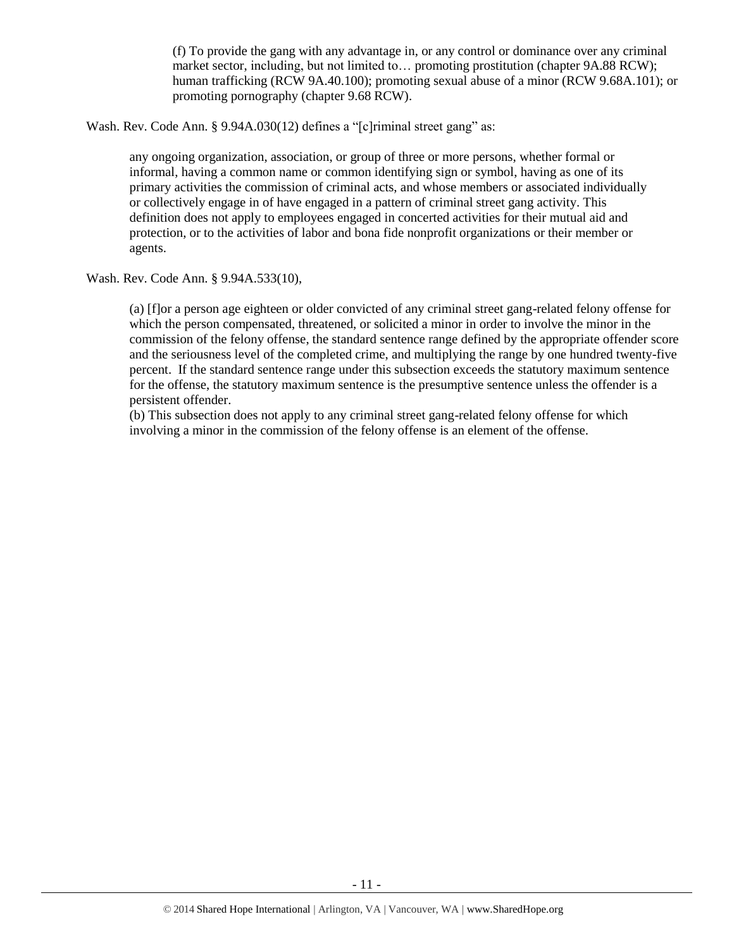(f) To provide the gang with any advantage in, or any control or dominance over any criminal market sector, including, but not limited to… promoting prostitution (chapter 9A.88 RCW); human trafficking (RCW 9A.40.100); promoting sexual abuse of a minor (RCW 9.68A.101); or promoting pornography (chapter 9.68 RCW).

Wash. Rev. Code Ann. § 9.94A.030(12) defines a "[c]riminal street gang" as:

any ongoing organization, association, or group of three or more persons, whether formal or informal, having a common name or common identifying sign or symbol, having as one of its primary activities the commission of criminal acts, and whose members or associated individually or collectively engage in of have engaged in a pattern of criminal street gang activity. This definition does not apply to employees engaged in concerted activities for their mutual aid and protection, or to the activities of labor and bona fide nonprofit organizations or their member or agents.

Wash. Rev. Code Ann. § 9.94A.533(10),

(a) [f]or a person age eighteen or older convicted of any criminal street gang-related felony offense for which the person compensated, threatened, or solicited a minor in order to involve the minor in the commission of the felony offense, the standard sentence range defined by the appropriate offender score and the seriousness level of the completed crime, and multiplying the range by one hundred twenty-five percent. If the standard sentence range under this subsection exceeds the statutory maximum sentence for the offense, the statutory maximum sentence is the presumptive sentence unless the offender is a persistent offender.

(b) This subsection does not apply to any criminal street gang-related felony offense for which involving a minor in the commission of the felony offense is an element of the offense.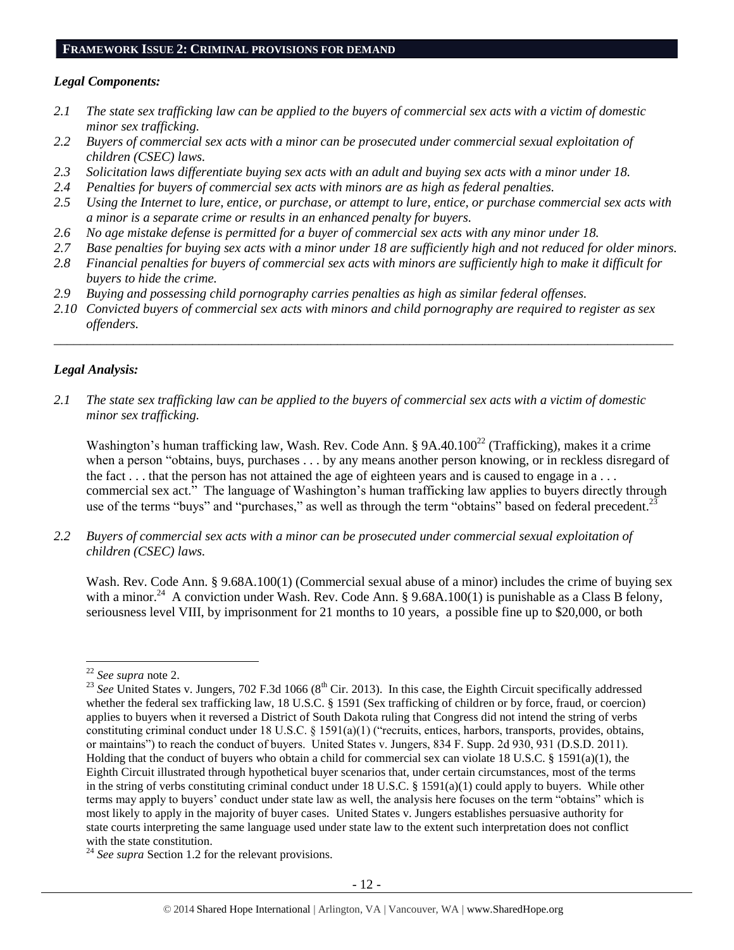# **FRAMEWORK ISSUE 2: CRIMINAL PROVISIONS FOR DEMAND**

#### *Legal Components:*

- *2.1 The state sex trafficking law can be applied to the buyers of commercial sex acts with a victim of domestic minor sex trafficking.*
- *2.2 Buyers of commercial sex acts with a minor can be prosecuted under commercial sexual exploitation of children (CSEC) laws.*
- *2.3 Solicitation laws differentiate buying sex acts with an adult and buying sex acts with a minor under 18.*
- *2.4 Penalties for buyers of commercial sex acts with minors are as high as federal penalties.*
- *2.5 Using the Internet to lure, entice, or purchase, or attempt to lure, entice, or purchase commercial sex acts with a minor is a separate crime or results in an enhanced penalty for buyers.*
- *2.6 No age mistake defense is permitted for a buyer of commercial sex acts with any minor under 18.*
- *2.7 Base penalties for buying sex acts with a minor under 18 are sufficiently high and not reduced for older minors.*
- *2.8 Financial penalties for buyers of commercial sex acts with minors are sufficiently high to make it difficult for buyers to hide the crime.*
- *2.9 Buying and possessing child pornography carries penalties as high as similar federal offenses.*
- *2.10 Convicted buyers of commercial sex acts with minors and child pornography are required to register as sex offenders.*

\_\_\_\_\_\_\_\_\_\_\_\_\_\_\_\_\_\_\_\_\_\_\_\_\_\_\_\_\_\_\_\_\_\_\_\_\_\_\_\_\_\_\_\_\_\_\_\_\_\_\_\_\_\_\_\_\_\_\_\_\_\_\_\_\_\_\_\_\_\_\_\_\_\_\_\_\_\_\_\_\_\_\_\_\_\_\_\_\_\_\_\_\_\_

#### *Legal Analysis:*

*2.1 The state sex trafficking law can be applied to the buyers of commercial sex acts with a victim of domestic minor sex trafficking.*

Washington's human trafficking law, Wash. Rev. Code Ann. §  $9A.40.100^{22}$  (Trafficking), makes it a crime when a person "obtains, buys, purchases . . . by any means another person knowing, or in reckless disregard of the fact . . . that the person has not attained the age of eighteen years and is caused to engage in a . . . commercial sex act." The language of Washington's human trafficking law applies to buyers directly through use of the terms "buys" and "purchases," as well as through the term "obtains" based on federal precedent.<sup>23</sup>

*2.2 Buyers of commercial sex acts with a minor can be prosecuted under commercial sexual exploitation of children (CSEC) laws.*

Wash. Rev. Code Ann. § 9.68A.100(1) (Commercial sexual abuse of a minor) includes the crime of buying sex with a minor.<sup>24</sup> A conviction under Wash. Rev. Code Ann. § 9.68A.100(1) is punishable as a Class B felony, seriousness level VIII, by imprisonment for 21 months to 10 years, a possible fine up to \$20,000, or both

<sup>22</sup> *See supra* note [2.](#page-0-0)

<sup>&</sup>lt;sup>23</sup> *See* United States v. Jungers, 702 F.3d 1066 (8<sup>th</sup> Cir. 2013). In this case, the Eighth Circuit specifically addressed whether the federal sex trafficking law, 18 U.S.C. § 1591 (Sex trafficking of children or by force, fraud, or coercion) applies to buyers when it reversed a District of South Dakota ruling that Congress did not intend the string of verbs constituting criminal conduct under 18 U.S.C. § 1591(a)(1) ("recruits, entices, harbors, transports, provides, obtains, or maintains") to reach the conduct of buyers. United States v. Jungers, 834 F. Supp. 2d 930, 931 (D.S.D. 2011). Holding that the conduct of buyers who obtain a child for commercial sex can violate 18 U.S.C. § 1591(a)(1), the Eighth Circuit illustrated through hypothetical buyer scenarios that, under certain circumstances, most of the terms in the string of verbs constituting criminal conduct under 18 U.S.C. § 1591(a)(1) could apply to buyers. While other terms may apply to buyers' conduct under state law as well, the analysis here focuses on the term "obtains" which is most likely to apply in the majority of buyer cases. United States v. Jungers establishes persuasive authority for state courts interpreting the same language used under state law to the extent such interpretation does not conflict with the state constitution.

<sup>24</sup> *See supra* Section 1.2 for the relevant provisions.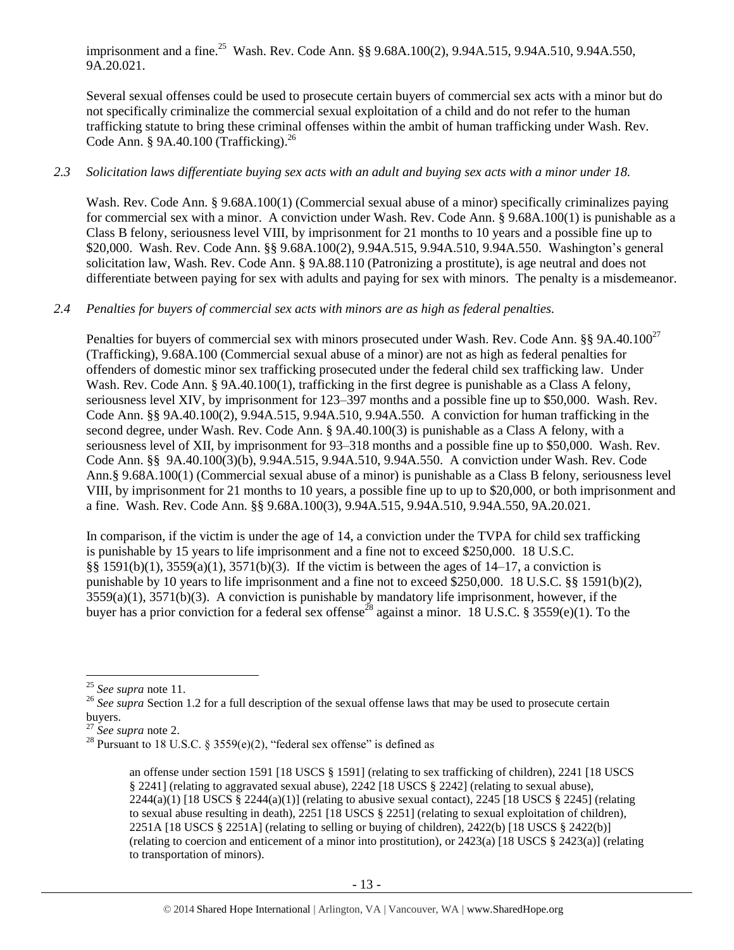imprisonment and a fine.<sup>25</sup> Wash. Rev. Code Ann. §§ 9.68A.100(2), 9.94A.515, 9.94A.510, 9.94A.550, 9A.20.021.

Several sexual offenses could be used to prosecute certain buyers of commercial sex acts with a minor but do not specifically criminalize the commercial sexual exploitation of a child and do not refer to the human trafficking statute to bring these criminal offenses within the ambit of human trafficking under Wash. Rev. Code Ann. § 9A.40.100 (Trafficking). $^{26}$ 

# *2.3 Solicitation laws differentiate buying sex acts with an adult and buying sex acts with a minor under 18.*

Wash. Rev. Code Ann. § 9.68A.100(1) (Commercial sexual abuse of a minor) specifically criminalizes paying for commercial sex with a minor. A conviction under Wash. Rev. Code Ann. § 9.68A.100(1) is punishable as a Class B felony, seriousness level VIII, by imprisonment for 21 months to 10 years and a possible fine up to \$20,000. Wash. Rev. Code Ann. §§ 9.68A.100(2), 9.94A.515, 9.94A.510, 9.94A.550. Washington's general solicitation law, Wash. Rev. Code Ann. § 9A.88.110 (Patronizing a prostitute), is age neutral and does not differentiate between paying for sex with adults and paying for sex with minors. The penalty is a misdemeanor.

# *2.4 Penalties for buyers of commercial sex acts with minors are as high as federal penalties.*

Penalties for buyers of commercial sex with minors prosecuted under Wash. Rev. Code Ann. §§ 9A.40.100<sup>27</sup> (Trafficking), 9.68A.100 (Commercial sexual abuse of a minor) are not as high as federal penalties for offenders of domestic minor sex trafficking prosecuted under the federal child sex trafficking law. Under Wash. Rev. Code Ann. § 9A.40.100(1), trafficking in the first degree is punishable as a Class A felony, seriousness level XIV, by imprisonment for 123–397 months and a possible fine up to \$50,000. Wash. Rev. Code Ann. §§ 9A.40.100(2), 9.94A.515, 9.94A.510, 9.94A.550. A conviction for human trafficking in the second degree, under Wash. Rev. Code Ann. § 9A.40.100(3) is punishable as a Class A felony, with a seriousness level of XII, by imprisonment for 93–318 months and a possible fine up to \$50,000. Wash. Rev. Code Ann. §§ 9A.40.100(3)(b), 9.94A.515, 9.94A.510, 9.94A.550. A conviction under Wash. Rev. Code Ann.§ 9.68A.100(1) (Commercial sexual abuse of a minor) is punishable as a Class B felony, seriousness level VIII, by imprisonment for 21 months to 10 years, a possible fine up to up to \$20,000, or both imprisonment and a fine. Wash. Rev. Code Ann. §§ 9.68A.100(3), 9.94A.515, 9.94A.510, 9.94A.550, 9A.20.021.

In comparison, if the victim is under the age of 14, a conviction under the TVPA for child sex trafficking is punishable by 15 years to life imprisonment and a fine not to exceed \$250,000. 18 U.S.C. §§ 1591(b)(1), 3559(a)(1), 3571(b)(3). If the victim is between the ages of 14–17, a conviction is punishable by 10 years to life imprisonment and a fine not to exceed \$250,000. 18 U.S.C. §§ 1591(b)(2), 3559(a)(1), 3571(b)(3). A conviction is punishable by mandatory life imprisonment, however, if the buyer has a prior conviction for a federal sex offense<sup>28</sup> against a minor. 18 U.S.C. § 3559(e)(1). To the

<sup>25</sup> *See supra* note [11.](#page-3-0)

<sup>&</sup>lt;sup>26</sup> See supra Section 1.2 for a full description of the sexual offense laws that may be used to prosecute certain buyers.

<sup>27</sup> *See supra* note [2.](#page-0-0)

<sup>&</sup>lt;sup>28</sup> Pursuant to 18 U.S.C. § 3559(e)(2), "federal sex offense" is defined as

<span id="page-12-0"></span>an offense under section 1591 [18 USCS § 1591] (relating to sex trafficking of children), 2241 [18 USCS § 2241] (relating to aggravated sexual abuse), 2242 [18 USCS § 2242] (relating to sexual abuse),  $2244(a)(1)$  [18 USCS  $\S$   $2244(a)(1)$ ] (relating to abusive sexual contact), 2245 [18 USCS  $\S$  2245] (relating to sexual abuse resulting in death), 2251 [18 USCS § 2251] (relating to sexual exploitation of children), 2251A [18 USCS § 2251A] (relating to selling or buying of children), 2422(b) [18 USCS § 2422(b)] (relating to coercion and enticement of a minor into prostitution), or 2423(a) [18 USCS § 2423(a)] (relating to transportation of minors).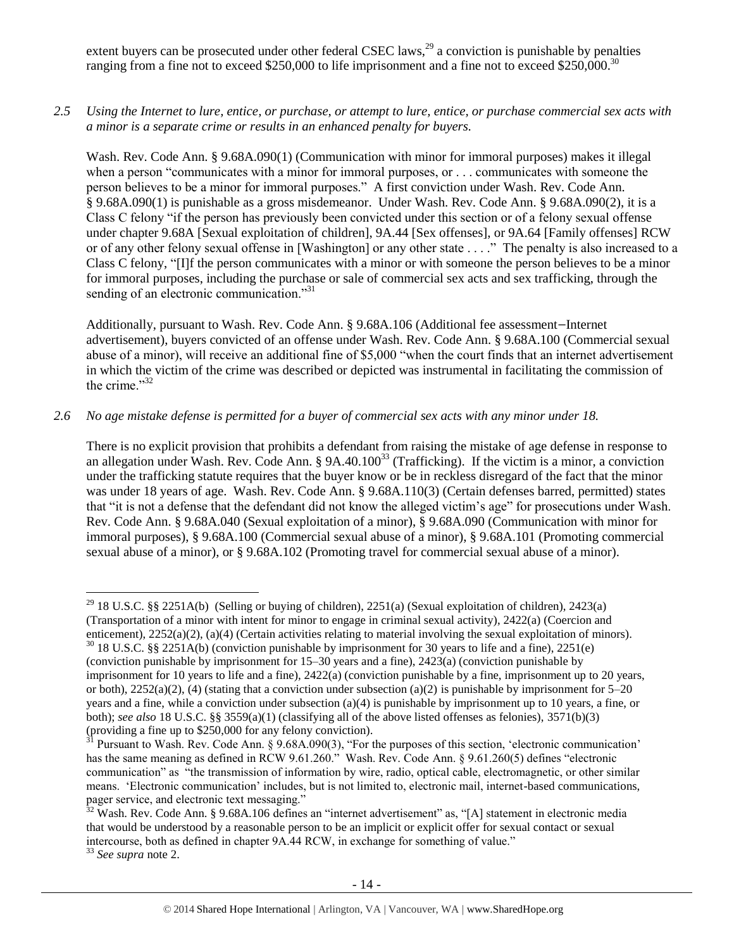extent buyers can be prosecuted under other federal CSEC laws,  $^{29}$  a conviction is punishable by penalties ranging from a fine not to exceed \$250,000 to life imprisonment and a fine not to exceed \$250,000.<sup>30</sup>

*2.5 Using the Internet to lure, entice, or purchase, or attempt to lure, entice, or purchase commercial sex acts with a minor is a separate crime or results in an enhanced penalty for buyers.*

Wash. Rev. Code Ann. § 9.68A.090(1) (Communication with minor for immoral purposes) makes it illegal when a person "communicates with a minor for immoral purposes, or . . . communicates with someone the person believes to be a minor for immoral purposes." A first conviction under Wash. Rev. Code Ann. § 9.68A.090(1) is punishable as a gross misdemeanor. Under Wash. Rev. Code Ann. § 9.68A.090(2), it is a Class C felony "if the person has previously been convicted under this section or of a felony sexual offense under chapter 9.68A [Sexual exploitation of children], 9A.44 [Sex offenses], or 9A.64 [Family offenses] RCW or of any other felony sexual offense in [Washington] or any other state . . . ." The penalty is also increased to a Class C felony, "[I]f the person communicates with a minor or with someone the person believes to be a minor for immoral purposes, including the purchase or sale of commercial sex acts and sex trafficking, through the sending of an electronic communication."<sup>31</sup>

<span id="page-13-0"></span>Additionally, pursuant to Wash. Rev. Code Ann. § 9.68A.106 (Additional fee assessment—Internet advertisement), buyers convicted of an offense under Wash. Rev. Code Ann. § 9.68A.100 (Commercial sexual abuse of a minor), will receive an additional fine of \$5,000 "when the court finds that an internet advertisement in which the victim of the crime was described or depicted was instrumental in facilitating the commission of the crime $^{32}$ 

# *2.6 No age mistake defense is permitted for a buyer of commercial sex acts with any minor under 18.*

There is no explicit provision that prohibits a defendant from raising the mistake of age defense in response to an allegation under Wash. Rev. Code Ann.  $\S$  9A.40.100<sup>33</sup> (Trafficking). If the victim is a minor, a conviction under the trafficking statute requires that the buyer know or be in reckless disregard of the fact that the minor was under 18 years of age. Wash. Rev. Code Ann. § 9.68A.110(3) (Certain defenses barred, permitted) states that "it is not a defense that the defendant did not know the alleged victim's age" for prosecutions under Wash. Rev. Code Ann. § 9.68A.040 (Sexual exploitation of a minor), § 9.68A.090 (Communication with minor for immoral purposes), § 9.68A.100 (Commercial sexual abuse of a minor), § 9.68A.101 (Promoting commercial sexual abuse of a minor), or § 9.68A.102 (Promoting travel for commercial sexual abuse of a minor).

<sup>&</sup>lt;sup>29</sup> 18 U.S.C. §§ 2251A(b) (Selling or buying of children), 2251(a) (Sexual exploitation of children), 2423(a) (Transportation of a minor with intent for minor to engage in criminal sexual activity), 2422(a) (Coercion and enticement), 2252(a)(2), (a)(4) (Certain activities relating to material involving the sexual exploitation of minors).

 $30$  18 U.S.C. §§ 2251A(b) (conviction punishable by imprisonment for 30 years to life and a fine), 2251(e) (conviction punishable by imprisonment for 15–30 years and a fine), 2423(a) (conviction punishable by imprisonment for 10 years to life and a fine), 2422(a) (conviction punishable by a fine, imprisonment up to 20 years, or both),  $2252(a)(2)$ , (4) (stating that a conviction under subsection (a)(2) is punishable by imprisonment for 5–20 years and a fine, while a conviction under subsection (a)(4) is punishable by imprisonment up to 10 years, a fine, or both); *see also* 18 U.S.C. §§ 3559(a)(1) (classifying all of the above listed offenses as felonies), 3571(b)(3) (providing a fine up to \$250,000 for any felony conviction).

 $31$  Pursuant to Wash. Rev. Code Ann. § 9.68A.090(3), "For the purposes of this section, 'electronic communication' has the same meaning as defined in RCW 9.61.260." Wash. Rev. Code Ann. § 9.61.260(5) defines "electronic communication" as "the transmission of information by wire, radio, optical cable, electromagnetic, or other similar means. 'Electronic communication' includes, but is not limited to, electronic mail, internet-based communications, pager service, and electronic text messaging."

<sup>&</sup>lt;sup>32</sup> Wash. Rev. Code Ann. § 9.68A.106 defines an "internet advertisement" as, "[A] statement in electronic media that would be understood by a reasonable person to be an implicit or explicit offer for sexual contact or sexual intercourse, both as defined in chapter 9A.44 RCW, in exchange for something of value."

<sup>33</sup> *See supra* note [2.](#page-0-0)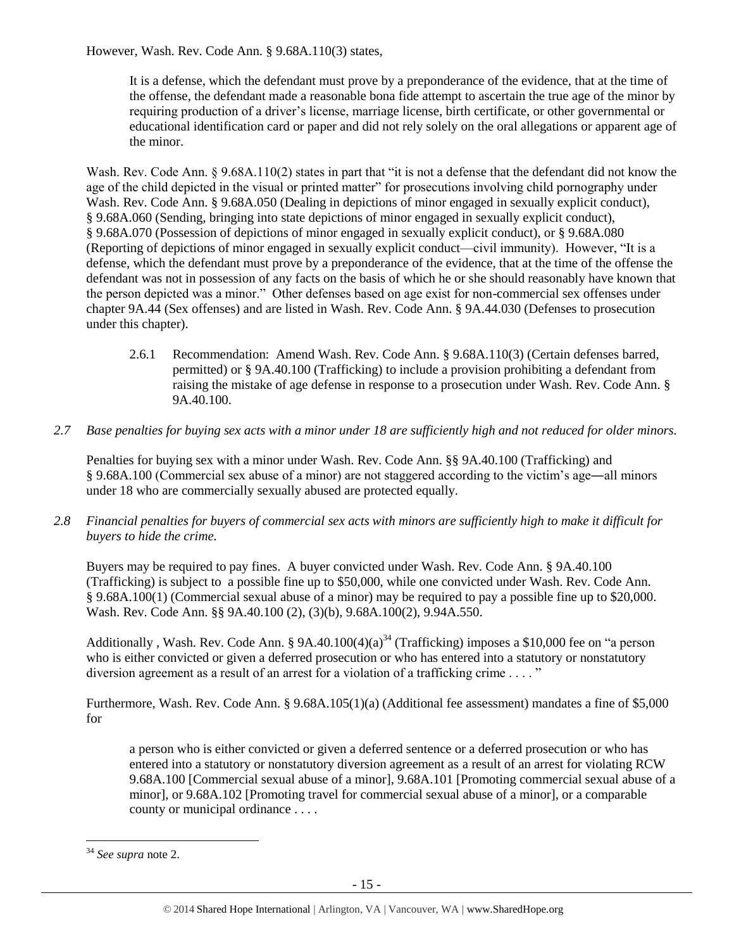However, Wash. Rev. Code Ann. § 9.68A.110(3) states,

It is a defense, which the defendant must prove by a preponderance of the evidence, that at the time of the offense, the defendant made a reasonable bona fide attempt to ascertain the true age of the minor by requiring production of a driver's license, marriage license, birth certificate, or other governmental or educational identification card or paper and did not rely solely on the oral allegations or apparent age of the minor.

Wash. Rev. Code Ann. § 9.68A.110(2) states in part that "it is not a defense that the defendant did not know the age of the child depicted in the visual or printed matter" for prosecutions involving child pornography under Wash. Rev. Code Ann. § 9.68A.050 (Dealing in depictions of minor engaged in sexually explicit conduct), § 9.68A.060 (Sending, bringing into state depictions of minor engaged in sexually explicit conduct), § 9.68A.070 (Possession of depictions of minor engaged in sexually explicit conduct), or § 9.68A.080 (Reporting of depictions of minor engaged in sexually explicit conduct—civil immunity). However, "It is a defense, which the defendant must prove by a preponderance of the evidence, that at the time of the offense the defendant was not in possession of any facts on the basis of which he or she should reasonably have known that the person depicted was a minor." Other defenses based on age exist for non-commercial sex offenses under chapter 9A.44 (Sex offenses) and are listed in Wash. Rev. Code Ann. § 9A.44.030 (Defenses to prosecution under this chapter).

- 2.6.1 Recommendation: Amend Wash. Rev. Code Ann. § 9.68A.110(3) (Certain defenses barred, permitted) or § 9A.40.100 (Trafficking) to include a provision prohibiting a defendant from raising the mistake of age defense in response to a prosecution under Wash. Rev. Code Ann. § 9A.40.100.
- *2.7 Base penalties for buying sex acts with a minor under 18 are sufficiently high and not reduced for older minors.*

Penalties for buying sex with a minor under Wash. Rev. Code Ann. §§ 9A.40.100 (Trafficking) and § 9.68A.100 (Commercial sex abuse of a minor) are not staggered according to the victim's age―all minors under 18 who are commercially sexually abused are protected equally.

*2.8 Financial penalties for buyers of commercial sex acts with minors are sufficiently high to make it difficult for buyers to hide the crime.* 

Buyers may be required to pay fines. A buyer convicted under Wash. Rev. Code Ann. § 9A.40.100 (Trafficking) is subject to a possible fine up to \$50,000, while one convicted under Wash. Rev. Code Ann. § 9.68A.100(1) (Commercial sexual abuse of a minor) may be required to pay a possible fine up to \$20,000. Wash. Rev. Code Ann. §§ 9A.40.100 (2), (3)(b), 9.68A.100(2), 9.94A.550.

Additionally , Wash. Rev. Code Ann. § 9A.40.100(4)(a)<sup>34</sup> (Trafficking) imposes a \$10,000 fee on "a person who is either convicted or given a deferred prosecution or who has entered into a statutory or nonstatutory diversion agreement as a result of an arrest for a violation of a trafficking crime . . . . "

Furthermore, Wash. Rev. Code Ann. § 9.68A.105(1)(a) (Additional fee assessment) mandates a fine of \$5,000 for

a person who is either convicted or given a deferred sentence or a deferred prosecution or who has entered into a statutory or nonstatutory diversion agreement as a result of an arrest for violating RCW 9.68A.100 [Commercial sexual abuse of a minor], 9.68A.101 [Promoting commercial sexual abuse of a minor], or 9.68A.102 [Promoting travel for commercial sexual abuse of a minor], or a comparable county or municipal ordinance . . . .

<sup>34</sup> *See supra* note [2.](#page-0-0)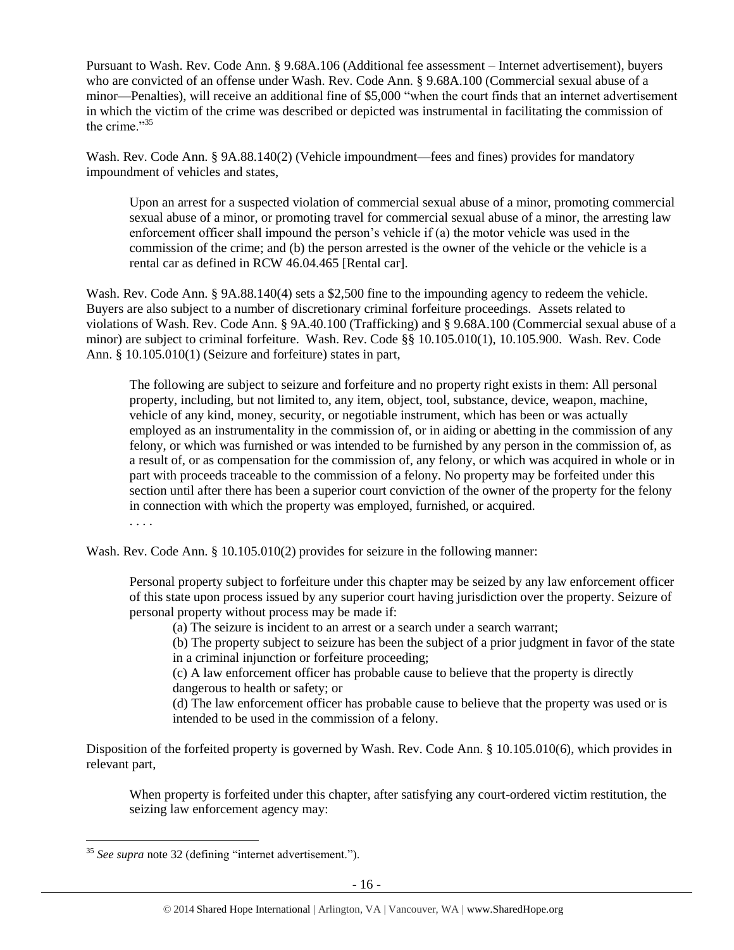Pursuant to Wash. Rev. Code Ann. § 9.68A.106 (Additional fee assessment – Internet advertisement), buyers who are convicted of an offense under Wash. Rev. Code Ann. § 9.68A.100 (Commercial sexual abuse of a minor—Penalties), will receive an additional fine of \$5,000 "when the court finds that an internet advertisement in which the victim of the crime was described or depicted was instrumental in facilitating the commission of the crime."<sup>35</sup>

<span id="page-15-0"></span>Wash. Rev. Code Ann. § 9A.88.140(2) (Vehicle impoundment—fees and fines) provides for mandatory impoundment of vehicles and states,

Upon an arrest for a suspected violation of commercial sexual abuse of a minor, promoting commercial sexual abuse of a minor, or promoting travel for commercial sexual abuse of a minor, the arresting law enforcement officer shall impound the person's vehicle if (a) the motor vehicle was used in the commission of the crime; and (b) the person arrested is the owner of the vehicle or the vehicle is a rental car as defined in RCW 46.04.465 [Rental car].

Wash. Rev. Code Ann. § 9A.88.140(4) sets a \$2,500 fine to the impounding agency to redeem the vehicle. Buyers are also subject to a number of discretionary criminal forfeiture proceedings. Assets related to violations of Wash. Rev. Code Ann. § 9A.40.100 (Trafficking) and § 9.68A.100 (Commercial sexual abuse of a minor) are subject to criminal forfeiture. Wash. Rev. Code §§ 10.105.010(1), 10.105.900. Wash. Rev. Code Ann. § 10.105.010(1) (Seizure and forfeiture) states in part,

The following are subject to seizure and forfeiture and no property right exists in them: All personal property, including, but not limited to, any item, object, tool, substance, device, weapon, machine, vehicle of any kind, money, security, or negotiable instrument, which has been or was actually employed as an instrumentality in the commission of, or in aiding or abetting in the commission of any felony, or which was furnished or was intended to be furnished by any person in the commission of, as a result of, or as compensation for the commission of, any felony, or which was acquired in whole or in part with proceeds traceable to the commission of a felony. No property may be forfeited under this section until after there has been a superior court conviction of the owner of the property for the felony in connection with which the property was employed, furnished, or acquired.

. . . .

 $\overline{a}$ 

Wash. Rev. Code Ann. § 10.105.010(2) provides for seizure in the following manner:

Personal property subject to forfeiture under this chapter may be seized by any law enforcement officer of this state upon process issued by any superior court having jurisdiction over the property. Seizure of personal property without process may be made if:

(a) The seizure is incident to an arrest or a search under a search warrant;

(b) The property subject to seizure has been the subject of a prior judgment in favor of the state in a criminal injunction or forfeiture proceeding;

(c) A law enforcement officer has probable cause to believe that the property is directly dangerous to health or safety; or

(d) The law enforcement officer has probable cause to believe that the property was used or is intended to be used in the commission of a felony.

Disposition of the forfeited property is governed by Wash. Rev. Code Ann. § 10.105.010(6), which provides in relevant part,

When property is forfeited under this chapter, after satisfying any court-ordered victim restitution, the seizing law enforcement agency may:

<sup>35</sup> *See supra* note [32](#page-13-0) (defining "internet advertisement.").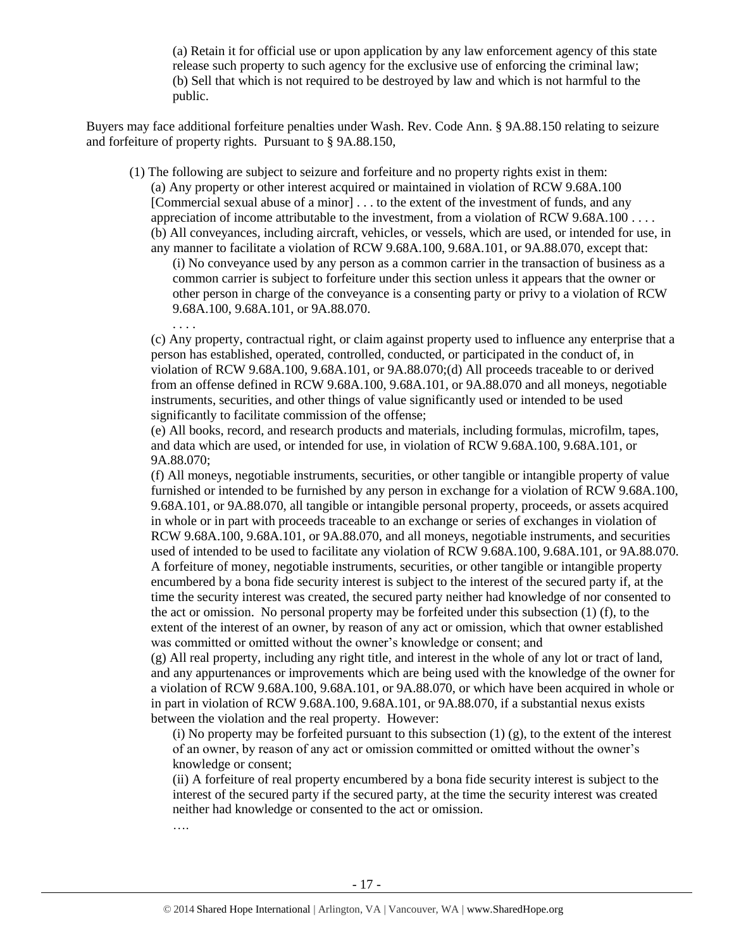(a) Retain it for official use or upon application by any law enforcement agency of this state release such property to such agency for the exclusive use of enforcing the criminal law; (b) Sell that which is not required to be destroyed by law and which is not harmful to the public.

Buyers may face additional forfeiture penalties under Wash. Rev. Code Ann. § 9A.88.150 relating to seizure and forfeiture of property rights. Pursuant to § 9A.88.150,

(1) The following are subject to seizure and forfeiture and no property rights exist in them:

(a) Any property or other interest acquired or maintained in violation of RCW 9.68A.100 [Commercial sexual abuse of a minor] . . . to the extent of the investment of funds, and any appreciation of income attributable to the investment, from a violation of RCW 9.68A.100 . . . . (b) All conveyances, including aircraft, vehicles, or vessels, which are used, or intended for use, in

any manner to facilitate a violation of RCW 9.68A.100, 9.68A.101, or 9A.88.070, except that: (i) No conveyance used by any person as a common carrier in the transaction of business as a common carrier is subject to forfeiture under this section unless it appears that the owner or other person in charge of the conveyance is a consenting party or privy to a violation of RCW 9.68A.100, 9.68A.101, or 9A.88.070.

(c) Any property, contractual right, or claim against property used to influence any enterprise that a person has established, operated, controlled, conducted, or participated in the conduct of, in violation of RCW 9.68A.100, 9.68A.101, or 9A.88.070;(d) All proceeds traceable to or derived from an offense defined in RCW 9.68A.100, 9.68A.101, or 9A.88.070 and all moneys, negotiable instruments, securities, and other things of value significantly used or intended to be used significantly to facilitate commission of the offense;

(e) All books, record, and research products and materials, including formulas, microfilm, tapes, and data which are used, or intended for use, in violation of RCW 9.68A.100, 9.68A.101, or 9A.88.070;

(f) All moneys, negotiable instruments, securities, or other tangible or intangible property of value furnished or intended to be furnished by any person in exchange for a violation of RCW 9.68A.100, 9.68A.101, or 9A.88.070, all tangible or intangible personal property, proceeds, or assets acquired in whole or in part with proceeds traceable to an exchange or series of exchanges in violation of RCW 9.68A.100, 9.68A.101, or 9A.88.070, and all moneys, negotiable instruments, and securities used of intended to be used to facilitate any violation of RCW 9.68A.100, 9.68A.101, or 9A.88.070. A forfeiture of money, negotiable instruments, securities, or other tangible or intangible property encumbered by a bona fide security interest is subject to the interest of the secured party if, at the time the security interest was created, the secured party neither had knowledge of nor consented to the act or omission. No personal property may be forfeited under this subsection (1) (f), to the extent of the interest of an owner, by reason of any act or omission, which that owner established was committed or omitted without the owner's knowledge or consent; and

(g) All real property, including any right title, and interest in the whole of any lot or tract of land, and any appurtenances or improvements which are being used with the knowledge of the owner for a violation of RCW 9.68A.100, 9.68A.101, or 9A.88.070, or which have been acquired in whole or in part in violation of RCW 9.68A.100, 9.68A.101, or 9A.88.070, if a substantial nexus exists between the violation and the real property. However:

(i) No property may be forfeited pursuant to this subsection  $(1)$  (g), to the extent of the interest of an owner, by reason of any act or omission committed or omitted without the owner's knowledge or consent;

(ii) A forfeiture of real property encumbered by a bona fide security interest is subject to the interest of the secured party if the secured party, at the time the security interest was created neither had knowledge or consented to the act or omission.

….

. . . .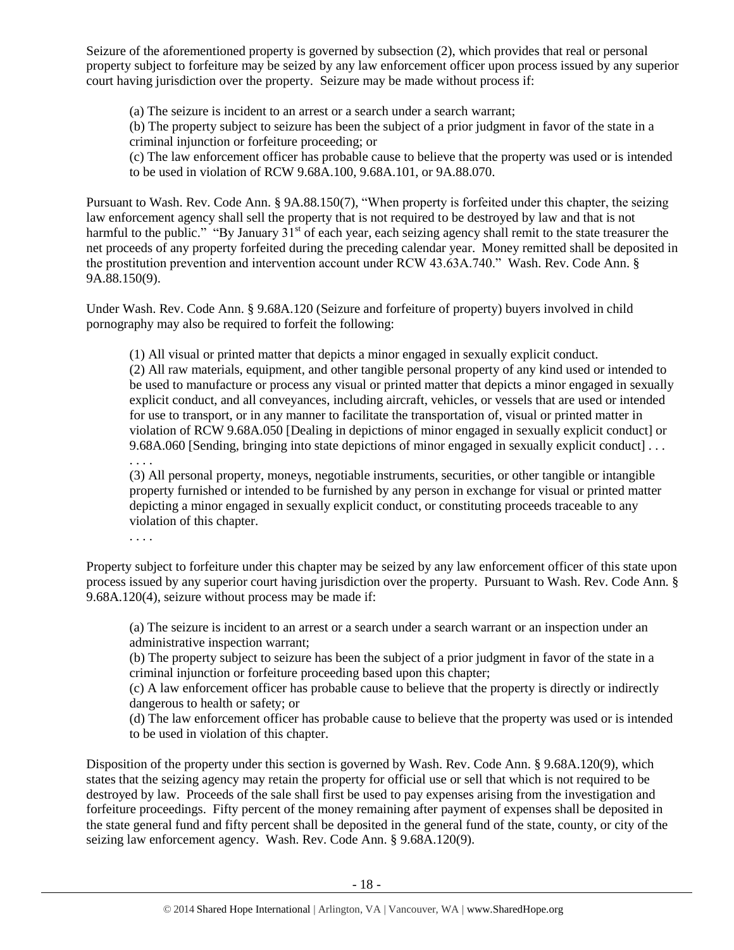Seizure of the aforementioned property is governed by subsection (2), which provides that real or personal property subject to forfeiture may be seized by any law enforcement officer upon process issued by any superior court having jurisdiction over the property. Seizure may be made without process if:

(a) The seizure is incident to an arrest or a search under a search warrant;

(b) The property subject to seizure has been the subject of a prior judgment in favor of the state in a criminal injunction or forfeiture proceeding; or

(c) The law enforcement officer has probable cause to believe that the property was used or is intended to be used in violation of RCW 9.68A.100, 9.68A.101, or 9A.88.070.

Pursuant to Wash. Rev. Code Ann. § 9A.88.150(7), "When property is forfeited under this chapter, the seizing law enforcement agency shall sell the property that is not required to be destroyed by law and that is not harmful to the public." "By January  $31<sup>st</sup>$  of each year, each seizing agency shall remit to the state treasurer the net proceeds of any property forfeited during the preceding calendar year. Money remitted shall be deposited in the prostitution prevention and intervention account under RCW 43.63A.740." Wash. Rev. Code Ann. § 9A.88.150(9).

Under Wash. Rev. Code Ann. § 9.68A.120 (Seizure and forfeiture of property) buyers involved in child pornography may also be required to forfeit the following:

(1) All visual or printed matter that depicts a minor engaged in sexually explicit conduct.

(2) All raw materials, equipment, and other tangible personal property of any kind used or intended to be used to manufacture or process any visual or printed matter that depicts a minor engaged in sexually explicit conduct, and all conveyances, including aircraft, vehicles, or vessels that are used or intended for use to transport, or in any manner to facilitate the transportation of, visual or printed matter in violation of RCW 9.68A.050 [Dealing in depictions of minor engaged in sexually explicit conduct] or 9.68A.060 [Sending, bringing into state depictions of minor engaged in sexually explicit conduct] . . .

(3) All personal property, moneys, negotiable instruments, securities, or other tangible or intangible property furnished or intended to be furnished by any person in exchange for visual or printed matter depicting a minor engaged in sexually explicit conduct, or constituting proceeds traceable to any violation of this chapter.

. . . .

. . . .

Property subject to forfeiture under this chapter may be seized by any law enforcement officer of this state upon process issued by any superior court having jurisdiction over the property. Pursuant to Wash. Rev. Code Ann. § 9.68A.120(4), seizure without process may be made if:

(a) The seizure is incident to an arrest or a search under a search warrant or an inspection under an administrative inspection warrant;

(b) The property subject to seizure has been the subject of a prior judgment in favor of the state in a criminal injunction or forfeiture proceeding based upon this chapter;

(c) A law enforcement officer has probable cause to believe that the property is directly or indirectly dangerous to health or safety; or

(d) The law enforcement officer has probable cause to believe that the property was used or is intended to be used in violation of this chapter.

Disposition of the property under this section is governed by Wash. Rev. Code Ann. § 9.68A.120(9), which states that the seizing agency may retain the property for official use or sell that which is not required to be destroyed by law. Proceeds of the sale shall first be used to pay expenses arising from the investigation and forfeiture proceedings. Fifty percent of the money remaining after payment of expenses shall be deposited in the state general fund and fifty percent shall be deposited in the general fund of the state, county, or city of the seizing law enforcement agency. Wash. Rev. Code Ann. § 9.68A.120(9).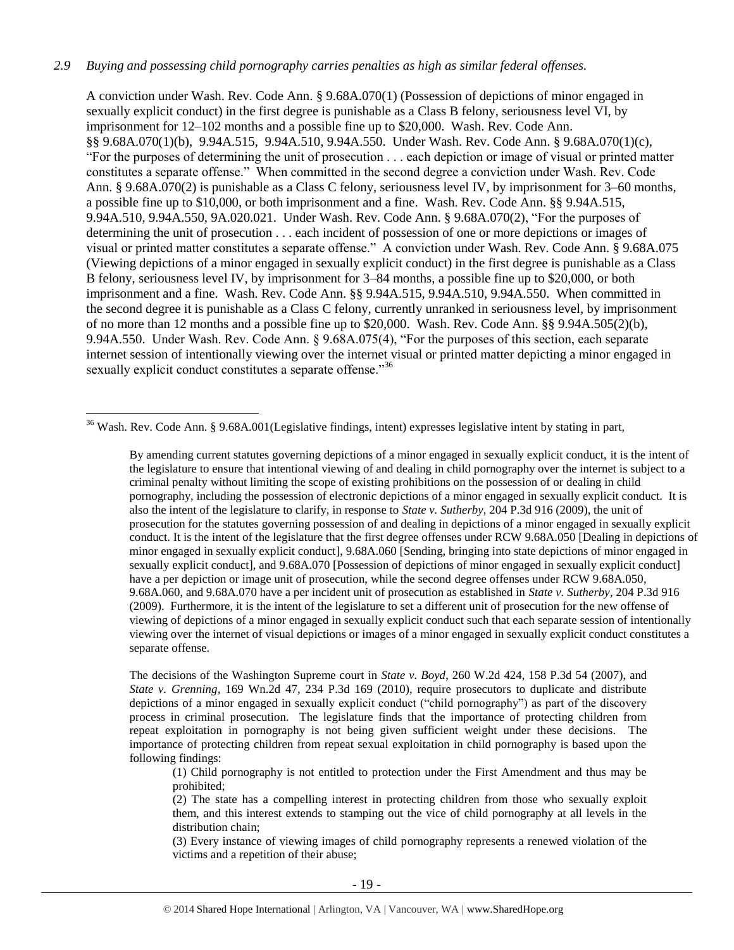#### *2.9 Buying and possessing child pornography carries penalties as high as similar federal offenses.*

A conviction under Wash. Rev. Code Ann. § 9.68A.070(1) (Possession of depictions of minor engaged in sexually explicit conduct) in the first degree is punishable as a Class B felony, seriousness level VI, by imprisonment for 12–102 months and a possible fine up to \$20,000. Wash. Rev. Code Ann. §§ 9.68A.070(1)(b), 9.94A.515, 9.94A.510, 9.94A.550. Under Wash. Rev. Code Ann. § 9.68A.070(1)(c), "For the purposes of determining the unit of prosecution . . . each depiction or image of visual or printed matter constitutes a separate offense." When committed in the second degree a conviction under Wash. Rev. Code Ann. § 9.68A.070(2) is punishable as a Class C felony, seriousness level IV, by imprisonment for 3–60 months, a possible fine up to \$10,000, or both imprisonment and a fine. Wash. Rev. Code Ann. §§ 9.94A.515, 9.94A.510, 9.94A.550, 9A.020.021. Under Wash. Rev. Code Ann. § 9.68A.070(2), "For the purposes of determining the unit of prosecution . . . each incident of possession of one or more depictions or images of visual or printed matter constitutes a separate offense." A conviction under Wash. Rev. Code Ann. § 9.68A.075 (Viewing depictions of a minor engaged in sexually explicit conduct) in the first degree is punishable as a Class B felony, seriousness level IV, by imprisonment for 3–84 months, a possible fine up to \$20,000, or both imprisonment and a fine. Wash. Rev. Code Ann. §§ 9.94A.515, 9.94A.510, 9.94A.550. When committed in the second degree it is punishable as a Class C felony, currently unranked in seriousness level, by imprisonment of no more than 12 months and a possible fine up to \$20,000. Wash. Rev. Code Ann. §§ 9.94A.505(2)(b), 9.94A.550. Under Wash. Rev. Code Ann. § 9.68A.075(4), "For the purposes of this section, each separate internet session of intentionally viewing over the internet visual or printed matter depicting a minor engaged in sexually explicit conduct constitutes a separate offense."<sup>36</sup>

<sup>36</sup> Wash. Rev. Code Ann. § 9.68A.001(Legislative findings, intent) expresses legislative intent by stating in part,

 $\overline{a}$ 

By amending current statutes governing depictions of a minor engaged in sexually explicit conduct, it is the intent of the legislature to ensure that intentional viewing of and dealing in child pornography over the internet is subject to a criminal penalty without limiting the scope of existing prohibitions on the possession of or dealing in child pornography, including the possession of electronic depictions of a minor engaged in sexually explicit conduct. It is also the intent of the legislature to clarify, in response to *State v. Sutherby*, 204 P.3d 916 (2009), the unit of prosecution for the statutes governing possession of and dealing in depictions of a minor engaged in sexually explicit conduct. It is the intent of the legislature that the first degree offenses under RCW 9.68A.050 [Dealing in depictions of minor engaged in sexually explicit conduct], 9.68A.060 [Sending, bringing into state depictions of minor engaged in sexually explicit conduct], and 9.68A.070 [Possession of depictions of minor engaged in sexually explicit conduct] have a per depiction or image unit of prosecution, while the second degree offenses under RCW 9.68A.050, 9.68A.060, and 9.68A.070 have a per incident unit of prosecution as established in *State v. Sutherby*, 204 P.3d 916 (2009). Furthermore, it is the intent of the legislature to set a different unit of prosecution for the new offense of viewing of depictions of a minor engaged in sexually explicit conduct such that each separate session of intentionally viewing over the internet of visual depictions or images of a minor engaged in sexually explicit conduct constitutes a separate offense.

The decisions of the Washington Supreme court in *State v. Boyd*, 260 W.2d 424, 158 P.3d 54 (2007), and *State v. Grenning*, 169 Wn.2d 47, 234 P.3d 169 (2010), require prosecutors to duplicate and distribute depictions of a minor engaged in sexually explicit conduct ("child pornography") as part of the discovery process in criminal prosecution. The legislature finds that the importance of protecting children from repeat exploitation in pornography is not being given sufficient weight under these decisions. The importance of protecting children from repeat sexual exploitation in child pornography is based upon the following findings:

(1) Child pornography is not entitled to protection under the First Amendment and thus may be prohibited;

(2) The state has a compelling interest in protecting children from those who sexually exploit them, and this interest extends to stamping out the vice of child pornography at all levels in the distribution chain;

(3) Every instance of viewing images of child pornography represents a renewed violation of the victims and a repetition of their abuse;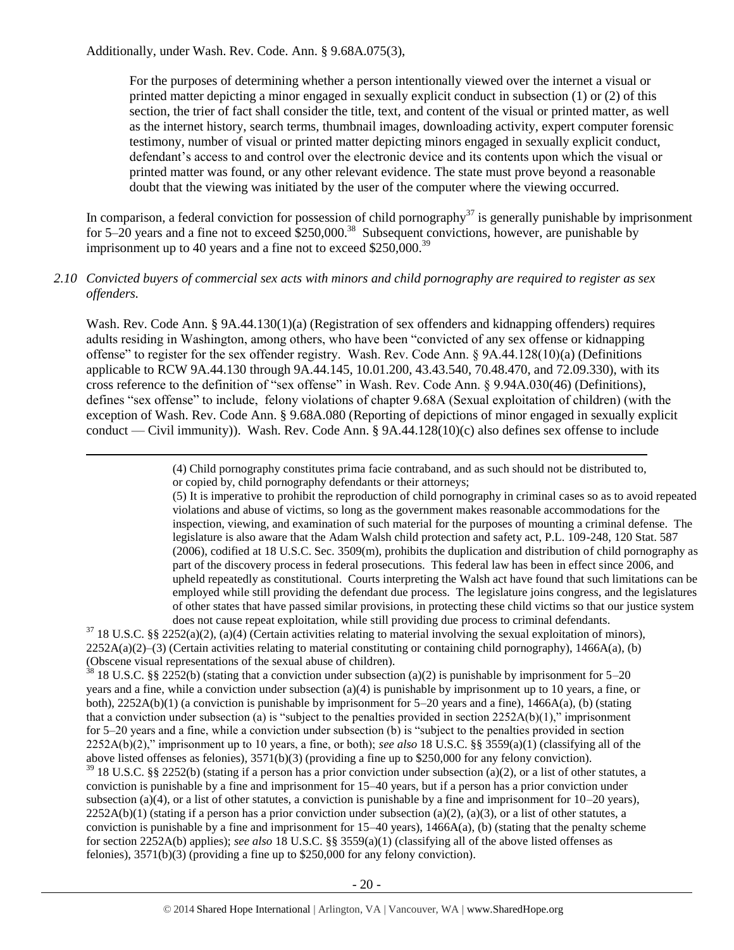$\overline{a}$ 

For the purposes of determining whether a person intentionally viewed over the internet a visual or printed matter depicting a minor engaged in sexually explicit conduct in subsection (1) or (2) of this section, the trier of fact shall consider the title, text, and content of the visual or printed matter, as well as the internet history, search terms, thumbnail images, downloading activity, expert computer forensic testimony, number of visual or printed matter depicting minors engaged in sexually explicit conduct, defendant's access to and control over the electronic device and its contents upon which the visual or printed matter was found, or any other relevant evidence. The state must prove beyond a reasonable doubt that the viewing was initiated by the user of the computer where the viewing occurred.

In comparison, a federal conviction for possession of child pornography $37$  is generally punishable by imprisonment for 5–20 years and a fine not to exceed  $$250,000$ .<sup>38</sup> Subsequent convictions, however, are punishable by imprisonment up to 40 years and a fine not to exceed \$250,000.<sup>39</sup>

# *2.10 Convicted buyers of commercial sex acts with minors and child pornography are required to register as sex offenders.*

Wash. Rev. Code Ann. § 9A.44.130(1)(a) (Registration of sex offenders and kidnapping offenders) requires adults residing in Washington, among others, who have been "convicted of any sex offense or kidnapping offense" to register for the sex offender registry. Wash. Rev. Code Ann. § 9A.44.128(10)(a) (Definitions applicable to RCW 9A.44.130 through 9A.44.145, 10.01.200, 43.43.540, 70.48.470, and 72.09.330), with its cross reference to the definition of "sex offense" in Wash. Rev. Code Ann. § 9.94A.030(46) (Definitions), defines "sex offense" to include, felony violations of chapter 9.68A (Sexual exploitation of children) (with the exception of Wash. Rev. Code Ann. § 9.68A.080 (Reporting of depictions of minor engaged in sexually explicit conduct — Civil immunity)). Wash. Rev. Code Ann. § 9A.44.128(10)(c) also defines sex offense to include

> (4) Child pornography constitutes prima facie contraband, and as such should not be distributed to, or copied by, child pornography defendants or their attorneys;

(5) It is imperative to prohibit the reproduction of child pornography in criminal cases so as to avoid repeated violations and abuse of victims, so long as the government makes reasonable accommodations for the inspection, viewing, and examination of such material for the purposes of mounting a criminal defense. The legislature is also aware that the Adam Walsh child protection and safety act, P.L. 109-248, 120 Stat. 587 (2006), codified at 18 U.S.C. Sec. 3509(m), prohibits the duplication and distribution of child pornography as part of the discovery process in federal prosecutions. This federal law has been in effect since 2006, and upheld repeatedly as constitutional. Courts interpreting the Walsh act have found that such limitations can be employed while still providing the defendant due process. The legislature joins congress, and the legislatures of other states that have passed similar provisions, in protecting these child victims so that our justice system does not cause repeat exploitation, while still providing due process to criminal defendants.

 $37$  18 U.S.C. §§ 2252(a)(2), (a)(4) (Certain activities relating to material involving the sexual exploitation of minors), 2252A(a)(2)–(3) (Certain activities relating to material constituting or containing child pornography), 1466A(a), (b) (Obscene visual representations of the sexual abuse of children).

 $38$  18 U.S.C. §§ 2252(b) (stating that a conviction under subsection (a)(2) is punishable by imprisonment for 5–20 years and a fine, while a conviction under subsection (a)(4) is punishable by imprisonment up to 10 years, a fine, or both), 2252A(b)(1) (a conviction is punishable by imprisonment for 5–20 years and a fine), 1466A(a), (b) (stating that a conviction under subsection (a) is "subject to the penalties provided in section  $2252A(b)(1)$ ," imprisonment for 5–20 years and a fine, while a conviction under subsection (b) is "subject to the penalties provided in section 2252A(b)(2)," imprisonment up to 10 years, a fine, or both); *see also* 18 U.S.C. §§ 3559(a)(1) (classifying all of the above listed offenses as felonies), 3571(b)(3) (providing a fine up to \$250,000 for any felony conviction).

 $39$  18 U.S.C. §§ 2252(b) (stating if a person has a prior conviction under subsection (a)(2), or a list of other statutes, a conviction is punishable by a fine and imprisonment for 15–40 years, but if a person has a prior conviction under subsection (a)(4), or a list of other statutes, a conviction is punishable by a fine and imprisonment for  $10-20$  years),  $2252A(b)(1)$  (stating if a person has a prior conviction under subsection (a)(2), (a)(3), or a list of other statutes, a conviction is punishable by a fine and imprisonment for  $15-40$  years),  $1466A(a)$ , (b) (stating that the penalty scheme for section 2252A(b) applies); *see also* 18 U.S.C. §§ 3559(a)(1) (classifying all of the above listed offenses as felonies), 3571(b)(3) (providing a fine up to \$250,000 for any felony conviction).

- 20 -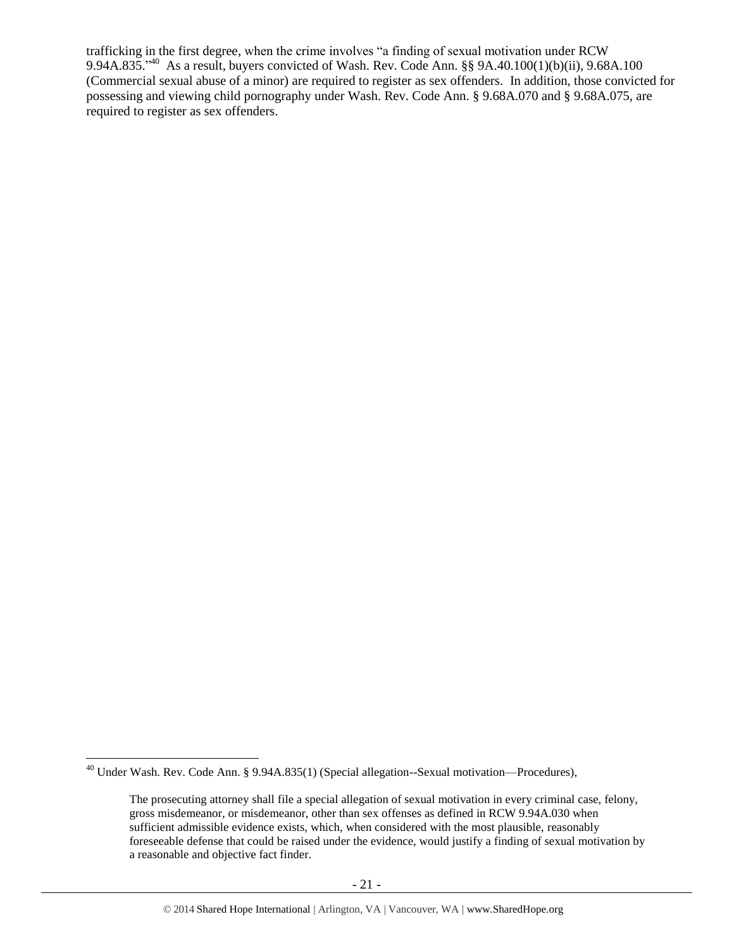trafficking in the first degree, when the crime involves "a finding of sexual motivation under RCW 9.94A.835." <sup>40</sup> As a result, buyers convicted of Wash. Rev. Code Ann. §§ 9A.40.100(1)(b)(ii), 9.68A.100 (Commercial sexual abuse of a minor) are required to register as sex offenders. In addition, those convicted for possessing and viewing child pornography under Wash. Rev. Code Ann. § 9.68A.070 and § 9.68A.075, are required to register as sex offenders.

<sup>&</sup>lt;sup>40</sup> Under Wash. Rev. Code Ann. § 9.94A.835(1) (Special allegation--Sexual motivation—Procedures),

The prosecuting attorney shall file a special allegation of sexual motivation in every criminal case, felony, gross misdemeanor, or misdemeanor, other than sex offenses as defined in RCW 9.94A.030 when sufficient admissible evidence exists, which, when considered with the most plausible, reasonably foreseeable defense that could be raised under the evidence, would justify a finding of sexual motivation by a reasonable and objective fact finder.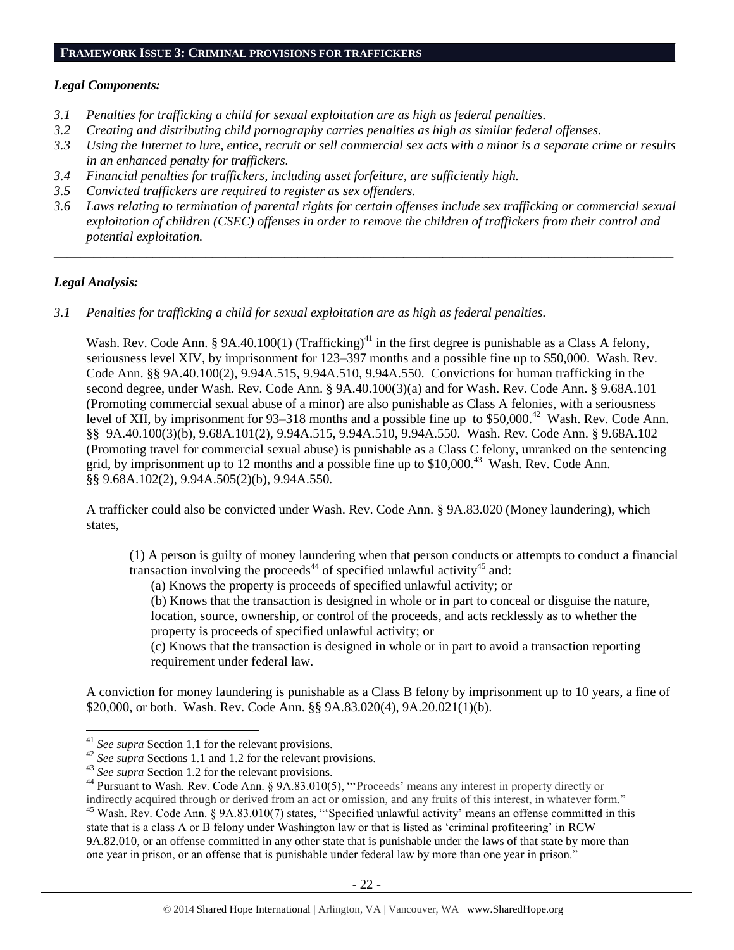#### **FRAMEWORK ISSUE 3: CRIMINAL PROVISIONS FOR TRAFFICKERS**

#### *Legal Components:*

- *3.1 Penalties for trafficking a child for sexual exploitation are as high as federal penalties.*
- *3.2 Creating and distributing child pornography carries penalties as high as similar federal offenses.*
- *3.3 Using the Internet to lure, entice, recruit or sell commercial sex acts with a minor is a separate crime or results in an enhanced penalty for traffickers.*
- *3.4 Financial penalties for traffickers, including asset forfeiture, are sufficiently high.*
- *3.5 Convicted traffickers are required to register as sex offenders.*
- *3.6 Laws relating to termination of parental rights for certain offenses include sex trafficking or commercial sexual exploitation of children (CSEC) offenses in order to remove the children of traffickers from their control and potential exploitation.*

*\_\_\_\_\_\_\_\_\_\_\_\_\_\_\_\_\_\_\_\_\_\_\_\_\_\_\_\_\_\_\_\_\_\_\_\_\_\_\_\_\_\_\_\_\_\_\_\_\_\_\_\_\_\_\_\_\_\_\_\_\_\_\_\_\_\_\_\_\_\_\_\_\_\_\_\_\_\_\_\_\_\_\_\_\_\_\_\_\_\_\_\_\_\_*

#### *Legal Analysis:*

 $\overline{a}$ 

*3.1 Penalties for trafficking a child for sexual exploitation are as high as federal penalties.* 

Wash. Rev. Code Ann. § 9A.40.100(1) (Trafficking)<sup>41</sup> in the first degree is punishable as a Class A felony, seriousness level XIV, by imprisonment for 123–397 months and a possible fine up to \$50,000. Wash. Rev. Code Ann. §§ 9A.40.100(2), 9.94A.515, 9.94A.510, 9.94A.550. Convictions for human trafficking in the second degree, under Wash. Rev. Code Ann. § 9A.40.100(3)(a) and for Wash. Rev. Code Ann. § 9.68A.101 (Promoting commercial sexual abuse of a minor) are also punishable as Class A felonies, with a seriousness level of XII, by imprisonment for 93–318 months and a possible fine up to  $$50,000.<sup>42</sup>$  Wash. Rev. Code Ann. §§ 9A.40.100(3)(b), 9.68A.101(2), 9.94A.515, 9.94A.510, 9.94A.550. Wash. Rev. Code Ann. § 9.68A.102 (Promoting travel for commercial sexual abuse) is punishable as a Class C felony, unranked on the sentencing grid, by imprisonment up to 12 months and a possible fine up to  $$10,000.<sup>43</sup>$  Wash. Rev. Code Ann. §§ 9.68A.102(2), 9.94A.505(2)(b), 9.94A.550.

A trafficker could also be convicted under Wash. Rev. Code Ann. § 9A.83.020 (Money laundering), which states,

(1) A person is guilty of money laundering when that person conducts or attempts to conduct a financial transaction involving the proceeds<sup>44</sup> of specified unlawful activity<sup>45</sup> and:

<span id="page-21-0"></span>(a) Knows the property is proceeds of specified unlawful activity; or

<span id="page-21-1"></span>(b) Knows that the transaction is designed in whole or in part to conceal or disguise the nature,

location, source, ownership, or control of the proceeds, and acts recklessly as to whether the property is proceeds of specified unlawful activity; or

(c) Knows that the transaction is designed in whole or in part to avoid a transaction reporting requirement under federal law.

A conviction for money laundering is punishable as a Class B felony by imprisonment up to 10 years, a fine of \$20,000, or both. Wash. Rev. Code Ann. §§ 9A.83.020(4), 9A.20.021(1)(b).

<sup>41</sup> *See supra* Section 1.1 for the relevant provisions.

<sup>&</sup>lt;sup>42</sup> See supra Sections 1.1 and 1.2 for the relevant provisions.

<sup>&</sup>lt;sup>43</sup> See supra Section 1.2 for the relevant provisions.

<sup>&</sup>lt;sup>44</sup> Pursuant to Wash. Rev. Code Ann. § 9A.83.010(5), "'Proceeds' means any interest in property directly or indirectly acquired through or derived from an act or omission, and any fruits of this interest, in whatever form." <sup>45</sup> Wash. Rev. Code Ann. § 9A.83.010(7) states, "Specified unlawful activity' means an offense committed in this state that is a class A or B felony under Washington law or that is listed as 'criminal profiteering' in RCW 9A.82.010, or an offense committed in any other state that is punishable under the laws of that state by more than one year in prison, or an offense that is punishable under federal law by more than one year in prison."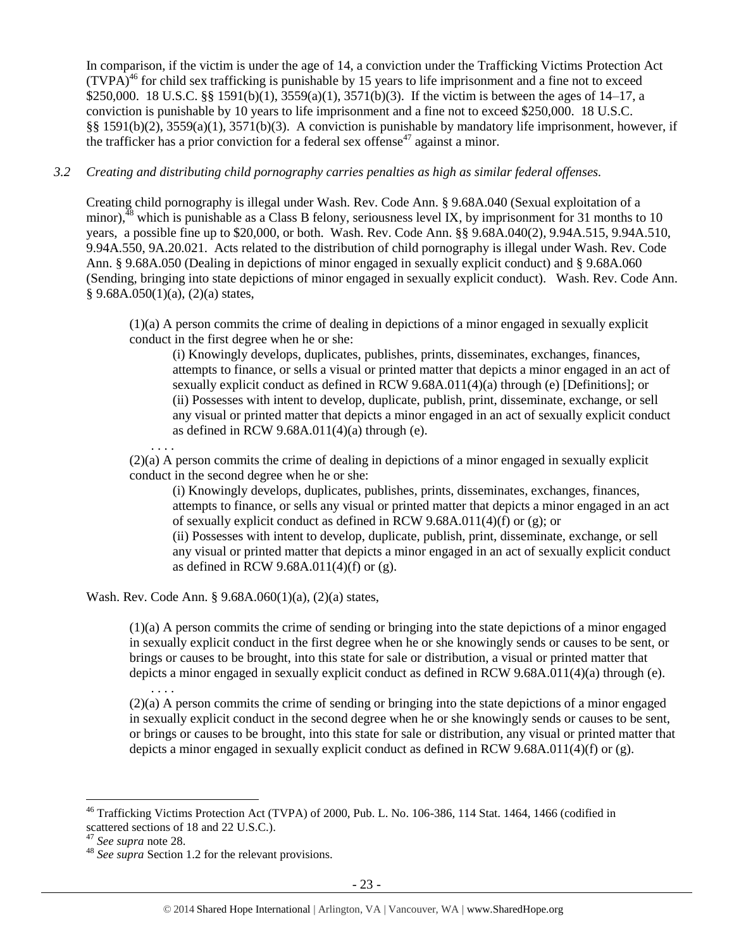In comparison, if the victim is under the age of 14, a conviction under the Trafficking Victims Protection Act  $(TVPA)<sup>46</sup>$  for child sex trafficking is punishable by 15 years to life imprisonment and a fine not to exceed \$250,000. 18 U.S.C. §§ 1591(b)(1), 3559(a)(1), 3571(b)(3). If the victim is between the ages of 14–17, a conviction is punishable by 10 years to life imprisonment and a fine not to exceed \$250,000. 18 U.S.C. §§ 1591(b)(2), 3559(a)(1), 3571(b)(3). A conviction is punishable by mandatory life imprisonment, however, if the trafficker has a prior conviction for a federal sex offense<sup>47</sup> against a minor.

# *3.2 Creating and distributing child pornography carries penalties as high as similar federal offenses.*

Creating child pornography is illegal under Wash. Rev. Code Ann. § 9.68A.040 (Sexual exploitation of a minor), $48$  which is punishable as a Class B felony, seriousness level IX, by imprisonment for 31 months to 10 years, a possible fine up to \$20,000, or both. Wash. Rev. Code Ann. §§ 9.68A.040(2), 9.94A.515, 9.94A.510, 9.94A.550, 9A.20.021. Acts related to the distribution of child pornography is illegal under Wash. Rev. Code Ann. § 9.68A.050 (Dealing in depictions of minor engaged in sexually explicit conduct) and § 9.68A.060 (Sending, bringing into state depictions of minor engaged in sexually explicit conduct). Wash. Rev. Code Ann.  $§ 9.68A.050(1)(a), (2)(a) states,$ 

(1)(a) A person commits the crime of dealing in depictions of a minor engaged in sexually explicit conduct in the first degree when he or she:

(i) Knowingly develops, duplicates, publishes, prints, disseminates, exchanges, finances, attempts to finance, or sells a visual or printed matter that depicts a minor engaged in an act of sexually explicit conduct as defined in RCW 9.68A.011(4)(a) through (e) [Definitions]; or (ii) Possesses with intent to develop, duplicate, publish, print, disseminate, exchange, or sell any visual or printed matter that depicts a minor engaged in an act of sexually explicit conduct as defined in RCW  $9.68A.011(4)(a)$  through (e).

. . . .

. . . .

(2)(a) A person commits the crime of dealing in depictions of a minor engaged in sexually explicit conduct in the second degree when he or she:

(i) Knowingly develops, duplicates, publishes, prints, disseminates, exchanges, finances, attempts to finance, or sells any visual or printed matter that depicts a minor engaged in an act of sexually explicit conduct as defined in RCW 9.68A.011(4)(f) or (g); or (ii) Possesses with intent to develop, duplicate, publish, print, disseminate, exchange, or sell any visual or printed matter that depicts a minor engaged in an act of sexually explicit conduct as defined in RCW 9.68A.011(4)(f) or (g).

Wash. Rev. Code Ann. § 9.68A.060(1)(a), (2)(a) states,

(1)(a) A person commits the crime of sending or bringing into the state depictions of a minor engaged in sexually explicit conduct in the first degree when he or she knowingly sends or causes to be sent, or brings or causes to be brought, into this state for sale or distribution, a visual or printed matter that depicts a minor engaged in sexually explicit conduct as defined in RCW 9.68A.011(4)(a) through (e).

(2)(a) A person commits the crime of sending or bringing into the state depictions of a minor engaged in sexually explicit conduct in the second degree when he or she knowingly sends or causes to be sent, or brings or causes to be brought, into this state for sale or distribution, any visual or printed matter that depicts a minor engaged in sexually explicit conduct as defined in RCW 9.68A.011(4)(f) or (g).

<sup>&</sup>lt;sup>46</sup> Trafficking Victims Protection Act (TVPA) of 2000, Pub. L. No. 106-386, 114 Stat. 1464, 1466 (codified in scattered sections of 18 and 22 U.S.C.).

<sup>47</sup> *See supra* note [28.](#page-12-0)

<sup>48</sup> *See supra* Section 1.2 for the relevant provisions.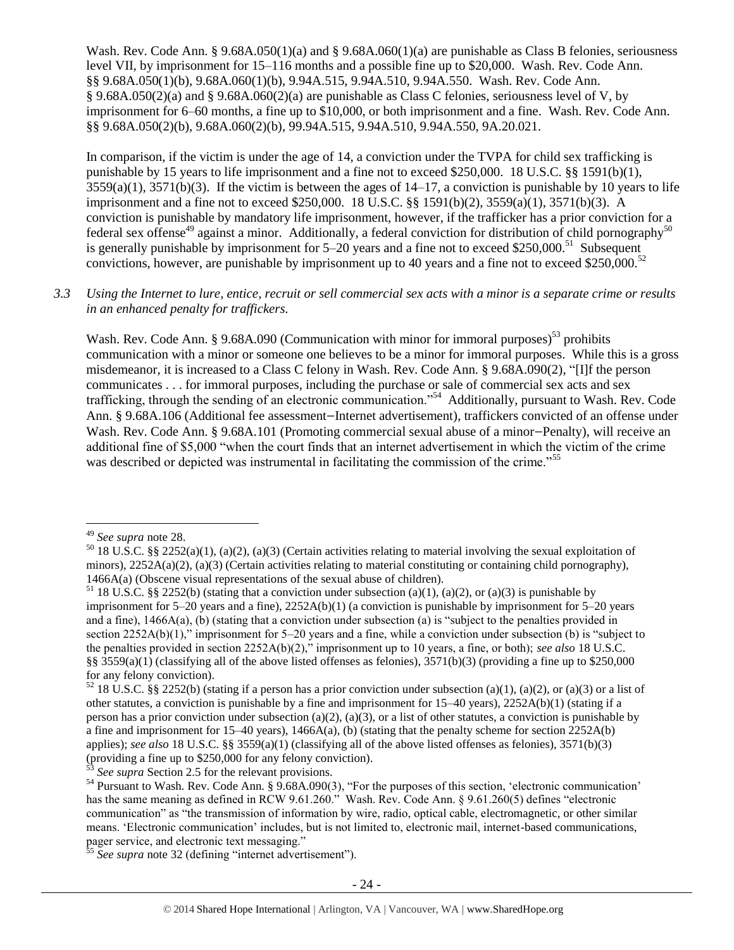Wash. Rev. Code Ann. § 9.68A.050(1)(a) and § 9.68A.060(1)(a) are punishable as Class B felonies, seriousness level VII, by imprisonment for 15–116 months and a possible fine up to \$20,000. Wash. Rev. Code Ann. §§ 9.68A.050(1)(b), 9.68A.060(1)(b), 9.94A.515, 9.94A.510, 9.94A.550. Wash. Rev. Code Ann. § 9.68A.050(2)(a) and § 9.68A.060(2)(a) are punishable as Class C felonies, seriousness level of V, by imprisonment for 6–60 months, a fine up to \$10,000, or both imprisonment and a fine. Wash. Rev. Code Ann. §§ 9.68A.050(2)(b), 9.68A.060(2)(b), 99.94A.515, 9.94A.510, 9.94A.550, 9A.20.021.

In comparison, if the victim is under the age of 14, a conviction under the TVPA for child sex trafficking is punishable by 15 years to life imprisonment and a fine not to exceed \$250,000. 18 U.S.C. §§ 1591(b)(1),  $3559(a)(1)$ ,  $3571(b)(3)$ . If the victim is between the ages of  $14-17$ , a conviction is punishable by 10 years to life imprisonment and a fine not to exceed \$250,000. 18 U.S.C. §§ 1591(b)(2), 3559(a)(1), 3571(b)(3). A conviction is punishable by mandatory life imprisonment, however, if the trafficker has a prior conviction for a federal sex offense<sup>49</sup> against a minor. Additionally, a federal conviction for distribution of child pornography<sup>50</sup> is generally punishable by imprisonment for  $5-20$  years and a fine not to exceed \$250,000.<sup>51</sup> Subsequent convictions, however, are punishable by imprisonment up to 40 years and a fine not to exceed \$250,000.<sup>52</sup>

*3.3 Using the Internet to lure, entice, recruit or sell commercial sex acts with a minor is a separate crime or results in an enhanced penalty for traffickers.*

Wash. Rev. Code Ann. § 9.68A.090 (Communication with minor for immoral purposes)<sup>53</sup> prohibits communication with a minor or someone one believes to be a minor for immoral purposes. While this is a gross misdemeanor, it is increased to a Class C felony in Wash. Rev. Code Ann. § 9.68A.090(2), "[I]f the person communicates . . . for immoral purposes, including the purchase or sale of commercial sex acts and sex trafficking, through the sending of an electronic communication."<sup>54</sup> Additionally, pursuant to Wash. Rev. Code Ann. § 9.68A.106 (Additional fee assessment—Internet advertisement), traffickers convicted of an offense under Wash. Rev. Code Ann. § 9.68A.101 (Promoting commercial sexual abuse of a minor-Penalty), will receive an additional fine of \$5,000 "when the court finds that an internet advertisement in which the victim of the crime was described or depicted was instrumental in facilitating the commission of the crime."<sup>55</sup>

<sup>49</sup> *See supra* note [28.](#page-12-0)

 $50$  18 U.S.C. §§ 2252(a)(1), (a)(2), (a)(3) (Certain activities relating to material involving the sexual exploitation of minors),  $2252A(a)(2)$ , (a)(3) (Certain activities relating to material constituting or containing child pornography), 1466A(a) (Obscene visual representations of the sexual abuse of children).

<sup>&</sup>lt;sup>51</sup> 18 U.S.C. §§ 2252(b) (stating that a conviction under subsection (a)(1), (a)(2), or (a)(3) is punishable by imprisonment for 5–20 years and a fine), 2252A(b)(1) (a conviction is punishable by imprisonment for 5–20 years and a fine), 1466A(a), (b) (stating that a conviction under subsection (a) is "subject to the penalties provided in section 2252A(b)(1)," imprisonment for 5–20 years and a fine, while a conviction under subsection (b) is "subject to the penalties provided in section 2252A(b)(2)," imprisonment up to 10 years, a fine, or both); *see also* 18 U.S.C. §§ 3559(a)(1) (classifying all of the above listed offenses as felonies),  $3571(b)(3)$  (providing a fine up to \$250,000 for any felony conviction).

<sup>&</sup>lt;sup>52</sup> 18 U.S.C. §§ 2252(b) (stating if a person has a prior conviction under subsection (a)(1), (a)(2), or (a)(3) or a list of other statutes, a conviction is punishable by a fine and imprisonment for 15–40 years), 2252A(b)(1) (stating if a person has a prior conviction under subsection (a)(2), (a)(3), or a list of other statutes, a conviction is punishable by a fine and imprisonment for  $15-40$  years),  $1466A(a)$ , (b) (stating that the penalty scheme for section  $2252A(b)$ applies); *see also* 18 U.S.C. §§ 3559(a)(1) (classifying all of the above listed offenses as felonies), 3571(b)(3) (providing a fine up to \$250,000 for any felony conviction).

See supra Section 2.5 for the relevant provisions.

<sup>&</sup>lt;sup>54</sup> Pursuant to Wash. Rev. Code Ann. § 9.68A.090(3), "For the purposes of this section, 'electronic communication' has the same meaning as defined in RCW 9.61.260." Wash. Rev. Code Ann. § 9.61.260(5) defines "electronic communication" as "the transmission of information by wire, radio, optical cable, electromagnetic, or other similar means. 'Electronic communication' includes, but is not limited to, electronic mail, internet-based communications, pager service, and electronic text messaging."

<sup>&</sup>lt;sup>55</sup> See supra note [32](#page-13-0) (defining "internet advertisement").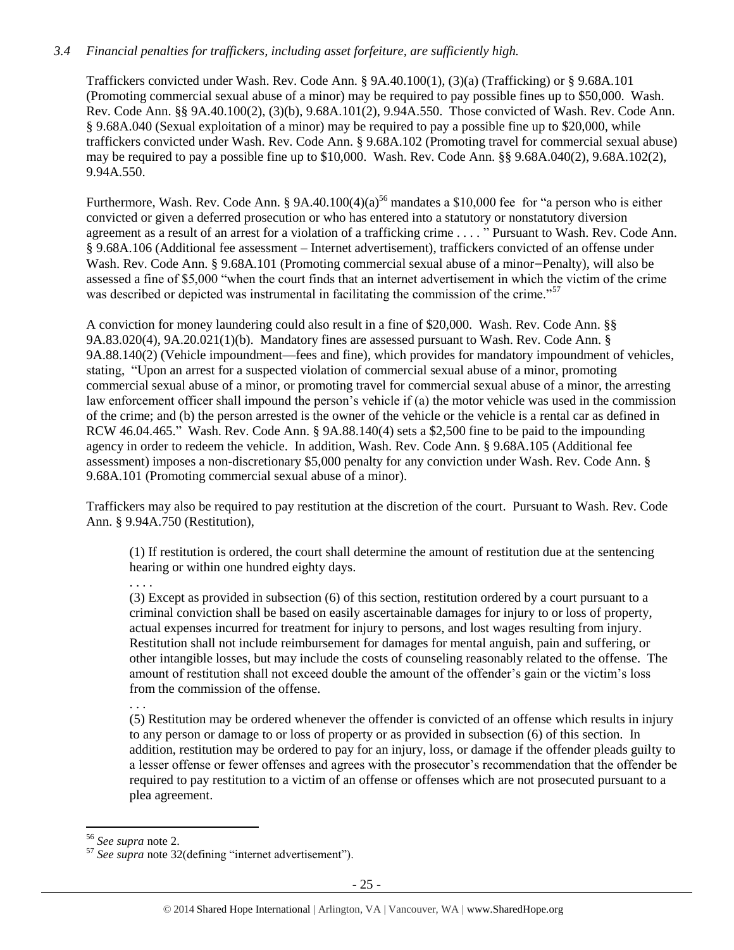# *3.4 Financial penalties for traffickers, including asset forfeiture, are sufficiently high.*

Traffickers convicted under Wash. Rev. Code Ann. § 9A.40.100(1), (3)(a) (Trafficking) or § 9.68A.101 (Promoting commercial sexual abuse of a minor) may be required to pay possible fines up to \$50,000. Wash. Rev. Code Ann. §§ 9A.40.100(2), (3)(b), 9.68A.101(2), 9.94A.550. Those convicted of Wash. Rev. Code Ann. § 9.68A.040 (Sexual exploitation of a minor) may be required to pay a possible fine up to \$20,000, while traffickers convicted under Wash. Rev. Code Ann. § 9.68A.102 (Promoting travel for commercial sexual abuse) may be required to pay a possible fine up to \$10,000. Wash. Rev. Code Ann. §§ 9.68A.040(2), 9.68A.102(2), 9.94A.550.

Furthermore, Wash. Rev. Code Ann. § 9A.40.100(4)(a)<sup>56</sup> mandates a \$10,000 fee for "a person who is either convicted or given a deferred prosecution or who has entered into a statutory or nonstatutory diversion agreement as a result of an arrest for a violation of a trafficking crime . . . . " Pursuant to Wash. Rev. Code Ann. § 9.68A.106 (Additional fee assessment – Internet advertisement), traffickers convicted of an offense under Wash. Rev. Code Ann. § 9.68A.101 (Promoting commercial sexual abuse of a minor—Penalty), will also be assessed a fine of \$5,000 "when the court finds that an internet advertisement in which the victim of the crime was described or depicted was instrumental in facilitating the commission of the crime."<sup>57</sup>

A conviction for money laundering could also result in a fine of \$20,000. Wash. Rev. Code Ann. §§ 9A.83.020(4), 9A.20.021(1)(b). Mandatory fines are assessed pursuant to Wash. Rev. Code Ann. § 9A.88.140(2) (Vehicle impoundment—fees and fine), which provides for mandatory impoundment of vehicles, stating, "Upon an arrest for a suspected violation of commercial sexual abuse of a minor, promoting commercial sexual abuse of a minor, or promoting travel for commercial sexual abuse of a minor, the arresting law enforcement officer shall impound the person's vehicle if (a) the motor vehicle was used in the commission of the crime; and (b) the person arrested is the owner of the vehicle or the vehicle is a rental car as defined in RCW 46.04.465." Wash. Rev. Code Ann. § 9A.88.140(4) sets a \$2,500 fine to be paid to the impounding agency in order to redeem the vehicle. In addition, Wash. Rev. Code Ann. § 9.68A.105 (Additional fee assessment) imposes a non-discretionary \$5,000 penalty for any conviction under Wash. Rev. Code Ann. § 9.68A.101 (Promoting commercial sexual abuse of a minor).

Traffickers may also be required to pay restitution at the discretion of the court. Pursuant to Wash. Rev. Code Ann. § 9.94A.750 (Restitution),

(1) If restitution is ordered, the court shall determine the amount of restitution due at the sentencing hearing or within one hundred eighty days.

. . . .

(3) Except as provided in subsection (6) of this section, restitution ordered by a court pursuant to a criminal conviction shall be based on easily ascertainable damages for injury to or loss of property, actual expenses incurred for treatment for injury to persons, and lost wages resulting from injury. Restitution shall not include reimbursement for damages for mental anguish, pain and suffering, or other intangible losses, but may include the costs of counseling reasonably related to the offense. The amount of restitution shall not exceed double the amount of the offender's gain or the victim's loss from the commission of the offense.

. . .

(5) Restitution may be ordered whenever the offender is convicted of an offense which results in injury to any person or damage to or loss of property or as provided in subsection (6) of this section. In addition, restitution may be ordered to pay for an injury, loss, or damage if the offender pleads guilty to a lesser offense or fewer offenses and agrees with the prosecutor's recommendation that the offender be required to pay restitution to a victim of an offense or offenses which are not prosecuted pursuant to a plea agreement.

<sup>56</sup> *See supra* note [2.](#page-0-0)

<sup>57</sup> *See supra* note [32\(](#page-13-0)defining "internet advertisement").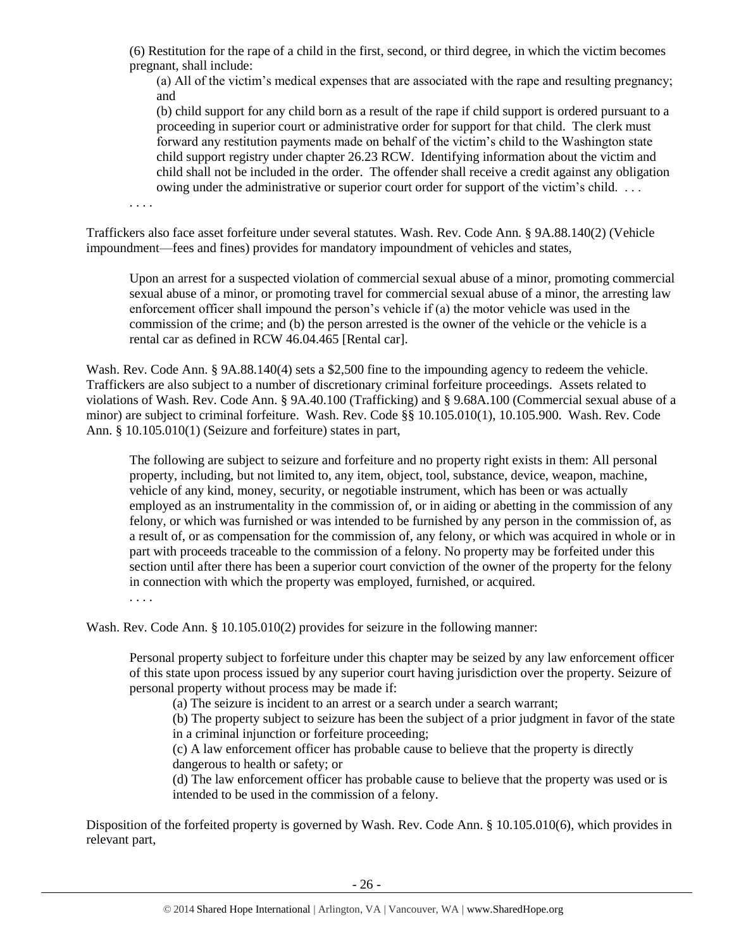(6) Restitution for the rape of a child in the first, second, or third degree, in which the victim becomes pregnant, shall include:

(a) All of the victim's medical expenses that are associated with the rape and resulting pregnancy; and

(b) child support for any child born as a result of the rape if child support is ordered pursuant to a proceeding in superior court or administrative order for support for that child. The clerk must forward any restitution payments made on behalf of the victim's child to the Washington state child support registry under chapter 26.23 RCW. Identifying information about the victim and child shall not be included in the order. The offender shall receive a credit against any obligation owing under the administrative or superior court order for support of the victim's child. . . .

. . . .

Traffickers also face asset forfeiture under several statutes. Wash. Rev. Code Ann. § 9A.88.140(2) (Vehicle impoundment—fees and fines) provides for mandatory impoundment of vehicles and states,

Upon an arrest for a suspected violation of commercial sexual abuse of a minor, promoting commercial sexual abuse of a minor, or promoting travel for commercial sexual abuse of a minor, the arresting law enforcement officer shall impound the person's vehicle if (a) the motor vehicle was used in the commission of the crime; and (b) the person arrested is the owner of the vehicle or the vehicle is a rental car as defined in RCW 46.04.465 [Rental car].

Wash. Rev. Code Ann. § 9A.88.140(4) sets a \$2,500 fine to the impounding agency to redeem the vehicle. Traffickers are also subject to a number of discretionary criminal forfeiture proceedings. Assets related to violations of Wash. Rev. Code Ann. § 9A.40.100 (Trafficking) and § 9.68A.100 (Commercial sexual abuse of a minor) are subject to criminal forfeiture. Wash. Rev. Code §§ 10.105.010(1), 10.105.900. Wash. Rev. Code Ann. § 10.105.010(1) (Seizure and forfeiture) states in part,

The following are subject to seizure and forfeiture and no property right exists in them: All personal property, including, but not limited to, any item, object, tool, substance, device, weapon, machine, vehicle of any kind, money, security, or negotiable instrument, which has been or was actually employed as an instrumentality in the commission of, or in aiding or abetting in the commission of any felony, or which was furnished or was intended to be furnished by any person in the commission of, as a result of, or as compensation for the commission of, any felony, or which was acquired in whole or in part with proceeds traceable to the commission of a felony. No property may be forfeited under this section until after there has been a superior court conviction of the owner of the property for the felony in connection with which the property was employed, furnished, or acquired.

. . . .

Wash. Rev. Code Ann. § 10.105.010(2) provides for seizure in the following manner:

Personal property subject to forfeiture under this chapter may be seized by any law enforcement officer of this state upon process issued by any superior court having jurisdiction over the property. Seizure of personal property without process may be made if:

(a) The seizure is incident to an arrest or a search under a search warrant;

(b) The property subject to seizure has been the subject of a prior judgment in favor of the state in a criminal injunction or forfeiture proceeding;

(c) A law enforcement officer has probable cause to believe that the property is directly dangerous to health or safety; or

(d) The law enforcement officer has probable cause to believe that the property was used or is intended to be used in the commission of a felony.

Disposition of the forfeited property is governed by Wash. Rev. Code Ann. § 10.105.010(6), which provides in relevant part,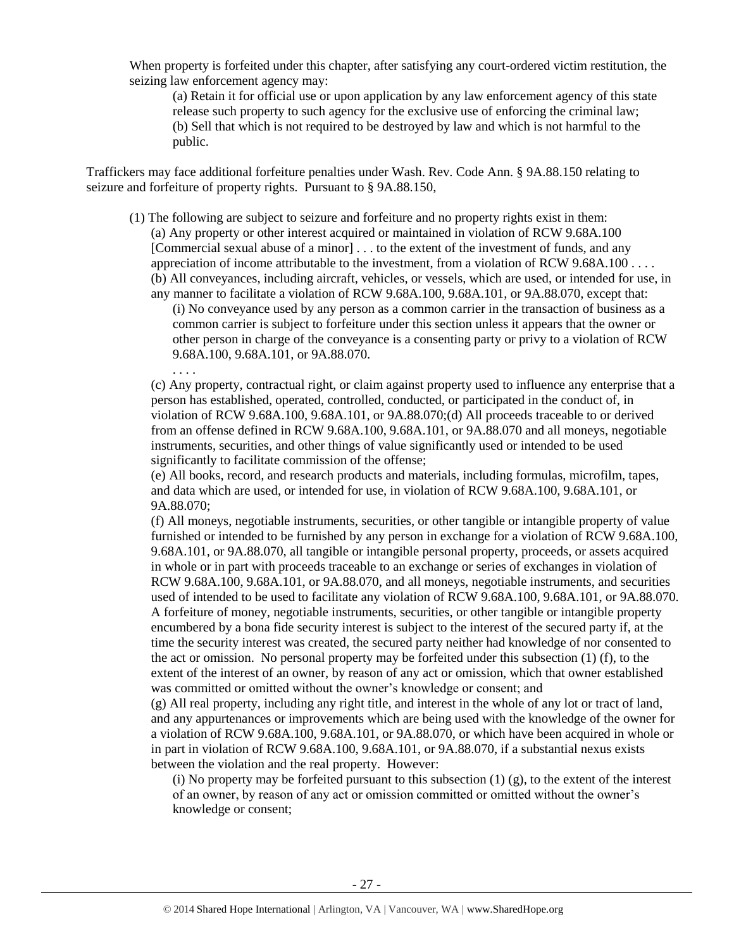When property is forfeited under this chapter, after satisfying any court-ordered victim restitution, the seizing law enforcement agency may:

(a) Retain it for official use or upon application by any law enforcement agency of this state release such property to such agency for the exclusive use of enforcing the criminal law; (b) Sell that which is not required to be destroyed by law and which is not harmful to the public.

Traffickers may face additional forfeiture penalties under Wash. Rev. Code Ann. § 9A.88.150 relating to seizure and forfeiture of property rights. Pursuant to § 9A.88.150,

. . . .

- (1) The following are subject to seizure and forfeiture and no property rights exist in them: (a) Any property or other interest acquired or maintained in violation of RCW 9.68A.100 [Commercial sexual abuse of a minor] . . . to the extent of the investment of funds, and any appreciation of income attributable to the investment, from a violation of RCW 9.68A.100 . . . . (b) All conveyances, including aircraft, vehicles, or vessels, which are used, or intended for use, in any manner to facilitate a violation of RCW 9.68A.100, 9.68A.101, or 9A.88.070, except that:
	- (i) No conveyance used by any person as a common carrier in the transaction of business as a common carrier is subject to forfeiture under this section unless it appears that the owner or other person in charge of the conveyance is a consenting party or privy to a violation of RCW 9.68A.100, 9.68A.101, or 9A.88.070.

(c) Any property, contractual right, or claim against property used to influence any enterprise that a person has established, operated, controlled, conducted, or participated in the conduct of, in violation of RCW 9.68A.100, 9.68A.101, or 9A.88.070;(d) All proceeds traceable to or derived from an offense defined in RCW 9.68A.100, 9.68A.101, or 9A.88.070 and all moneys, negotiable instruments, securities, and other things of value significantly used or intended to be used significantly to facilitate commission of the offense;

(e) All books, record, and research products and materials, including formulas, microfilm, tapes, and data which are used, or intended for use, in violation of RCW 9.68A.100, 9.68A.101, or 9A.88.070;

(f) All moneys, negotiable instruments, securities, or other tangible or intangible property of value furnished or intended to be furnished by any person in exchange for a violation of RCW 9.68A.100, 9.68A.101, or 9A.88.070, all tangible or intangible personal property, proceeds, or assets acquired in whole or in part with proceeds traceable to an exchange or series of exchanges in violation of RCW 9.68A.100, 9.68A.101, or 9A.88.070, and all moneys, negotiable instruments, and securities used of intended to be used to facilitate any violation of RCW 9.68A.100, 9.68A.101, or 9A.88.070. A forfeiture of money, negotiable instruments, securities, or other tangible or intangible property encumbered by a bona fide security interest is subject to the interest of the secured party if, at the time the security interest was created, the secured party neither had knowledge of nor consented to the act or omission. No personal property may be forfeited under this subsection (1) (f), to the extent of the interest of an owner, by reason of any act or omission, which that owner established was committed or omitted without the owner's knowledge or consent; and

(g) All real property, including any right title, and interest in the whole of any lot or tract of land, and any appurtenances or improvements which are being used with the knowledge of the owner for a violation of RCW 9.68A.100, 9.68A.101, or 9A.88.070, or which have been acquired in whole or in part in violation of RCW 9.68A.100, 9.68A.101, or 9A.88.070, if a substantial nexus exists between the violation and the real property. However:

(i) No property may be forfeited pursuant to this subsection  $(1)$   $(g)$ , to the extent of the interest of an owner, by reason of any act or omission committed or omitted without the owner's knowledge or consent;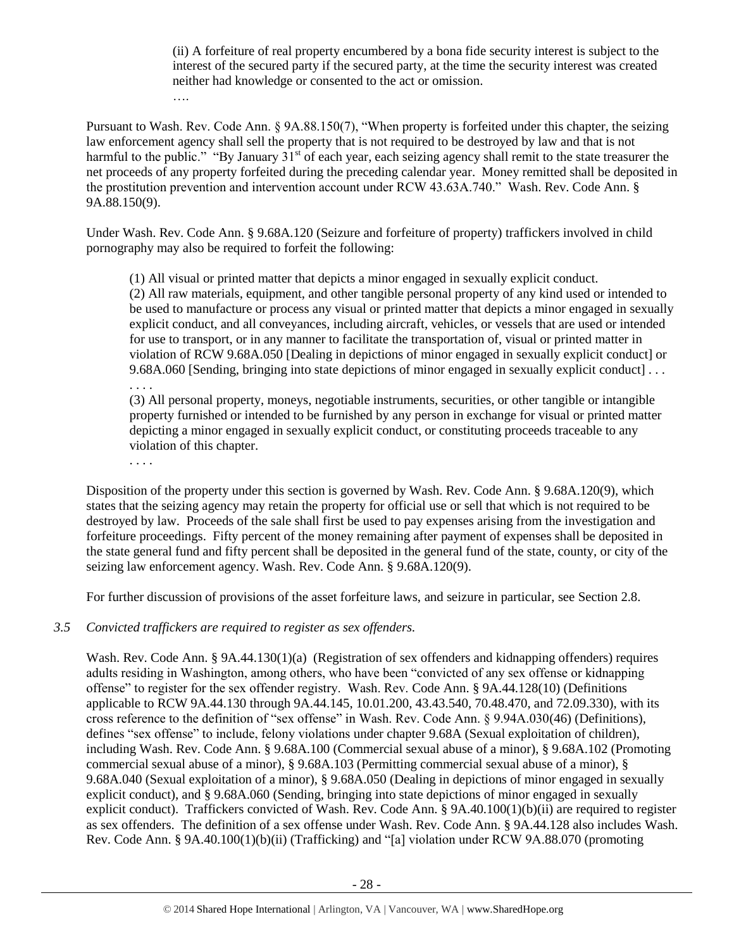(ii) A forfeiture of real property encumbered by a bona fide security interest is subject to the interest of the secured party if the secured party, at the time the security interest was created neither had knowledge or consented to the act or omission.

Pursuant to Wash. Rev. Code Ann. § 9A.88.150(7), "When property is forfeited under this chapter, the seizing law enforcement agency shall sell the property that is not required to be destroyed by law and that is not harmful to the public." "By January  $31<sup>st</sup>$  of each year, each seizing agency shall remit to the state treasurer the net proceeds of any property forfeited during the preceding calendar year. Money remitted shall be deposited in the prostitution prevention and intervention account under RCW 43.63A.740." Wash. Rev. Code Ann. § 9A.88.150(9).

Under Wash. Rev. Code Ann. § 9.68A.120 (Seizure and forfeiture of property) traffickers involved in child pornography may also be required to forfeit the following:

(1) All visual or printed matter that depicts a minor engaged in sexually explicit conduct.

(2) All raw materials, equipment, and other tangible personal property of any kind used or intended to be used to manufacture or process any visual or printed matter that depicts a minor engaged in sexually explicit conduct, and all conveyances, including aircraft, vehicles, or vessels that are used or intended for use to transport, or in any manner to facilitate the transportation of, visual or printed matter in violation of RCW 9.68A.050 [Dealing in depictions of minor engaged in sexually explicit conduct] or 9.68A.060 [Sending, bringing into state depictions of minor engaged in sexually explicit conduct] . . . . . . .

(3) All personal property, moneys, negotiable instruments, securities, or other tangible or intangible property furnished or intended to be furnished by any person in exchange for visual or printed matter depicting a minor engaged in sexually explicit conduct, or constituting proceeds traceable to any violation of this chapter.

. . . .

….

Disposition of the property under this section is governed by Wash. Rev. Code Ann. § 9.68A.120(9), which states that the seizing agency may retain the property for official use or sell that which is not required to be destroyed by law. Proceeds of the sale shall first be used to pay expenses arising from the investigation and forfeiture proceedings. Fifty percent of the money remaining after payment of expenses shall be deposited in the state general fund and fifty percent shall be deposited in the general fund of the state, county, or city of the seizing law enforcement agency. Wash. Rev. Code Ann. § 9.68A.120(9).

For further discussion of provisions of the asset forfeiture laws, and seizure in particular, see Section 2.8.

#### *3.5 Convicted traffickers are required to register as sex offenders.*

Wash. Rev. Code Ann. § 9A.44.130(1)(a) (Registration of sex offenders and kidnapping offenders) requires adults residing in Washington, among others, who have been "convicted of any sex offense or kidnapping offense" to register for the sex offender registry. Wash. Rev. Code Ann. § 9A.44.128(10) (Definitions applicable to RCW 9A.44.130 through 9A.44.145, 10.01.200, 43.43.540, 70.48.470, and 72.09.330), with its cross reference to the definition of "sex offense" in Wash. Rev. Code Ann. § 9.94A.030(46) (Definitions), defines "sex offense" to include, felony violations under chapter 9.68A (Sexual exploitation of children), including Wash. Rev. Code Ann. § 9.68A.100 (Commercial sexual abuse of a minor), § 9.68A.102 (Promoting commercial sexual abuse of a minor), § 9.68A.103 (Permitting commercial sexual abuse of a minor), § 9.68A.040 (Sexual exploitation of a minor), § 9.68A.050 (Dealing in depictions of minor engaged in sexually explicit conduct), and § 9.68A.060 (Sending, bringing into state depictions of minor engaged in sexually explicit conduct). Traffickers convicted of Wash. Rev. Code Ann. § 9A.40.100(1)(b)(ii) are required to register as sex offenders. The definition of a sex offense under Wash. Rev. Code Ann. § 9A.44.128 also includes Wash. Rev. Code Ann. § 9A.40.100(1)(b)(ii) (Trafficking) and "[a] violation under RCW 9A.88.070 (promoting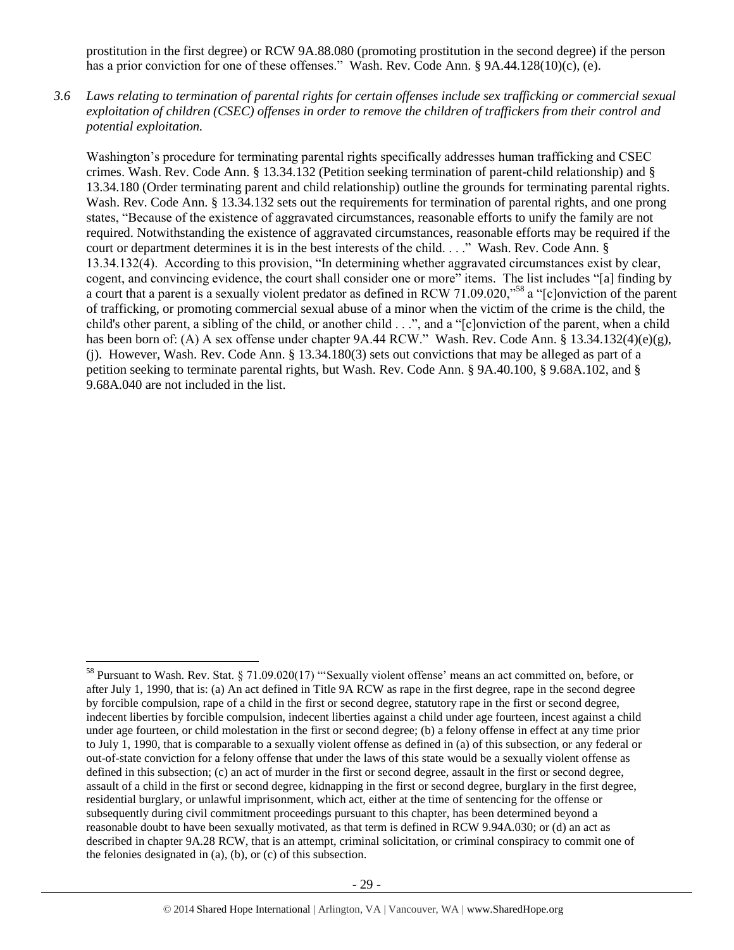prostitution in the first degree) or RCW 9A.88.080 (promoting prostitution in the second degree) if the person has a prior conviction for one of these offenses." Wash. Rev. Code Ann. § 9A.44.128(10)(c), (e).

*3.6 Laws relating to termination of parental rights for certain offenses include sex trafficking or commercial sexual exploitation of children (CSEC) offenses in order to remove the children of traffickers from their control and potential exploitation.* 

Washington's procedure for terminating parental rights specifically addresses human trafficking and CSEC crimes. Wash. Rev. Code Ann. § 13.34.132 (Petition seeking termination of parent-child relationship) and § 13.34.180 (Order terminating parent and child relationship) outline the grounds for terminating parental rights. Wash. Rev. Code Ann. § 13.34.132 sets out the requirements for termination of parental rights, and one prong states, "Because of the existence of aggravated circumstances, reasonable efforts to unify the family are not required. Notwithstanding the existence of aggravated circumstances, reasonable efforts may be required if the court or department determines it is in the best interests of the child. . . ." Wash. Rev. Code Ann. § 13.34.132(4). According to this provision, "In determining whether aggravated circumstances exist by clear, cogent, and convincing evidence, the court shall consider one or more" items. The list includes "[a] finding by a court that a parent is a sexually violent predator as defined in RCW 71.09.020,"<sup>58</sup> a "[c]onviction of the parent of trafficking, or promoting commercial sexual abuse of a minor when the victim of the crime is the child, the child's other parent, a sibling of the child, or another child . . .", and a "[c]onviction of the parent, when a child has been born of: (A) A sex offense under chapter 9A.44 RCW." Wash. Rev. Code Ann. § 13.34.132(4)(e)(g), (j). However, Wash. Rev. Code Ann. § 13.34.180(3) sets out convictions that may be alleged as part of a petition seeking to terminate parental rights, but Wash. Rev. Code Ann. § 9A.40.100, § 9.68A.102, and § 9.68A.040 are not included in the list.

<sup>58</sup> Pursuant to Wash. Rev. Stat. § 71.09.020(17) "'Sexually violent offense' means an act committed on, before, or after July 1, 1990, that is: (a) An act defined in Title 9A RCW as rape in the first degree, rape in the second degree by forcible compulsion, rape of a child in the first or second degree, statutory rape in the first or second degree, indecent liberties by forcible compulsion, indecent liberties against a child under age fourteen, incest against a child under age fourteen, or child molestation in the first or second degree; (b) a felony offense in effect at any time prior to July 1, 1990, that is comparable to a sexually violent offense as defined in (a) of this subsection, or any federal or out-of-state conviction for a felony offense that under the laws of this state would be a sexually violent offense as defined in this subsection; (c) an act of murder in the first or second degree, assault in the first or second degree, assault of a child in the first or second degree, kidnapping in the first or second degree, burglary in the first degree, residential burglary, or unlawful imprisonment, which act, either at the time of sentencing for the offense or subsequently during civil commitment proceedings pursuant to this chapter, has been determined beyond a reasonable doubt to have been sexually motivated, as that term is defined in RCW 9.94A.030; or (d) an act as described in chapter 9A.28 RCW, that is an attempt, criminal solicitation, or criminal conspiracy to commit one of the felonies designated in (a), (b), or (c) of this subsection.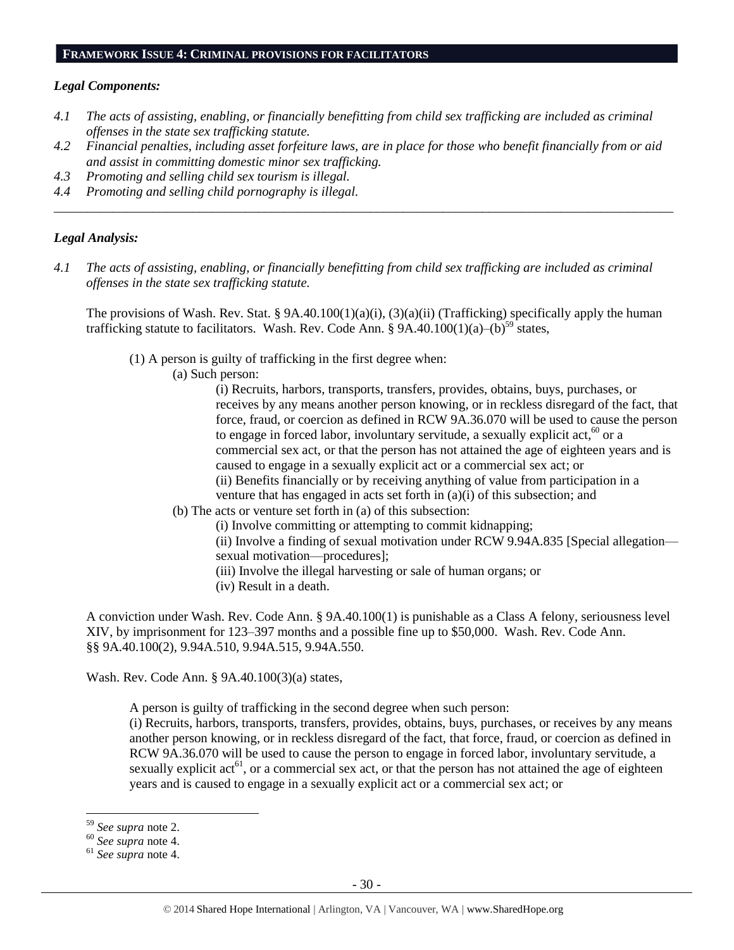# **FRAMEWORK ISSUE 4: CRIMINAL PROVISIONS FOR FACILITATORS**

#### *Legal Components:*

- *4.1 The acts of assisting, enabling, or financially benefitting from child sex trafficking are included as criminal offenses in the state sex trafficking statute.*
- *4.2 Financial penalties, including asset forfeiture laws, are in place for those who benefit financially from or aid and assist in committing domestic minor sex trafficking.*

*\_\_\_\_\_\_\_\_\_\_\_\_\_\_\_\_\_\_\_\_\_\_\_\_\_\_\_\_\_\_\_\_\_\_\_\_\_\_\_\_\_\_\_\_\_\_\_\_\_\_\_\_\_\_\_\_\_\_\_\_\_\_\_\_\_\_\_\_\_\_\_\_\_\_\_\_\_\_\_\_\_\_\_\_\_\_\_\_\_\_\_\_\_\_*

- *4.3 Promoting and selling child sex tourism is illegal.*
- *4.4 Promoting and selling child pornography is illegal.*

#### *Legal Analysis:*

*4.1 The acts of assisting, enabling, or financially benefitting from child sex trafficking are included as criminal offenses in the state sex trafficking statute.*

The provisions of Wash. Rev. Stat. § 9A.40.100(1)(a)(i), (3)(a)(ii) (Trafficking) specifically apply the human trafficking statute to facilitators. Wash. Rev. Code Ann. §  $9A.40.100(1)(a)$ - $(b)$ <sup>59</sup> states,

(1) A person is guilty of trafficking in the first degree when:

(a) Such person:

(i) Recruits, harbors, transports, transfers, provides, obtains, buys, purchases, or receives by any means another person knowing, or in reckless disregard of the fact, that force, fraud, or coercion as defined in RCW 9A.36.070 will be used to cause the person to engage in forced labor, involuntary servitude, a sexually explicit act,  $60$  or a commercial sex act, or that the person has not attained the age of eighteen years and is caused to engage in a sexually explicit act or a commercial sex act; or (ii) Benefits financially or by receiving anything of value from participation in a venture that has engaged in acts set forth in (a)(i) of this subsection; and

- (b) The acts or venture set forth in (a) of this subsection:
	- (i) Involve committing or attempting to commit kidnapping;

(ii) Involve a finding of sexual motivation under RCW 9.94A.835 [Special allegation sexual motivation—procedures];

- (iii) Involve the illegal harvesting or sale of human organs; or
- (iv) Result in a death.

A conviction under Wash. Rev. Code Ann. § 9A.40.100(1) is punishable as a Class A felony, seriousness level XIV, by imprisonment for 123–397 months and a possible fine up to \$50,000. Wash. Rev. Code Ann. §§ 9A.40.100(2), 9.94A.510, 9.94A.515, 9.94A.550.

Wash. Rev. Code Ann. § 9A.40.100(3)(a) states,

A person is guilty of trafficking in the second degree when such person:

(i) Recruits, harbors, transports, transfers, provides, obtains, buys, purchases, or receives by any means another person knowing, or in reckless disregard of the fact, that force, fraud, or coercion as defined in RCW 9A.36.070 will be used to cause the person to engage in forced labor, involuntary servitude, a sexually explicit  $\text{act}^6$ , or a commercial sex act, or that the person has not attained the age of eighteen years and is caused to engage in a sexually explicit act or a commercial sex act; or

<sup>59</sup> *See supra* note [2.](#page-0-0)

<sup>60</sup> *See supra* note [4.](#page-1-0)

<sup>61</sup> *See supra* note [4.](#page-1-0)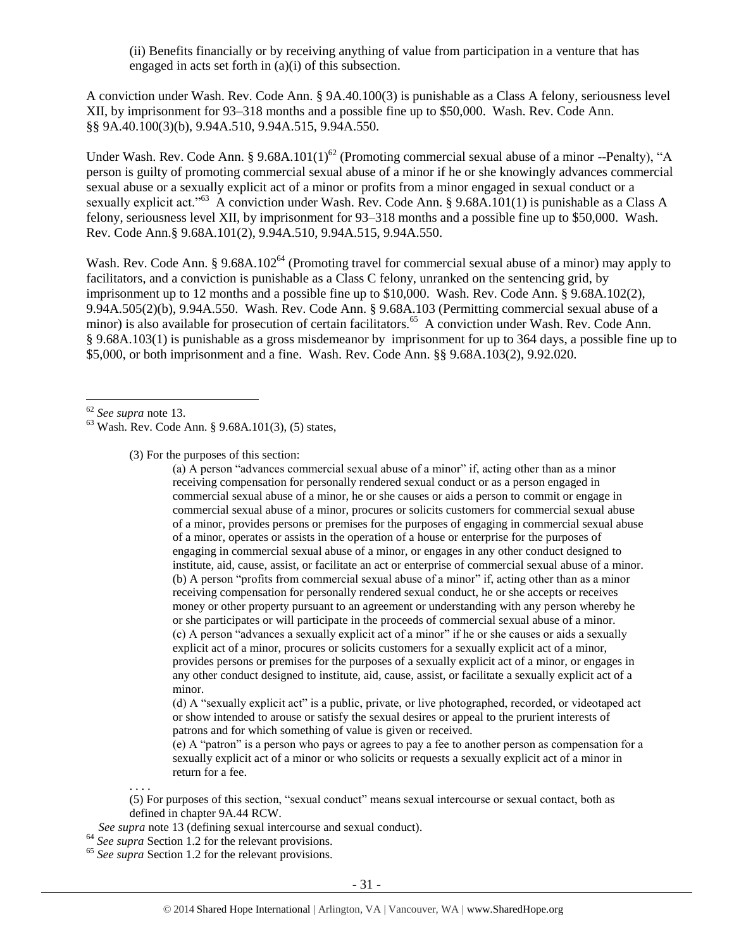(ii) Benefits financially or by receiving anything of value from participation in a venture that has engaged in acts set forth in (a)(i) of this subsection.

A conviction under Wash. Rev. Code Ann. § 9A.40.100(3) is punishable as a Class A felony, seriousness level XII, by imprisonment for 93–318 months and a possible fine up to \$50,000. Wash. Rev. Code Ann. §§ 9A.40.100(3)(b), 9.94A.510, 9.94A.515, 9.94A.550.

Under Wash. Rev. Code Ann. § 9.68A.101(1)<sup>62</sup> (Promoting commercial sexual abuse of a minor --Penalty), "A person is guilty of promoting commercial sexual abuse of a minor if he or she knowingly advances commercial sexual abuse or a sexually explicit act of a minor or profits from a minor engaged in sexual conduct or a sexually explicit act."<sup>63</sup> A conviction under Wash. Rev. Code Ann. § 9.68A.101(1) is punishable as a Class A felony, seriousness level XII, by imprisonment for 93–318 months and a possible fine up to \$50,000. Wash. Rev. Code Ann.§ 9.68A.101(2), 9.94A.510, 9.94A.515, 9.94A.550.

Wash. Rev. Code Ann. § 9.68A.102<sup>64</sup> (Promoting travel for commercial sexual abuse of a minor) may apply to facilitators, and a conviction is punishable as a Class C felony, unranked on the sentencing grid, by imprisonment up to 12 months and a possible fine up to \$10,000. Wash. Rev. Code Ann. § 9.68A.102(2), 9.94A.505(2)(b), 9.94A.550. Wash. Rev. Code Ann. § 9.68A.103 (Permitting commercial sexual abuse of a minor) is also available for prosecution of certain facilitators.<sup>65</sup> A conviction under Wash. Rev. Code Ann. § 9.68A.103(1) is punishable as a gross misdemeanor by imprisonment for up to 364 days, a possible fine up to \$5,000, or both imprisonment and a fine. Wash. Rev. Code Ann. §§ 9.68A.103(2), 9.92.020.

 $\overline{a}$ 

(3) For the purposes of this section:

(a) A person "advances commercial sexual abuse of a minor" if, acting other than as a minor receiving compensation for personally rendered sexual conduct or as a person engaged in commercial sexual abuse of a minor, he or she causes or aids a person to commit or engage in commercial sexual abuse of a minor, procures or solicits customers for commercial sexual abuse of a minor, provides persons or premises for the purposes of engaging in commercial sexual abuse of a minor, operates or assists in the operation of a house or enterprise for the purposes of engaging in commercial sexual abuse of a minor, or engages in any other conduct designed to institute, aid, cause, assist, or facilitate an act or enterprise of commercial sexual abuse of a minor. (b) A person "profits from commercial sexual abuse of a minor" if, acting other than as a minor receiving compensation for personally rendered sexual conduct, he or she accepts or receives money or other property pursuant to an agreement or understanding with any person whereby he or she participates or will participate in the proceeds of commercial sexual abuse of a minor. (c) A person "advances a sexually explicit act of a minor" if he or she causes or aids a sexually explicit act of a minor, procures or solicits customers for a sexually explicit act of a minor, provides persons or premises for the purposes of a sexually explicit act of a minor, or engages in any other conduct designed to institute, aid, cause, assist, or facilitate a sexually explicit act of a minor.

(d) A "sexually explicit act" is a public, private, or live photographed, recorded, or videotaped act or show intended to arouse or satisfy the sexual desires or appeal to the prurient interests of patrons and for which something of value is given or received.

(e) A "patron" is a person who pays or agrees to pay a fee to another person as compensation for a sexually explicit act of a minor or who solicits or requests a sexually explicit act of a minor in return for a fee.

(5) For purposes of this section, "sexual conduct" means sexual intercourse or sexual contact, both as defined in chapter 9A.44 RCW.

- *See supra* not[e 13](#page-4-0) (defining sexual intercourse and sexual conduct).
- <sup>64</sup> *See supra* Section 1.2 for the relevant provisions.

. . . .

<sup>65</sup> *See supra* Section 1.2 for the relevant provisions.

<sup>62</sup> *See supra* note [13.](#page-4-0)

 $63$  Wash. Rev. Code Ann. § 9.68A.101(3), (5) states,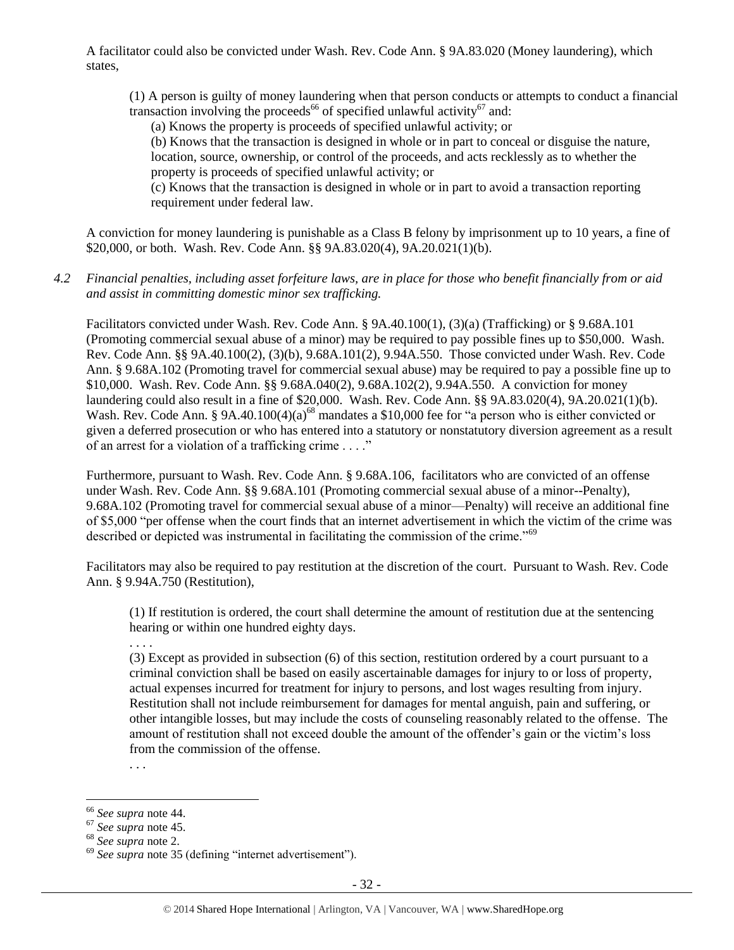A facilitator could also be convicted under Wash. Rev. Code Ann. § 9A.83.020 (Money laundering), which states,

(1) A person is guilty of money laundering when that person conducts or attempts to conduct a financial transaction involving the proceeds<sup>66</sup> of specified unlawful activity<sup>67</sup> and:

(a) Knows the property is proceeds of specified unlawful activity; or

(b) Knows that the transaction is designed in whole or in part to conceal or disguise the nature, location, source, ownership, or control of the proceeds, and acts recklessly as to whether the property is proceeds of specified unlawful activity; or

(c) Knows that the transaction is designed in whole or in part to avoid a transaction reporting requirement under federal law.

A conviction for money laundering is punishable as a Class B felony by imprisonment up to 10 years, a fine of \$20,000, or both. Wash. Rev. Code Ann. §§ 9A.83.020(4), 9A.20.021(1)(b).

*4.2 Financial penalties, including asset forfeiture laws, are in place for those who benefit financially from or aid and assist in committing domestic minor sex trafficking.*

Facilitators convicted under Wash. Rev. Code Ann. § 9A.40.100(1), (3)(a) (Trafficking) or § 9.68A.101 (Promoting commercial sexual abuse of a minor) may be required to pay possible fines up to \$50,000. Wash. Rev. Code Ann. §§ 9A.40.100(2), (3)(b), 9.68A.101(2), 9.94A.550. Those convicted under Wash. Rev. Code Ann. § 9.68A.102 (Promoting travel for commercial sexual abuse) may be required to pay a possible fine up to \$10,000. Wash. Rev. Code Ann. §§ 9.68A.040(2), 9.68A.102(2), 9.94A.550. A conviction for money laundering could also result in a fine of \$20,000. Wash. Rev. Code Ann. §§ 9A.83.020(4), 9A.20.021(1)(b). Wash. Rev. Code Ann. § 9A.40.100(4)(a)<sup>68</sup> mandates a \$10,000 fee for "a person who is either convicted or given a deferred prosecution or who has entered into a statutory or nonstatutory diversion agreement as a result of an arrest for a violation of a trafficking crime . . . ."

Furthermore, pursuant to Wash. Rev. Code Ann. § 9.68A.106, facilitators who are convicted of an offense under Wash. Rev. Code Ann. §§ 9.68A.101 (Promoting commercial sexual abuse of a minor--Penalty), 9.68A.102 (Promoting travel for commercial sexual abuse of a minor—Penalty) will receive an additional fine of \$5,000 "per offense when the court finds that an internet advertisement in which the victim of the crime was described or depicted was instrumental in facilitating the commission of the crime."<sup>69</sup>

Facilitators may also be required to pay restitution at the discretion of the court. Pursuant to Wash. Rev. Code Ann. § 9.94A.750 (Restitution),

(1) If restitution is ordered, the court shall determine the amount of restitution due at the sentencing hearing or within one hundred eighty days.

. . . .

(3) Except as provided in subsection (6) of this section, restitution ordered by a court pursuant to a criminal conviction shall be based on easily ascertainable damages for injury to or loss of property, actual expenses incurred for treatment for injury to persons, and lost wages resulting from injury. Restitution shall not include reimbursement for damages for mental anguish, pain and suffering, or other intangible losses, but may include the costs of counseling reasonably related to the offense. The amount of restitution shall not exceed double the amount of the offender's gain or the victim's loss from the commission of the offense.

. . .

 $\overline{a}$ <sup>66</sup> *See supra* note [44.](#page-21-0)

<sup>67</sup> *See supra* note [45.](#page-21-1)

<sup>68</sup> *See supra* note [2.](#page-0-0)

<sup>69</sup> *See supra* note [35](#page-15-0) (defining "internet advertisement").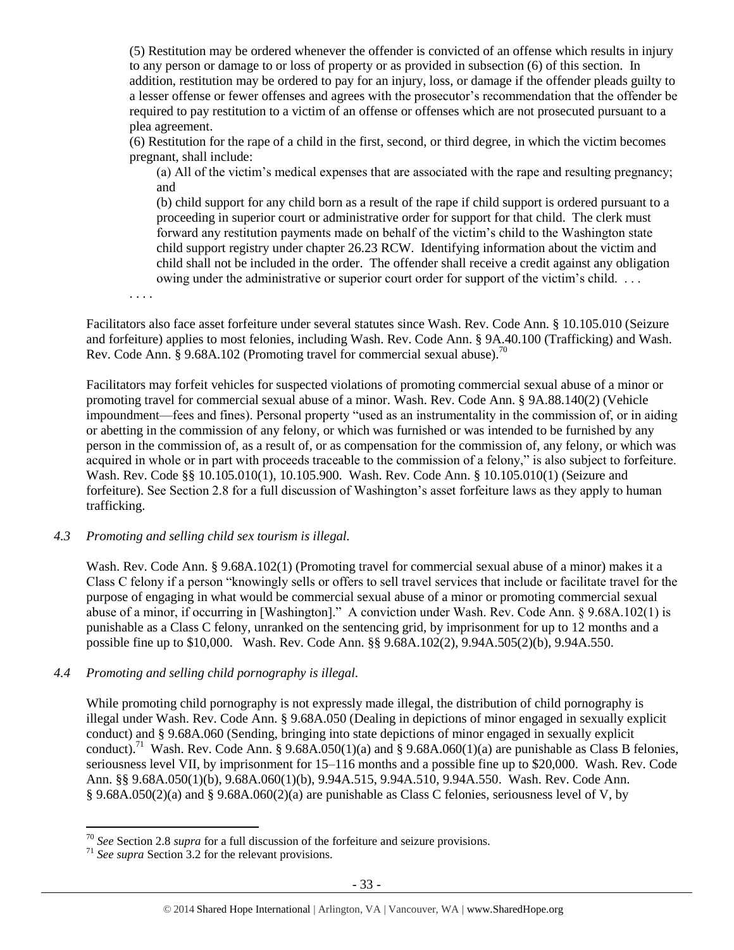(5) Restitution may be ordered whenever the offender is convicted of an offense which results in injury to any person or damage to or loss of property or as provided in subsection (6) of this section. In addition, restitution may be ordered to pay for an injury, loss, or damage if the offender pleads guilty to a lesser offense or fewer offenses and agrees with the prosecutor's recommendation that the offender be required to pay restitution to a victim of an offense or offenses which are not prosecuted pursuant to a plea agreement.

(6) Restitution for the rape of a child in the first, second, or third degree, in which the victim becomes pregnant, shall include:

(a) All of the victim's medical expenses that are associated with the rape and resulting pregnancy; and

(b) child support for any child born as a result of the rape if child support is ordered pursuant to a proceeding in superior court or administrative order for support for that child. The clerk must forward any restitution payments made on behalf of the victim's child to the Washington state child support registry under chapter 26.23 RCW. Identifying information about the victim and child shall not be included in the order. The offender shall receive a credit against any obligation owing under the administrative or superior court order for support of the victim's child. . . .

. . . .

Facilitators also face asset forfeiture under several statutes since Wash. Rev. Code Ann. § 10.105.010 (Seizure and forfeiture) applies to most felonies, including Wash. Rev. Code Ann. § 9A.40.100 (Trafficking) and Wash. Rev. Code Ann. § 9.68A.102 (Promoting travel for commercial sexual abuse).<sup>70</sup>

Facilitators may forfeit vehicles for suspected violations of promoting commercial sexual abuse of a minor or promoting travel for commercial sexual abuse of a minor. Wash. Rev. Code Ann. § 9A.88.140(2) (Vehicle impoundment—fees and fines). Personal property "used as an instrumentality in the commission of, or in aiding or abetting in the commission of any felony, or which was furnished or was intended to be furnished by any person in the commission of, as a result of, or as compensation for the commission of, any felony, or which was acquired in whole or in part with proceeds traceable to the commission of a felony," is also subject to forfeiture. Wash. Rev. Code §§ 10.105.010(1), 10.105.900. Wash. Rev. Code Ann. § 10.105.010(1) (Seizure and forfeiture). See Section 2.8 for a full discussion of Washington's asset forfeiture laws as they apply to human trafficking.

#### *4.3 Promoting and selling child sex tourism is illegal.*

Wash. Rev. Code Ann. § 9.68A.102(1) (Promoting travel for commercial sexual abuse of a minor) makes it a Class C felony if a person "knowingly sells or offers to sell travel services that include or facilitate travel for the purpose of engaging in what would be commercial sexual abuse of a minor or promoting commercial sexual abuse of a minor, if occurring in [Washington]." A conviction under Wash. Rev. Code Ann. § 9.68A.102(1) is punishable as a Class C felony, unranked on the sentencing grid, by imprisonment for up to 12 months and a possible fine up to \$10,000. Wash. Rev. Code Ann. §§ 9.68A.102(2), 9.94A.505(2)(b), 9.94A.550.

#### *4.4 Promoting and selling child pornography is illegal.*

While promoting child pornography is not expressly made illegal, the distribution of child pornography is illegal under Wash. Rev. Code Ann. § 9.68A.050 (Dealing in depictions of minor engaged in sexually explicit conduct) and § 9.68A.060 (Sending, bringing into state depictions of minor engaged in sexually explicit conduct).<sup>71</sup> Wash. Rev. Code Ann. § 9.68A.050(1)(a) and § 9.68A.060(1)(a) are punishable as Class B felonies, seriousness level VII, by imprisonment for 15–116 months and a possible fine up to \$20,000. Wash. Rev. Code Ann. §§ 9.68A.050(1)(b), 9.68A.060(1)(b), 9.94A.515, 9.94A.510, 9.94A.550. Wash. Rev. Code Ann. § 9.68A.050(2)(a) and § 9.68A.060(2)(a) are punishable as Class C felonies, seriousness level of V, by

<sup>70</sup> *See* Section 2.8 *supra* for a full discussion of the forfeiture and seizure provisions.

<sup>71</sup> *See supra* Section 3.2 for the relevant provisions.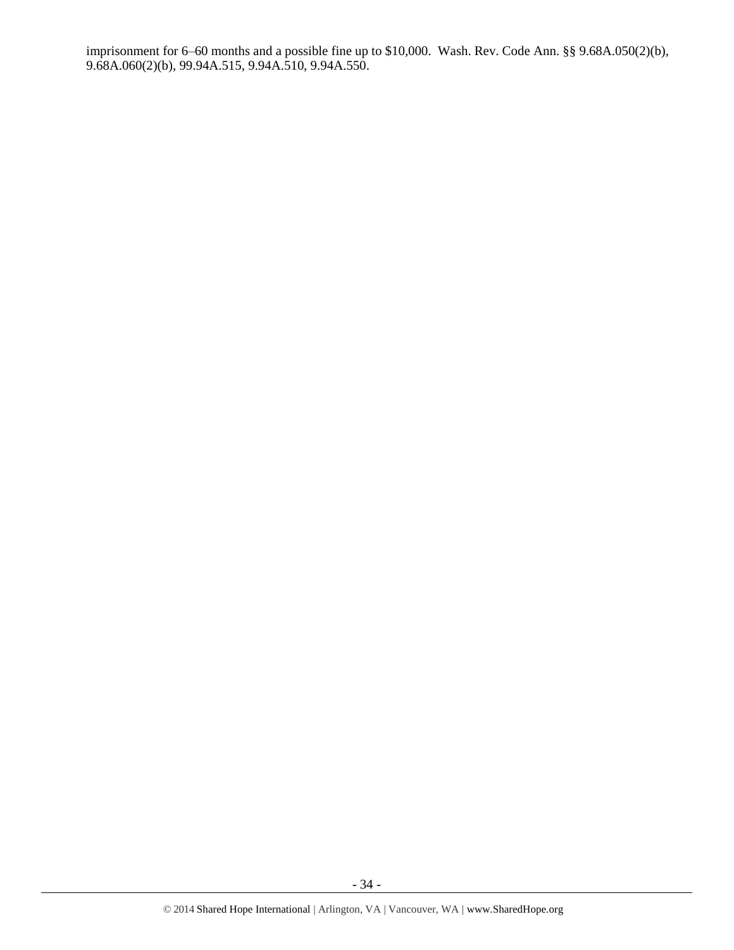imprisonment for 6–60 months and a possible fine up to \$10,000. Wash. Rev. Code Ann. §§ 9.68A.050(2)(b), 9.68A.060(2)(b), 99.94A.515, 9.94A.510, 9.94A.550.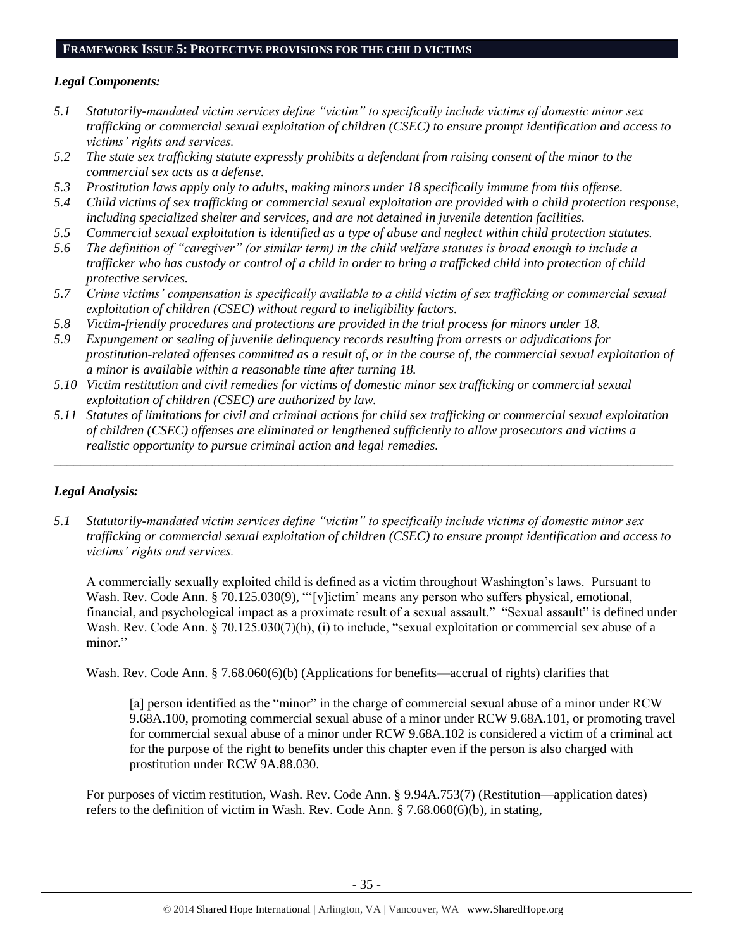# **FRAMEWORK ISSUE 5: PROTECTIVE PROVISIONS FOR THE CHILD VICTIMS**

# *Legal Components:*

- *5.1 Statutorily-mandated victim services define "victim" to specifically include victims of domestic minor sex trafficking or commercial sexual exploitation of children (CSEC) to ensure prompt identification and access to victims' rights and services.*
- *5.2 The state sex trafficking statute expressly prohibits a defendant from raising consent of the minor to the commercial sex acts as a defense.*
- *5.3 Prostitution laws apply only to adults, making minors under 18 specifically immune from this offense.*
- *5.4 Child victims of sex trafficking or commercial sexual exploitation are provided with a child protection response, including specialized shelter and services, and are not detained in juvenile detention facilities.*
- *5.5 Commercial sexual exploitation is identified as a type of abuse and neglect within child protection statutes.*
- *5.6 The definition of "caregiver" (or similar term) in the child welfare statutes is broad enough to include a trafficker who has custody or control of a child in order to bring a trafficked child into protection of child protective services.*
- *5.7 Crime victims' compensation is specifically available to a child victim of sex trafficking or commercial sexual exploitation of children (CSEC) without regard to ineligibility factors.*
- *5.8 Victim-friendly procedures and protections are provided in the trial process for minors under 18.*
- *5.9 Expungement or sealing of juvenile delinquency records resulting from arrests or adjudications for prostitution-related offenses committed as a result of, or in the course of, the commercial sexual exploitation of a minor is available within a reasonable time after turning 18.*
- *5.10 Victim restitution and civil remedies for victims of domestic minor sex trafficking or commercial sexual exploitation of children (CSEC) are authorized by law.*
- *5.11 Statutes of limitations for civil and criminal actions for child sex trafficking or commercial sexual exploitation of children (CSEC) offenses are eliminated or lengthened sufficiently to allow prosecutors and victims a realistic opportunity to pursue criminal action and legal remedies.*

*\_\_\_\_\_\_\_\_\_\_\_\_\_\_\_\_\_\_\_\_\_\_\_\_\_\_\_\_\_\_\_\_\_\_\_\_\_\_\_\_\_\_\_\_\_\_\_\_\_\_\_\_\_\_\_\_\_\_\_\_\_\_\_\_\_\_\_\_\_\_\_\_\_\_\_\_\_\_\_\_\_\_\_\_\_\_\_\_\_\_\_\_\_\_*

# *Legal Analysis:*

*5.1 Statutorily-mandated victim services define "victim" to specifically include victims of domestic minor sex trafficking or commercial sexual exploitation of children (CSEC) to ensure prompt identification and access to victims' rights and services.*

A commercially sexually exploited child is defined as a victim throughout Washington's laws. Pursuant to Wash. Rev. Code Ann. § 70.125.030(9), "'[v]ictim' means any person who suffers physical, emotional, financial, and psychological impact as a proximate result of a sexual assault." "Sexual assault" is defined under Wash. Rev. Code Ann. § 70.125.030(7)(h), (i) to include, "sexual exploitation or commercial sex abuse of a minor."

Wash. Rev. Code Ann. § 7.68.060(6)(b) (Applications for benefits—accrual of rights) clarifies that

[a] person identified as the "minor" in the charge of commercial sexual abuse of a minor under RCW 9.68A.100, promoting commercial sexual abuse of a minor under RCW 9.68A.101, or promoting travel for commercial sexual abuse of a minor under RCW 9.68A.102 is considered a victim of a criminal act for the purpose of the right to benefits under this chapter even if the person is also charged with prostitution under RCW 9A.88.030.

For purposes of victim restitution, Wash. Rev. Code Ann. § 9.94A.753(7) (Restitution—application dates) refers to the definition of victim in Wash. Rev. Code Ann. § 7.68.060(6)(b), in stating,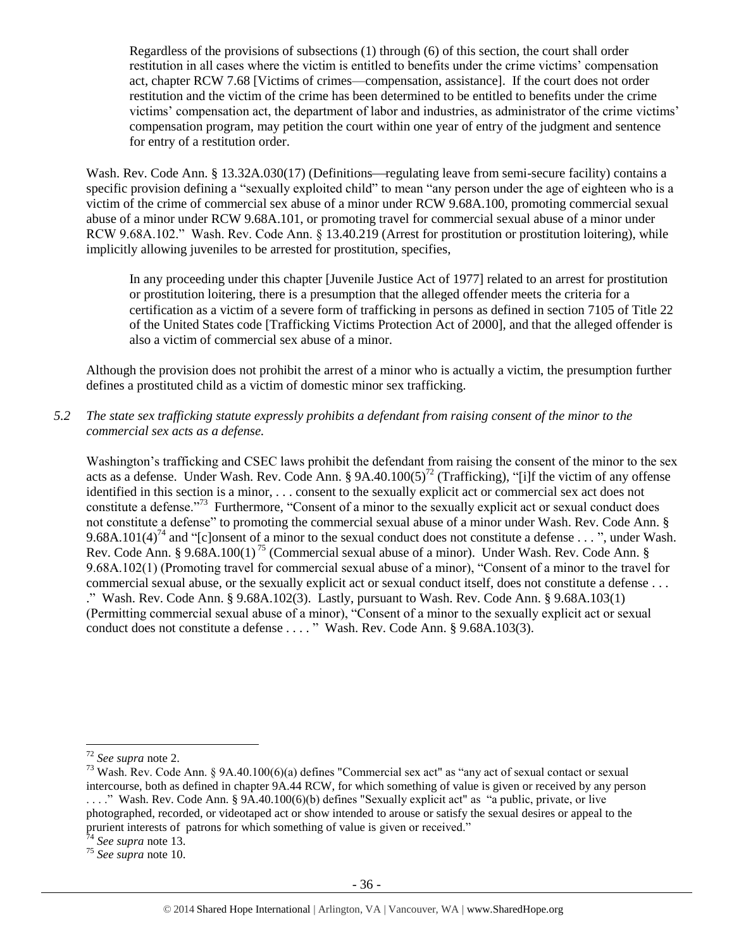Regardless of the provisions of subsections (1) through (6) of this section, the court shall order restitution in all cases where the victim is entitled to benefits under the crime victims' compensation act, chapter RCW 7.68 [Victims of crimes—compensation, assistance]. If the court does not order restitution and the victim of the crime has been determined to be entitled to benefits under the crime victims' compensation act, the department of labor and industries, as administrator of the crime victims' compensation program, may petition the court within one year of entry of the judgment and sentence for entry of a restitution order.

Wash. Rev. Code Ann. § 13.32A.030(17) (Definitions—regulating leave from semi-secure facility) contains a specific provision defining a "sexually exploited child" to mean "any person under the age of eighteen who is a victim of the crime of commercial sex abuse of a minor under RCW 9.68A.100, promoting commercial sexual abuse of a minor under RCW 9.68A.101, or promoting travel for commercial sexual abuse of a minor under RCW 9.68A.102." Wash. Rev. Code Ann. § 13.40.219 (Arrest for prostitution or prostitution loitering), while implicitly allowing juveniles to be arrested for prostitution, specifies,

In any proceeding under this chapter [Juvenile Justice Act of 1977] related to an arrest for prostitution or prostitution loitering, there is a presumption that the alleged offender meets the criteria for a certification as a victim of a severe form of trafficking in persons as defined in section 7105 of Title 22 of the United States code [Trafficking Victims Protection Act of 2000], and that the alleged offender is also a victim of commercial sex abuse of a minor.

Although the provision does not prohibit the arrest of a minor who is actually a victim, the presumption further defines a prostituted child as a victim of domestic minor sex trafficking.

# *5.2 The state sex trafficking statute expressly prohibits a defendant from raising consent of the minor to the commercial sex acts as a defense.*

Washington's trafficking and CSEC laws prohibit the defendant from raising the consent of the minor to the sex acts as a defense. Under Wash. Rev. Code Ann. § 9A.40.100(5)<sup>72</sup> (Trafficking), "[i]f the victim of any offense identified in this section is a minor, . . . consent to the sexually explicit act or commercial sex act does not constitute a defense."<sup>73</sup> Furthermore, "Consent of a minor to the sexually explicit act or sexual conduct does not constitute a defense" to promoting the commercial sexual abuse of a minor under Wash. Rev. Code Ann. § 9.68A.101(4)<sup>74</sup> and "[c]onsent of a minor to the sexual conduct does not constitute a defense . . . ", under Wash. Rev. Code Ann. § 9.68A.100(1)<sup>75</sup> (Commercial sexual abuse of a minor). Under Wash. Rev. Code Ann. § 9.68A.102(1) (Promoting travel for commercial sexual abuse of a minor), "Consent of a minor to the travel for commercial sexual abuse, or the sexually explicit act or sexual conduct itself, does not constitute a defense . . . ." Wash. Rev. Code Ann. § 9.68A.102(3). Lastly, pursuant to Wash. Rev. Code Ann. § 9.68A.103(1) (Permitting commercial sexual abuse of a minor), "Consent of a minor to the sexually explicit act or sexual conduct does not constitute a defense . . . . " Wash. Rev. Code Ann. § 9.68A.103(3).

<sup>72</sup> *See supra* note [2.](#page-0-0)

<sup>73</sup> Wash. Rev. Code Ann. § 9A.40.100(6)(a) defines "Commercial sex act" as "any act of sexual contact or sexual intercourse, both as defined in chapter 9A.44 RCW, for which something of value is given or received by any person ...." Wash. Rev. Code Ann. § 9A.40.100(6)(b) defines "Sexually explicit act" as "a public, private, or live photographed, recorded, or videotaped act or show intended to arouse or satisfy the sexual desires or appeal to the prurient interests of patrons for which something of value is given or received."

<sup>74</sup> *See supra* note [13.](#page-4-0)

<sup>75</sup> *See supra* note [10.](#page-2-0)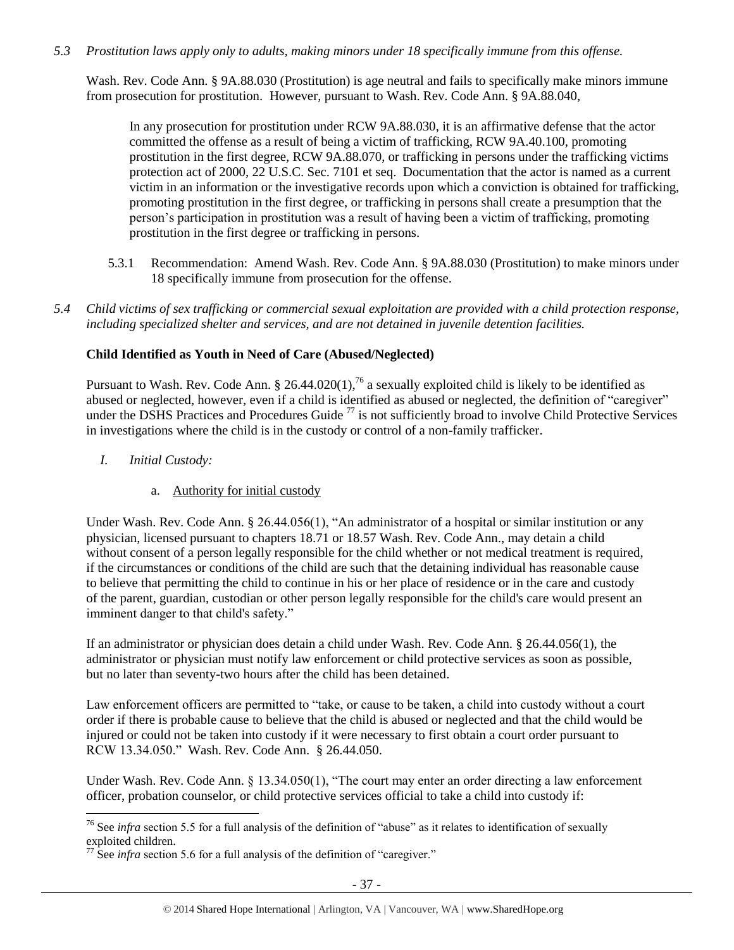# *5.3 Prostitution laws apply only to adults, making minors under 18 specifically immune from this offense.*

Wash. Rev. Code Ann. § 9A.88.030 (Prostitution) is age neutral and fails to specifically make minors immune from prosecution for prostitution. However, pursuant to Wash. Rev. Code Ann. § 9A.88.040,

In any prosecution for prostitution under RCW 9A.88.030, it is an affirmative defense that the actor committed the offense as a result of being a victim of trafficking, RCW 9A.40.100, promoting prostitution in the first degree, RCW 9A.88.070, or trafficking in persons under the trafficking victims protection act of 2000, 22 U.S.C. Sec. 7101 et seq. Documentation that the actor is named as a current victim in an information or the investigative records upon which a conviction is obtained for trafficking, promoting prostitution in the first degree, or trafficking in persons shall create a presumption that the person's participation in prostitution was a result of having been a victim of trafficking, promoting prostitution in the first degree or trafficking in persons.

- 5.3.1 Recommendation: Amend Wash. Rev. Code Ann. § 9A.88.030 (Prostitution) to make minors under 18 specifically immune from prosecution for the offense.
- *5.4 Child victims of sex trafficking or commercial sexual exploitation are provided with a child protection response, including specialized shelter and services, and are not detained in juvenile detention facilities.*

# **Child Identified as Youth in Need of Care (Abused/Neglected)**

Pursuant to Wash. Rev. Code Ann. § 26.44.020(1),<sup>76</sup> a sexually exploited child is likely to be identified as abused or neglected, however, even if a child is identified as abused or neglected, the definition of "caregiver" under the DSHS Practices and Procedures Guide<sup>77</sup> is not sufficiently broad to involve Child Protective Services in investigations where the child is in the custody or control of a non-family trafficker.

*I. Initial Custody:* 

 $\overline{a}$ 

a. Authority for initial custody

Under Wash. Rev. Code Ann. § 26.44.056(1), "An administrator of a hospital or similar institution or any physician, licensed pursuant to chapters 18.71 or 18.57 Wash. Rev. Code Ann., may detain a child without consent of a person legally responsible for the child whether or not medical treatment is required, if the circumstances or conditions of the child are such that the detaining individual has reasonable cause to believe that permitting the child to continue in his or her place of residence or in the care and custody of the parent, guardian, custodian or other person legally responsible for the child's care would present an imminent danger to that child's safety."

If an administrator or physician does detain a child under Wash. Rev. Code Ann. § 26.44.056(1), the administrator or physician must notify law enforcement or child protective services as soon as possible, but no later than seventy-two hours after the child has been detained.

Law enforcement officers are permitted to "take, or cause to be taken, a child into custody without a court order if there is probable cause to believe that the child is abused or neglected and that the child would be injured or could not be taken into custody if it were necessary to first obtain a court order pursuant to RCW 13.34.050." Wash. Rev. Code Ann. § 26.44.050.

Under Wash. Rev. Code Ann. § 13.34.050(1), "The court may enter an order directing a law enforcement officer, probation counselor, or child protective services official to take a child into custody if:

<sup>76</sup> See *infra* section 5.5 for a full analysis of the definition of "abuse" as it relates to identification of sexually exploited children.

 $77$  See *infra* section 5.6 for a full analysis of the definition of "caregiver."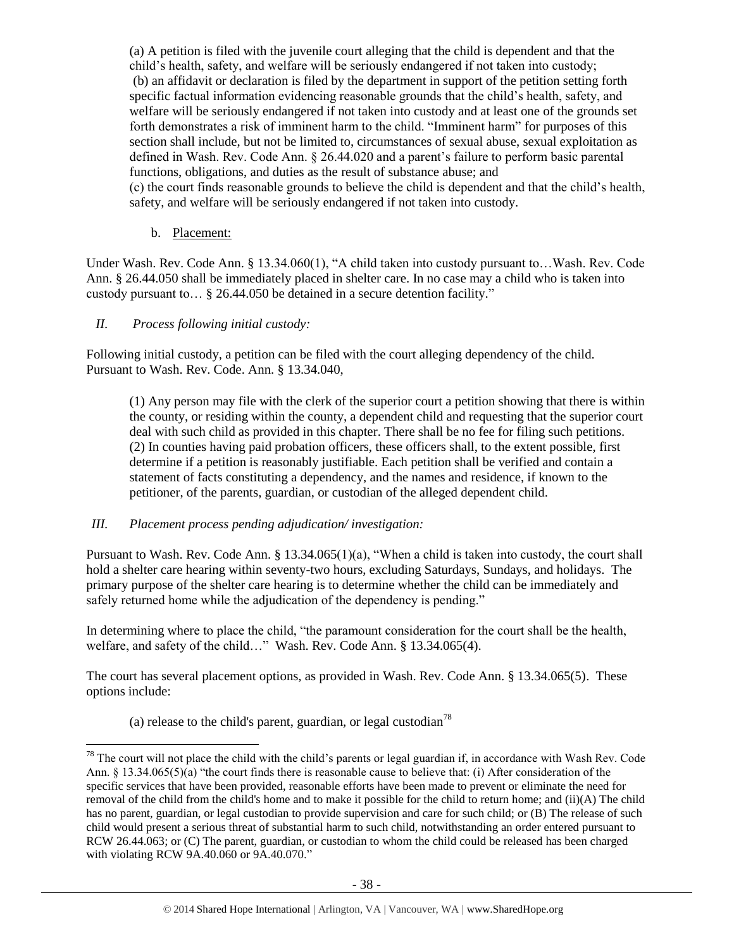(a) A petition is filed with the juvenile court alleging that the child is dependent and that the child's health, safety, and welfare will be seriously endangered if not taken into custody; (b) an affidavit or declaration is filed by the department in support of the petition setting forth specific factual information evidencing reasonable grounds that the child's health, safety, and welfare will be seriously endangered if not taken into custody and at least one of the grounds set forth demonstrates a risk of imminent harm to the child. "Imminent harm" for purposes of this section shall include, but not be limited to, circumstances of sexual abuse, sexual exploitation as defined in Wash. Rev. Code Ann. § 26.44.020 and a parent's failure to perform basic parental functions, obligations, and duties as the result of substance abuse; and (c) the court finds reasonable grounds to believe the child is dependent and that the child's health, safety, and welfare will be seriously endangered if not taken into custody.

#### b. Placement:

Under Wash. Rev. Code Ann. § 13.34.060(1), "A child taken into custody pursuant to…Wash. Rev. Code Ann. § 26.44.050 shall be immediately placed in shelter care. In no case may a child who is taken into custody pursuant to… § [26.44.050](http://apps.leg.wa.gov/rcw/default.aspx?cite=26.44.050) be detained in a secure detention facility."

#### *II. Process following initial custody:*

 $\overline{a}$ 

Following initial custody, a petition can be filed with the court alleging dependency of the child. Pursuant to Wash. Rev. Code. Ann. § 13.34.040,

(1) Any person may file with the clerk of the superior court a petition showing that there is within the county, or residing within the county, a dependent child and requesting that the superior court deal with such child as provided in this chapter. There shall be no fee for filing such petitions. (2) In counties having paid probation officers, these officers shall, to the extent possible, first determine if a petition is reasonably justifiable. Each petition shall be verified and contain a statement of facts constituting a dependency, and the names and residence, if known to the petitioner, of the parents, guardian, or custodian of the alleged dependent child.

#### *III. Placement process pending adjudication/ investigation:*

Pursuant to Wash. Rev. Code Ann. § 13.34.065(1)(a), "When a child is taken into custody, the court shall hold a shelter care hearing within seventy-two hours, excluding Saturdays, Sundays, and holidays. The primary purpose of the shelter care hearing is to determine whether the child can be immediately and safely returned home while the adjudication of the dependency is pending."

In determining where to place the child, "the paramount consideration for the court shall be the health, welfare, and safety of the child…" Wash. Rev. Code Ann. § 13.34.065(4).

The court has several placement options, as provided in Wash. Rev. Code Ann. § 13.34.065(5). These options include:

(a) release to the child's parent, guardian, or legal custodian<sup>78</sup>

 $78$  The court will not place the child with the child's parents or legal guardian if, in accordance with Wash Rev. Code Ann. § 13.34.065(5)(a) "the court finds there is reasonable cause to believe that: (i) After consideration of the specific services that have been provided, reasonable efforts have been made to prevent or eliminate the need for removal of the child from the child's home and to make it possible for the child to return home; and (ii)(A) The child has no parent, guardian, or legal custodian to provide supervision and care for such child; or (B) The release of such child would present a serious threat of substantial harm to such child, notwithstanding an order entered pursuant to RCW [26.44.063;](http://apps.leg.wa.gov/rcw/default.aspx?cite=26.44.063) or (C) The parent, guardian, or custodian to whom the child could be released has been charged with violating RCW [9A.40.060](http://apps.leg.wa.gov/rcw/default.aspx?cite=9A.40.060) or [9A.40.070.](http://apps.leg.wa.gov/rcw/default.aspx?cite=9A.40.070)"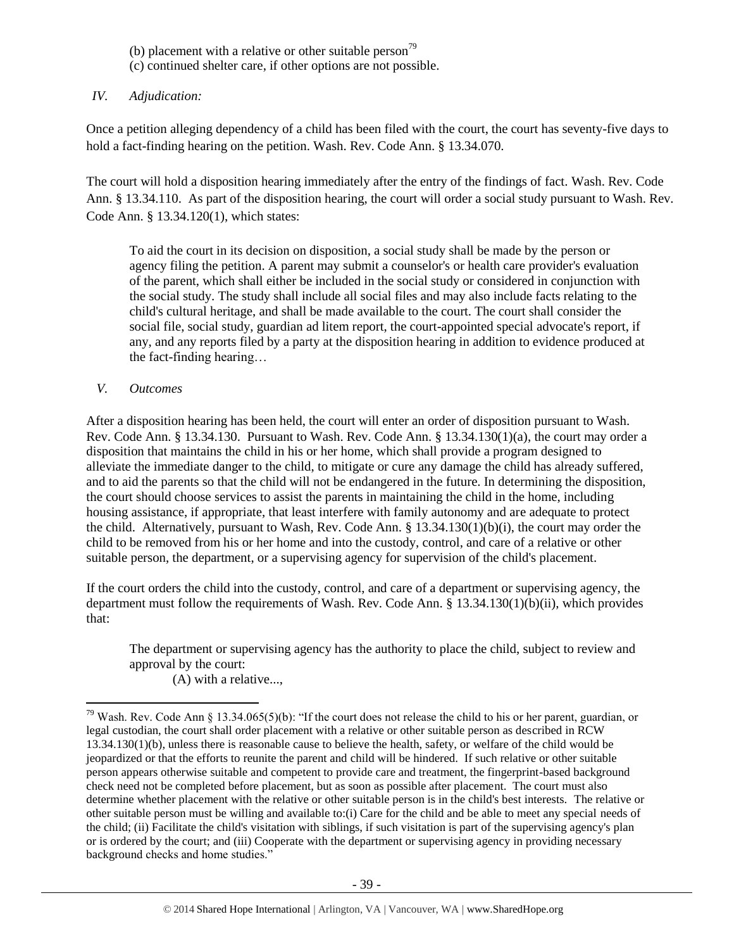- (b) placement with a relative or other suitable person<sup>79</sup>
- (c) continued shelter care, if other options are not possible.

# *IV. Adjudication:*

Once a petition alleging dependency of a child has been filed with the court, the court has seventy-five days to hold a fact-finding hearing on the petition. Wash. Rev. Code Ann. § 13.34.070.

The court will hold a disposition hearing immediately after the entry of the findings of fact. Wash. Rev. Code Ann. § 13.34.110. As part of the disposition hearing, the court will order a social study pursuant to Wash. Rev. Code Ann. § 13.34.120(1), which states:

To aid the court in its decision on disposition, a social study shall be made by the person or agency filing the petition. A parent may submit a counselor's or health care provider's evaluation of the parent, which shall either be included in the social study or considered in conjunction with the social study. The study shall include all social files and may also include facts relating to the child's cultural heritage, and shall be made available to the court. The court shall consider the social file, social study, guardian ad litem report, the court-appointed special advocate's report, if any, and any reports filed by a party at the disposition hearing in addition to evidence produced at the fact-finding hearing…

# *V. Outcomes*

 $\overline{a}$ 

After a disposition hearing has been held, the court will enter an order of disposition pursuant to Wash. Rev. Code Ann. § 13.34.130. Pursuant to Wash. Rev. Code Ann. § 13.34.130(1)(a), the court may order a disposition that maintains the child in his or her home, which shall provide a program designed to alleviate the immediate danger to the child, to mitigate or cure any damage the child has already suffered, and to aid the parents so that the child will not be endangered in the future. In determining the disposition, the court should choose services to assist the parents in maintaining the child in the home, including housing assistance, if appropriate, that least interfere with family autonomy and are adequate to protect the child. Alternatively, pursuant to Wash, Rev. Code Ann. § 13.34.130(1)(b)(i), the court may order the child to be removed from his or her home and into the custody, control, and care of a relative or other suitable person, the department, or a supervising agency for supervision of the child's placement.

If the court orders the child into the custody, control, and care of a department or supervising agency, the department must follow the requirements of Wash. Rev. Code Ann. § 13.34.130(1)(b)(ii), which provides that:

The department or supervising agency has the authority to place the child, subject to review and approval by the court:

(A) with a relative...,

<sup>&</sup>lt;sup>79</sup> Wash. Rev. Code Ann § 13.34.065(5)(b): "If the court does not release the child to his or her parent, guardian, or legal custodian, the court shall order placement with a relative or other suitable person as described in RCW [13.34.130\(](http://apps.leg.wa.gov/rcw/default.aspx?cite=13.34.130)1)(b), unless there is reasonable cause to believe the health, safety, or welfare of the child would be jeopardized or that the efforts to reunite the parent and child will be hindered. If such relative or other suitable person appears otherwise suitable and competent to provide care and treatment, the fingerprint-based background check need not be completed before placement, but as soon as possible after placement. The court must also determine whether placement with the relative or other suitable person is in the child's best interests. The relative or other suitable person must be willing and available to:(i) Care for the child and be able to meet any special needs of the child; (ii) Facilitate the child's visitation with siblings, if such visitation is part of the supervising agency's plan or is ordered by the court; and (iii) Cooperate with the department or supervising agency in providing necessary background checks and home studies."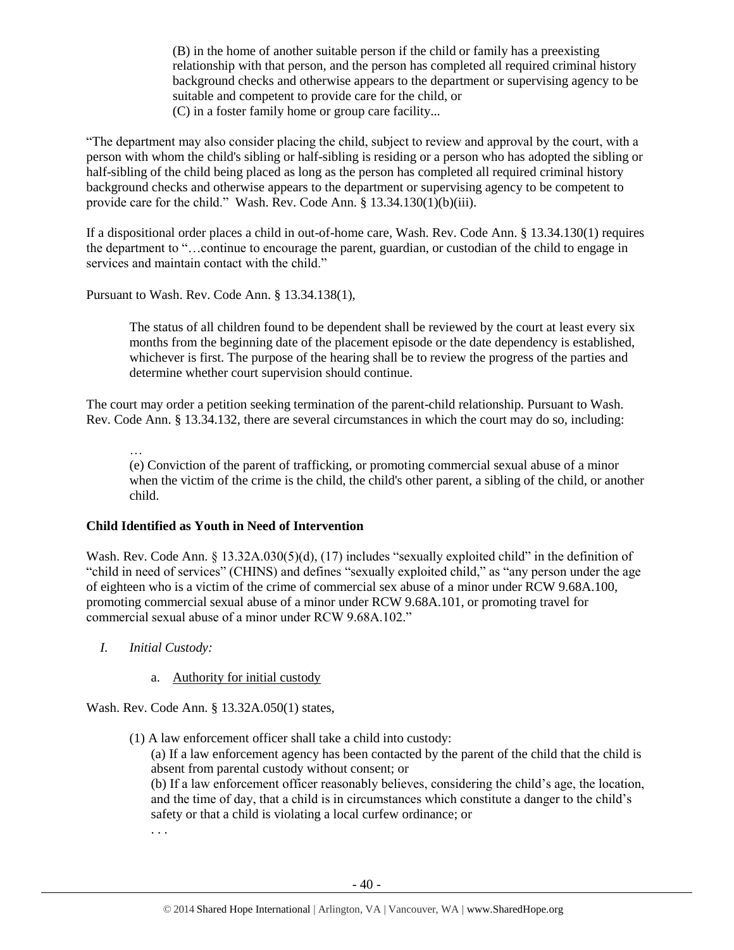(B) in the home of another suitable person if the child or family has a preexisting relationship with that person, and the person has completed all required criminal history background checks and otherwise appears to the department or supervising agency to be suitable and competent to provide care for the child, or (C) in a foster family home or group care facility...

"The department may also consider placing the child, subject to review and approval by the court, with a person with whom the child's sibling or half-sibling is residing or a person who has adopted the sibling or half-sibling of the child being placed as long as the person has completed all required criminal history background checks and otherwise appears to the department or supervising agency to be competent to provide care for the child." Wash. Rev. Code Ann. § 13.34.130(1)(b)(iii).

If a dispositional order places a child in out-of-home care, Wash. Rev. Code Ann. § 13.34.130(1) requires the department to "…continue to encourage the parent, guardian, or custodian of the child to engage in services and maintain contact with the child."

Pursuant to Wash. Rev. Code Ann. § 13.34.138(1),

The status of all children found to be dependent shall be reviewed by the court at least every six months from the beginning date of the placement episode or the date dependency is established, whichever is first. The purpose of the hearing shall be to review the progress of the parties and determine whether court supervision should continue.

The court may order a petition seeking termination of the parent-child relationship. Pursuant to Wash. Rev. Code Ann. § 13.34.132, there are several circumstances in which the court may do so, including:

… (e) Conviction of the parent of trafficking, or promoting commercial sexual abuse of a minor when the victim of the crime is the child, the child's other parent, a sibling of the child, or another child.

#### **Child Identified as Youth in Need of Intervention**

Wash. Rev. Code Ann. § 13.32A.030(5)(d), (17) includes "sexually exploited child" in the definition of "child in need of services" (CHINS) and defines "sexually exploited child," as "any person under the age of eighteen who is a victim of the crime of commercial sex abuse of a minor under RCW 9.68A.100, promoting commercial sexual abuse of a minor under RCW 9.68A.101, or promoting travel for commercial sexual abuse of a minor under RCW 9.68A.102."

- *I. Initial Custody:* 
	- a. Authority for initial custody

Wash. Rev. Code Ann. § 13.32A.050(1) states,

(1) A law enforcement officer shall take a child into custody:

(a) If a law enforcement agency has been contacted by the parent of the child that the child is absent from parental custody without consent; or

(b) If a law enforcement officer reasonably believes, considering the child's age, the location, and the time of day, that a child is in circumstances which constitute a danger to the child's safety or that a child is violating a local curfew ordinance; or

. . .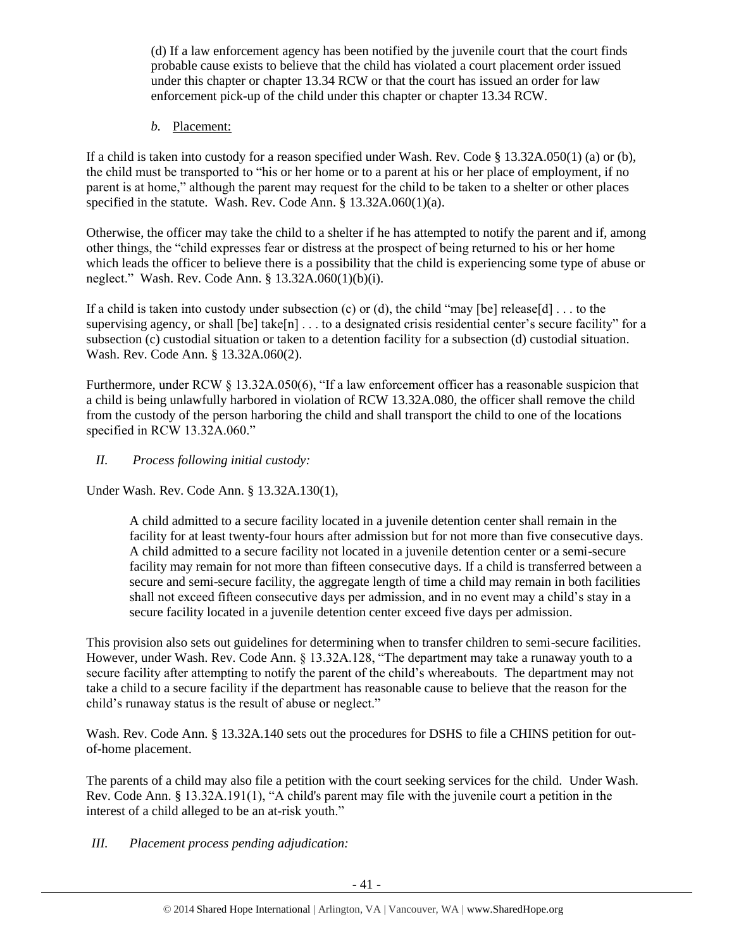(d) If a law enforcement agency has been notified by the juvenile court that the court finds probable cause exists to believe that the child has violated a court placement order issued under this chapter or chapter 13.34 RCW or that the court has issued an order for law enforcement pick-up of the child under this chapter or chapter 13.34 RCW.

*b.* Placement:

If a child is taken into custody for a reason specified under Wash. Rev. Code § 13.32A.050(1) (a) or (b), the child must be transported to "his or her home or to a parent at his or her place of employment, if no parent is at home," although the parent may request for the child to be taken to a shelter or other places specified in the statute. Wash. Rev. Code Ann. § 13.32A.060(1)(a).

Otherwise, the officer may take the child to a shelter if he has attempted to notify the parent and if, among other things, the "child expresses fear or distress at the prospect of being returned to his or her home which leads the officer to believe there is a possibility that the child is experiencing some type of abuse or neglect." Wash. Rev. Code Ann. § 13.32A.060(1)(b)(i).

If a child is taken into custody under subsection (c) or (d), the child "may [be] release[d]  $\dots$  to the supervising agency, or shall [be] take[n] . . . to a designated crisis residential center's secure facility" for a subsection (c) custodial situation or taken to a detention facility for a subsection (d) custodial situation. Wash. Rev. Code Ann. § 13.32A.060(2).

Furthermore, under RCW § 13.32A.050(6), "If a law enforcement officer has a reasonable suspicion that a child is being unlawfully harbored in violation of RCW 13.32A.080, the officer shall remove the child from the custody of the person harboring the child and shall transport the child to one of the locations specified in RCW 13.32A.060."

*II. Process following initial custody:*

Under Wash. Rev. Code Ann. § 13.32A.130(1),

A child admitted to a secure facility located in a juvenile detention center shall remain in the facility for at least twenty-four hours after admission but for not more than five consecutive days. A child admitted to a secure facility not located in a juvenile detention center or a semi-secure facility may remain for not more than fifteen consecutive days. If a child is transferred between a secure and semi-secure facility, the aggregate length of time a child may remain in both facilities shall not exceed fifteen consecutive days per admission, and in no event may a child's stay in a secure facility located in a juvenile detention center exceed five days per admission.

This provision also sets out guidelines for determining when to transfer children to semi-secure facilities. However, under Wash. Rev. Code Ann. § 13.32A.128, "The department may take a runaway youth to a secure facility after attempting to notify the parent of the child's whereabouts. The department may not take a child to a secure facility if the department has reasonable cause to believe that the reason for the child's runaway status is the result of abuse or neglect."

Wash. Rev. Code Ann. § 13.32A.140 sets out the procedures for DSHS to file a CHINS petition for outof-home placement.

The parents of a child may also file a petition with the court seeking services for the child. Under Wash. Rev. Code Ann. § 13.32A.191(1), "A child's parent may file with the juvenile court a petition in the interest of a child alleged to be an at-risk youth."

*III. Placement process pending adjudication:*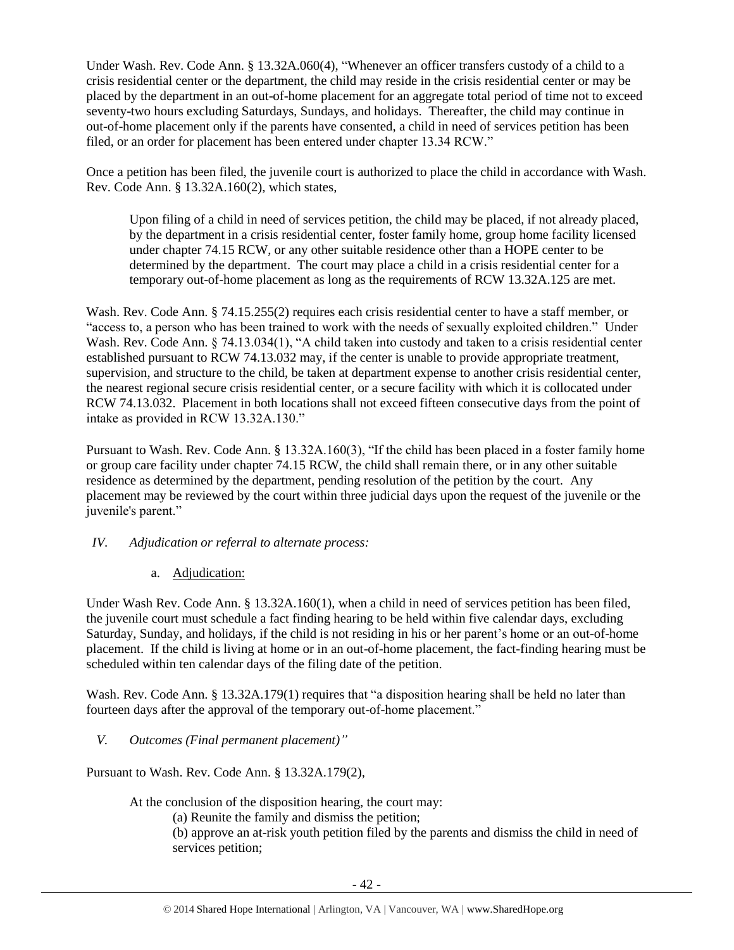Under Wash. Rev. Code Ann. § 13.32A.060(4), "Whenever an officer transfers custody of a child to a crisis residential center or the department, the child may reside in the crisis residential center or may be placed by the department in an out-of-home placement for an aggregate total period of time not to exceed seventy-two hours excluding Saturdays, Sundays, and holidays. Thereafter, the child may continue in out-of-home placement only if the parents have consented, a child in need of services petition has been filed, or an order for placement has been entered under chapter 13.34 RCW."

Once a petition has been filed, the juvenile court is authorized to place the child in accordance with Wash. Rev. Code Ann. § 13.32A.160(2), which states,

Upon filing of a child in need of services petition, the child may be placed, if not already placed, by the department in a crisis residential center, foster family home, group home facility licensed under chapter 74.15 RCW, or any other suitable residence other than a HOPE center to be determined by the department. The court may place a child in a crisis residential center for a temporary out-of-home placement as long as the requirements of RCW 13.32A.125 are met.

Wash. Rev. Code Ann. § 74.15.255(2) requires each crisis residential center to have a staff member, or "access to, a person who has been trained to work with the needs of sexually exploited children." Under Wash. Rev. Code Ann. § 74.13.034(1), "A child taken into custody and taken to a crisis residential center established pursuant to RCW 74.13.032 may, if the center is unable to provide appropriate treatment, supervision, and structure to the child, be taken at department expense to another crisis residential center, the nearest regional secure crisis residential center, or a secure facility with which it is collocated under RCW 74.13.032. Placement in both locations shall not exceed fifteen consecutive days from the point of intake as provided in RCW 13.32A.130."

Pursuant to Wash. Rev. Code Ann. § 13.32A.160(3), "If the child has been placed in a foster family home or group care facility under chapter 74.15 RCW, the child shall remain there, or in any other suitable residence as determined by the department, pending resolution of the petition by the court. Any placement may be reviewed by the court within three judicial days upon the request of the juvenile or the juvenile's parent."

- *IV. Adjudication or referral to alternate process:* 
	- a. Adjudication:

Under Wash Rev. Code Ann. § 13.32A.160(1), when a child in need of services petition has been filed, the juvenile court must schedule a fact finding hearing to be held within five calendar days, excluding Saturday, Sunday, and holidays, if the child is not residing in his or her parent's home or an out-of-home placement. If the child is living at home or in an out-of-home placement, the fact-finding hearing must be scheduled within ten calendar days of the filing date of the petition.

Wash. Rev. Code Ann. § 13.32A.179(1) requires that "a disposition hearing shall be held no later than fourteen days after the approval of the temporary out-of-home placement."

*V. Outcomes (Final permanent placement)"*

Pursuant to Wash. Rev. Code Ann. § 13.32A.179(2),

At the conclusion of the disposition hearing, the court may:

(a) Reunite the family and dismiss the petition;

(b) approve an at-risk youth petition filed by the parents and dismiss the child in need of services petition;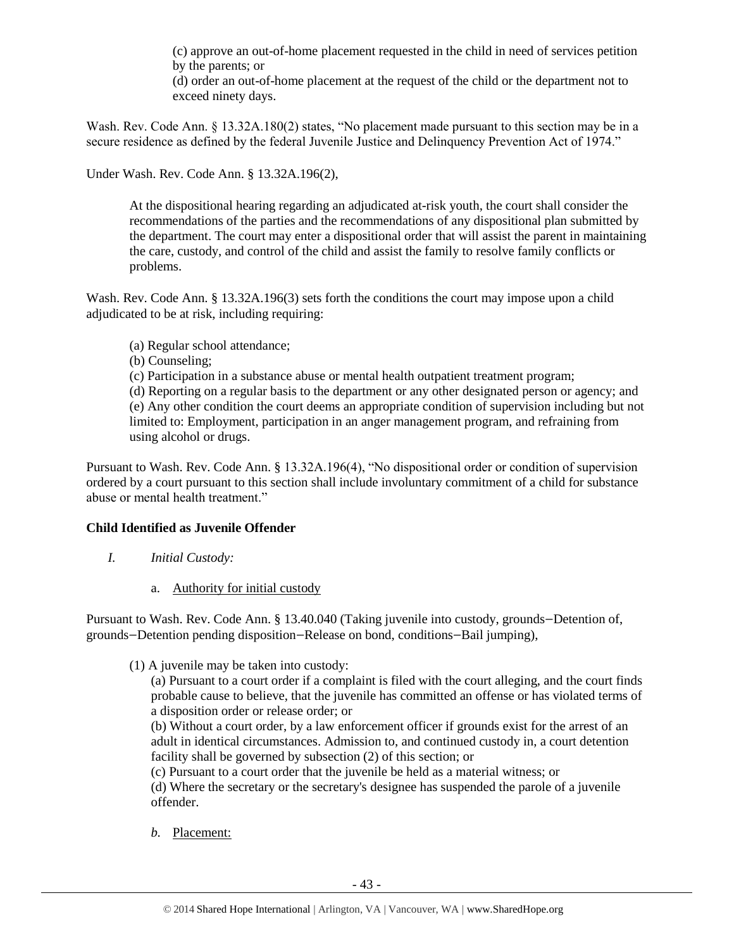(c) approve an out-of-home placement requested in the child in need of services petition by the parents; or

(d) order an out-of-home placement at the request of the child or the department not to exceed ninety days.

Wash. Rev. Code Ann. § 13.32A.180(2) states, "No placement made pursuant to this section may be in a secure residence as defined by the federal Juvenile Justice and Delinquency Prevention Act of 1974."

Under Wash. Rev. Code Ann. § 13.32A.196(2),

At the dispositional hearing regarding an adjudicated at-risk youth, the court shall consider the recommendations of the parties and the recommendations of any dispositional plan submitted by the department. The court may enter a dispositional order that will assist the parent in maintaining the care, custody, and control of the child and assist the family to resolve family conflicts or problems.

Wash. Rev. Code Ann. § 13.32A.196(3) sets forth the conditions the court may impose upon a child adjudicated to be at risk, including requiring:

- (a) Regular school attendance;
- (b) Counseling;
- (c) Participation in a substance abuse or mental health outpatient treatment program;

(d) Reporting on a regular basis to the department or any other designated person or agency; and (e) Any other condition the court deems an appropriate condition of supervision including but not limited to: Employment, participation in an anger management program, and refraining from using alcohol or drugs.

Pursuant to Wash. Rev. Code Ann. § 13.32A.196(4), "No dispositional order or condition of supervision ordered by a court pursuant to this section shall include involuntary commitment of a child for substance abuse or mental health treatment."

#### **Child Identified as Juvenile Offender**

- *I. Initial Custody:* 
	- a. Authority for initial custody

Pursuant to Wash. Rev. Code Ann. § 13.40.040 (Taking juvenile into custody, grounds—Detention of, grounds—Detention pending disposition—Release on bond, conditions—Bail jumping),

(1) A juvenile may be taken into custody:

(a) Pursuant to a court order if a complaint is filed with the court alleging, and the court finds probable cause to believe, that the juvenile has committed an offense or has violated terms of a disposition order or release order; or

(b) Without a court order, by a law enforcement officer if grounds exist for the arrest of an adult in identical circumstances. Admission to, and continued custody in, a court detention facility shall be governed by subsection (2) of this section; or

(c) Pursuant to a court order that the juvenile be held as a material witness; or

(d) Where the secretary or the secretary's designee has suspended the parole of a juvenile offender.

*b.* Placement: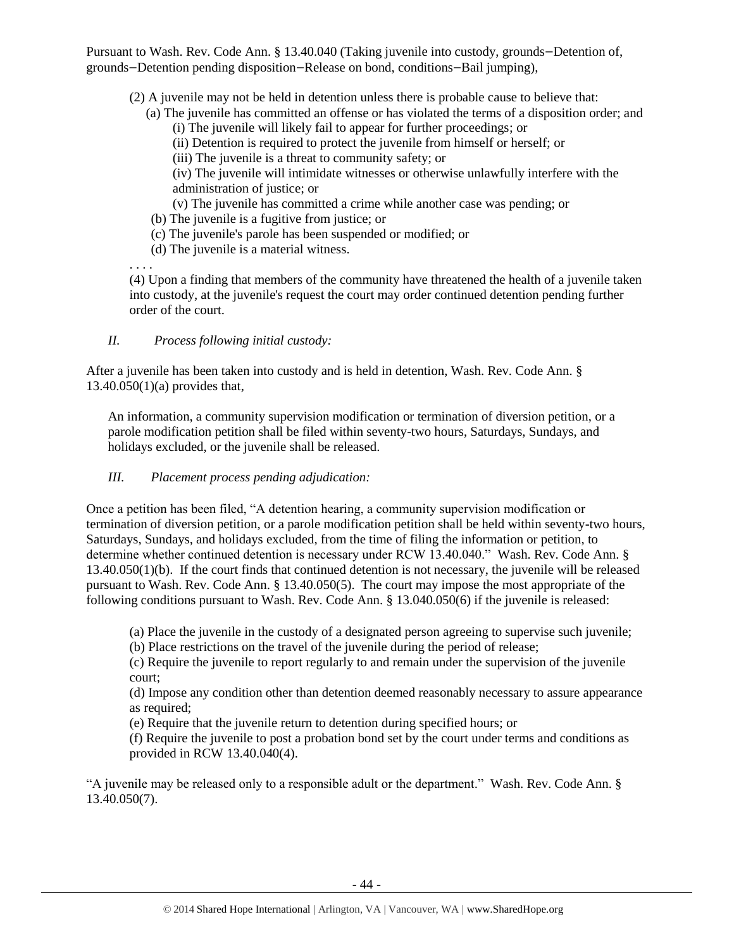Pursuant to Wash. Rev. Code Ann. § 13.40.040 (Taking juvenile into custody, grounds—Detention of, grounds—Detention pending disposition—Release on bond, conditions—Bail jumping),

(2) A juvenile may not be held in detention unless there is probable cause to believe that:

- (a) The juvenile has committed an offense or has violated the terms of a disposition order; and (i) The juvenile will likely fail to appear for further proceedings; or
	- (ii) Detention is required to protect the juvenile from himself or herself; or

(iii) The juvenile is a threat to community safety; or

(iv) The juvenile will intimidate witnesses or otherwise unlawfully interfere with the administration of justice; or

(v) The juvenile has committed a crime while another case was pending; or

- (b) The juvenile is a fugitive from justice; or
- (c) The juvenile's parole has been suspended or modified; or
- (d) The juvenile is a material witness.

. . . .

(4) Upon a finding that members of the community have threatened the health of a juvenile taken into custody, at the juvenile's request the court may order continued detention pending further order of the court.

# *II. Process following initial custody:*

After a juvenile has been taken into custody and is held in detention, Wash. Rev. Code Ann. § 13.40.050(1)(a) provides that,

An information, a community supervision modification or termination of diversion petition, or a parole modification petition shall be filed within seventy-two hours, Saturdays, Sundays, and holidays excluded, or the juvenile shall be released.

# *III. Placement process pending adjudication:*

Once a petition has been filed, "A detention hearing, a community supervision modification or termination of diversion petition, or a parole modification petition shall be held within seventy-two hours, Saturdays, Sundays, and holidays excluded, from the time of filing the information or petition, to determine whether continued detention is necessary under RCW 13.40.040." Wash. Rev. Code Ann. § 13.40.050(1)(b). If the court finds that continued detention is not necessary, the juvenile will be released pursuant to Wash. Rev. Code Ann. § 13.40.050(5). The court may impose the most appropriate of the following conditions pursuant to Wash. Rev. Code Ann. § 13.040.050(6) if the juvenile is released:

(a) Place the juvenile in the custody of a designated person agreeing to supervise such juvenile;

(b) Place restrictions on the travel of the juvenile during the period of release;

(c) Require the juvenile to report regularly to and remain under the supervision of the juvenile court;

(d) Impose any condition other than detention deemed reasonably necessary to assure appearance as required;

(e) Require that the juvenile return to detention during specified hours; or

(f) Require the juvenile to post a probation bond set by the court under terms and conditions as provided in RCW [13.40.040\(](http://apps.leg.wa.gov/rcw/default.aspx?cite=13.40.040)4).

"A juvenile may be released only to a responsible adult or the department." Wash. Rev. Code Ann. § 13.40.050(7).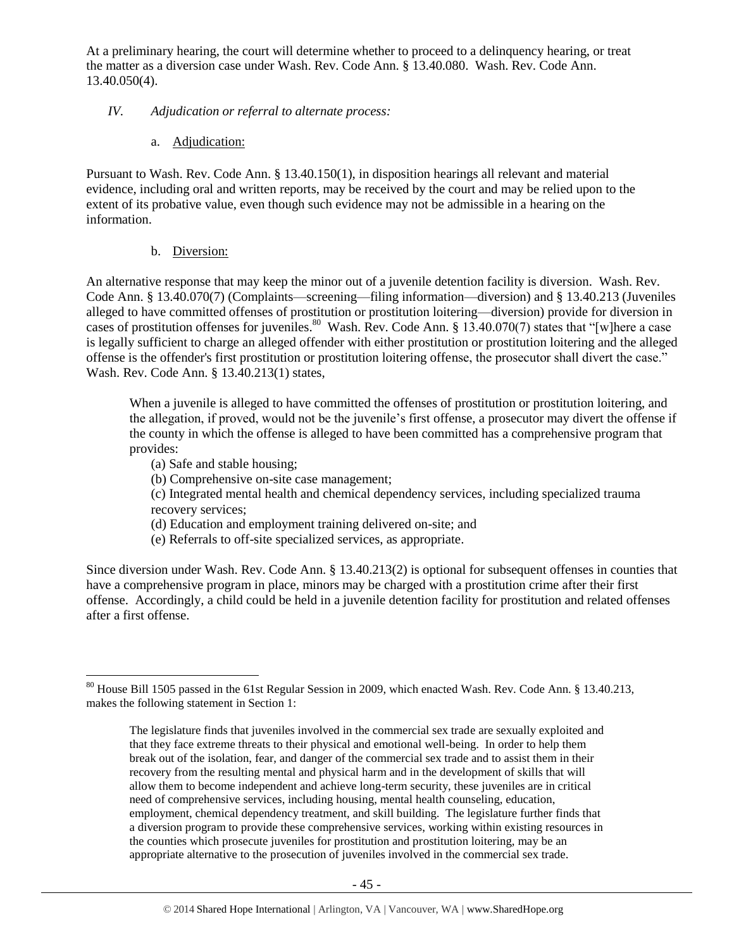At a preliminary hearing, the court will determine whether to proceed to a delinquency hearing, or treat the matter as a diversion case under Wash. Rev. Code Ann. § 13.40.080. Wash. Rev. Code Ann. 13.40.050(4).

# *IV. Adjudication or referral to alternate process:*

a. Adjudication:

Pursuant to Wash. Rev. Code Ann. § 13.40.150(1), in disposition hearings all relevant and material evidence, including oral and written reports, may be received by the court and may be relied upon to the extent of its probative value, even though such evidence may not be admissible in a hearing on the information.

# b. Diversion:

An alternative response that may keep the minor out of a juvenile detention facility is diversion. Wash. Rev. Code Ann. § 13.40.070(7) (Complaints—screening—filing information—diversion) and § 13.40.213 (Juveniles alleged to have committed offenses of prostitution or prostitution loitering—diversion) provide for diversion in cases of prostitution offenses for juveniles.<sup>80</sup> Wash. Rev. Code Ann. § 13.40.070(7) states that "[w]here a case is legally sufficient to charge an alleged offender with either prostitution or prostitution loitering and the alleged offense is the offender's first prostitution or prostitution loitering offense, the prosecutor shall divert the case." Wash. Rev. Code Ann. § 13.40.213(1) states,

When a juvenile is alleged to have committed the offenses of prostitution or prostitution loitering, and the allegation, if proved, would not be the juvenile's first offense, a prosecutor may divert the offense if the county in which the offense is alleged to have been committed has a comprehensive program that provides:

- (a) Safe and stable housing;
- (b) Comprehensive on-site case management;
- (c) Integrated mental health and chemical dependency services, including specialized trauma recovery services;
- (d) Education and employment training delivered on-site; and
- (e) Referrals to off-site specialized services, as appropriate.

Since diversion under Wash. Rev. Code Ann. § 13.40.213(2) is optional for subsequent offenses in counties that have a comprehensive program in place, minors may be charged with a prostitution crime after their first offense. Accordingly, a child could be held in a juvenile detention facility for prostitution and related offenses after a first offense.

 $\overline{a}$ <sup>80</sup> House Bill 1505 passed in the 61st Regular Session in 2009, which enacted Wash. Rev. Code Ann. § 13.40.213, makes the following statement in Section 1:

The legislature finds that juveniles involved in the commercial sex trade are sexually exploited and that they face extreme threats to their physical and emotional well-being. In order to help them break out of the isolation, fear, and danger of the commercial sex trade and to assist them in their recovery from the resulting mental and physical harm and in the development of skills that will allow them to become independent and achieve long-term security, these juveniles are in critical need of comprehensive services, including housing, mental health counseling, education, employment, chemical dependency treatment, and skill building. The legislature further finds that a diversion program to provide these comprehensive services, working within existing resources in the counties which prosecute juveniles for prostitution and prostitution loitering, may be an appropriate alternative to the prosecution of juveniles involved in the commercial sex trade.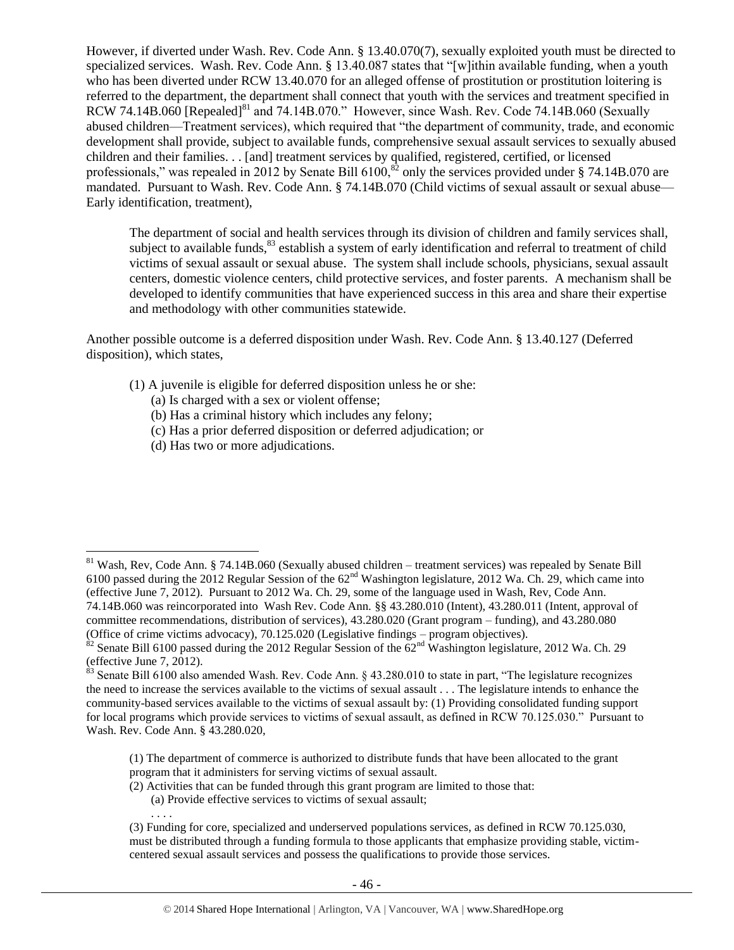However, if diverted under Wash. Rev. Code Ann. § 13.40.070(7), sexually exploited youth must be directed to specialized services. Wash. Rev. Code Ann. § 13.40.087 states that "[w]ithin available funding, when a youth who has been diverted under RCW 13.40.070 for an alleged offense of prostitution or prostitution loitering is referred to the department, the department shall connect that youth with the services and treatment specified in RCW 74.14B.060 [Repealed]<sup>81</sup> and 74.14B.070." However, since Wash. Rev. Code 74.14B.060 (Sexually abused children—Treatment services), which required that "the department of community, trade, and economic development shall provide, subject to available funds, comprehensive sexual assault services to sexually abused children and their families. . . [and] treatment services by qualified, registered, certified, or licensed professionals," was repealed in 2012 by Senate Bill  $6100$ , $^{82}$  only the services provided under § 74.14B.070 are mandated. Pursuant to Wash. Rev. Code Ann. § 74.14B.070 (Child victims of sexual assault or sexual abuse— Early identification, treatment),

The department of social and health services through its division of children and family services shall, subject to available funds,<sup>83</sup> establish a system of early identification and referral to treatment of child victims of sexual assault or sexual abuse. The system shall include schools, physicians, sexual assault centers, domestic violence centers, child protective services, and foster parents. A mechanism shall be developed to identify communities that have experienced success in this area and share their expertise and methodology with other communities statewide.

Another possible outcome is a deferred disposition under Wash. Rev. Code Ann. § 13.40.127 (Deferred disposition), which states,

- (1) A juvenile is eligible for deferred disposition unless he or she:
	- (a) Is charged with a sex or violent offense;
	- (b) Has a criminal history which includes any felony;
	- (c) Has a prior deferred disposition or deferred adjudication; or
	- (d) Has two or more adjudications.

 $\overline{a}$ 

. . . .

- (2) Activities that can be funded through this grant program are limited to those that:
	- (a) Provide effective services to victims of sexual assault;

 $81$  Wash, Rev, Code Ann. § 74.14B.060 (Sexually abused children – treatment services) was repealed by Senate Bill 6100 passed during the 2012 Regular Session of the  $62<sup>nd</sup>$  Washington legislature, 2012 Wa. Ch. 29, which came into (effective June 7, 2012). Pursuant to 2012 Wa. Ch. 29, some of the language used in Wash, Rev, Code Ann. 74.14B.060 was reincorporated into Wash Rev. Code Ann. §§ 43.280.010 (Intent), 43.280.011 (Intent, approval of committee recommendations, distribution of services), 43.280.020 (Grant program – funding), and 43.280.080 (Office of crime victims advocacy), 70.125.020 (Legislative findings – program objectives).

Senate Bill 6100 passed during the 2012 Regular Session of the  $62<sup>nd</sup>$  Washington legislature, 2012 Wa. Ch. 29 (effective June 7, 2012).

 $\frac{83}{100}$  Senate Bill 6100 also amended Wash. Rev. Code Ann. § 43.280.010 to state in part, "The legislature recognizes the need to increase the services available to the victims of sexual assault . . . The legislature intends to enhance the community-based services available to the victims of sexual assault by: (1) Providing consolidated funding support for local programs which provide services to victims of sexual assault, as defined in RCW 70.125.030." Pursuant to Wash. Rev. Code Ann. § 43.280.020,

<sup>(1)</sup> The department of commerce is authorized to distribute funds that have been allocated to the grant program that it administers for serving victims of sexual assault.

<sup>(3)</sup> Funding for core, specialized and underserved populations services, as defined in RCW 70.125.030, must be distributed through a funding formula to those applicants that emphasize providing stable, victimcentered sexual assault services and possess the qualifications to provide those services.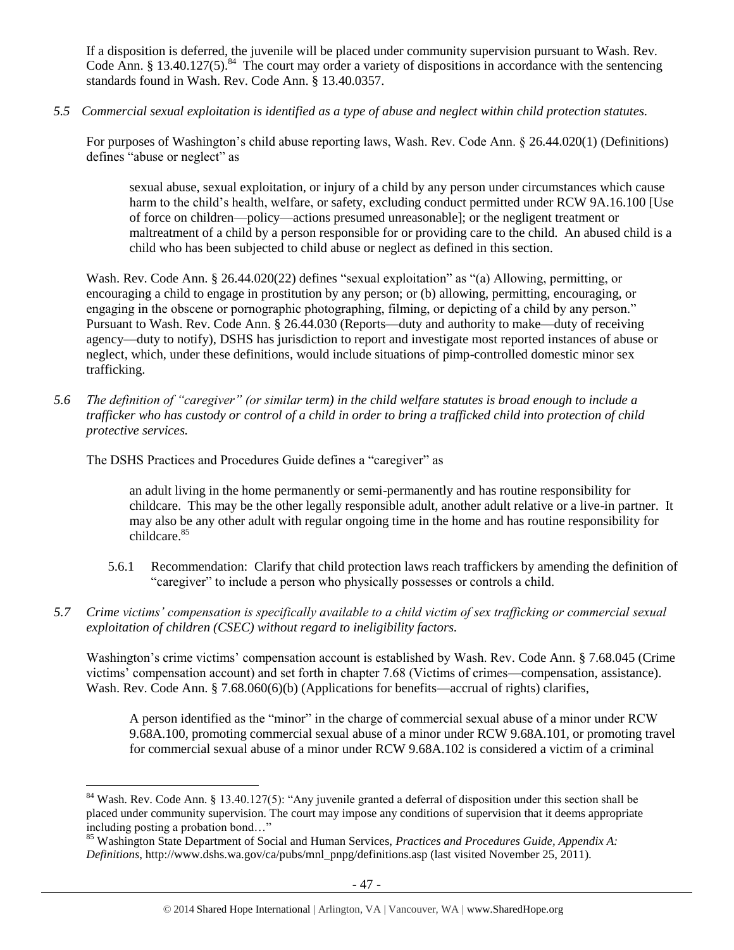If a disposition is deferred, the juvenile will be placed under community supervision pursuant to Wash. Rev. Code Ann. § 13.40.127(5).<sup>84</sup> The court may order a variety of dispositions in accordance with the sentencing standards found in Wash. Rev. Code Ann. § 13.40.0357.

*5.5 Commercial sexual exploitation is identified as a type of abuse and neglect within child protection statutes.*

For purposes of Washington's child abuse reporting laws, Wash. Rev. Code Ann. § 26.44.020(1) (Definitions) defines "abuse or neglect" as

sexual abuse, sexual exploitation, or injury of a child by any person under circumstances which cause harm to the child's health, welfare, or safety, excluding conduct permitted under RCW 9A.16.100 [Use of force on children—policy—actions presumed unreasonable]; or the negligent treatment or maltreatment of a child by a person responsible for or providing care to the child. An abused child is a child who has been subjected to child abuse or neglect as defined in this section.

Wash. Rev. Code Ann. § 26.44.020(22) defines "sexual exploitation" as "(a) Allowing, permitting, or encouraging a child to engage in prostitution by any person; or (b) allowing, permitting, encouraging, or engaging in the obscene or pornographic photographing, filming, or depicting of a child by any person." Pursuant to Wash. Rev. Code Ann. § 26.44.030 (Reports—duty and authority to make—duty of receiving agency—duty to notify), DSHS has jurisdiction to report and investigate most reported instances of abuse or neglect, which, under these definitions, would include situations of pimp-controlled domestic minor sex trafficking.

*5.6 The definition of "caregiver" (or similar term) in the child welfare statutes is broad enough to include a trafficker who has custody or control of a child in order to bring a trafficked child into protection of child protective services.*

The DSHS Practices and Procedures Guide defines a "caregiver" as

 $\overline{a}$ 

an adult living in the home permanently or semi-permanently and has routine responsibility for childcare. This may be the other legally responsible adult, another adult relative or a live-in partner. It may also be any other adult with regular ongoing time in the home and has routine responsibility for childcare.<sup>85</sup>

- 5.6.1 Recommendation: Clarify that child protection laws reach traffickers by amending the definition of "caregiver" to include a person who physically possesses or controls a child.
- *5.7 Crime victims' compensation is specifically available to a child victim of sex trafficking or commercial sexual exploitation of children (CSEC) without regard to ineligibility factors.*

Washington's crime victims' compensation account is established by Wash. Rev. Code Ann. § 7.68.045 (Crime victims' compensation account) and set forth in chapter 7.68 (Victims of crimes—compensation, assistance). Wash. Rev. Code Ann. § 7.68.060(6)(b) (Applications for benefits—accrual of rights) clarifies,

A person identified as the "minor" in the charge of commercial sexual abuse of a minor under RCW 9.68A.100, promoting commercial sexual abuse of a minor under RCW 9.68A.101, or promoting travel for commercial sexual abuse of a minor under RCW 9.68A.102 is considered a victim of a criminal

 $84$  Wash. Rev. Code Ann. § 13.40.127(5): "Any juvenile granted a deferral of disposition under this section shall be placed under community supervision. The court may impose any conditions of supervision that it deems appropriate including posting a probation bond…"

<sup>85</sup> Washington State Department of Social and Human Services, *Practices and Procedures Guide, Appendix A: Definitions*, http://www.dshs.wa.gov/ca/pubs/mnl\_pnpg/definitions.asp (last visited November 25, 2011).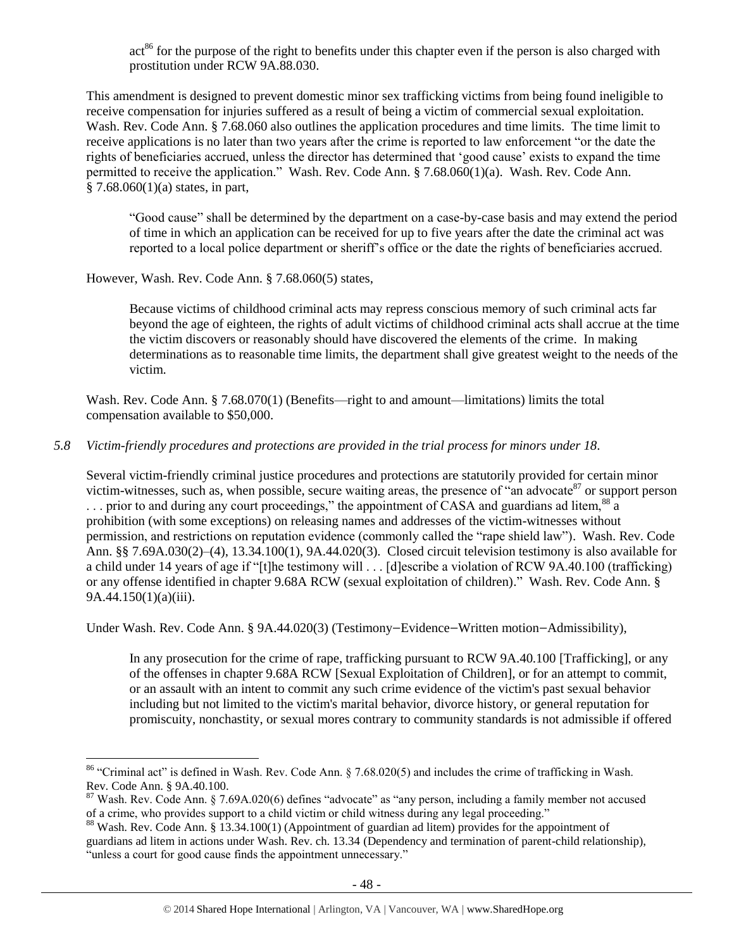$act<sup>86</sup>$  for the purpose of the right to benefits under this chapter even if the person is also charged with prostitution under RCW 9A.88.030.

This amendment is designed to prevent domestic minor sex trafficking victims from being found ineligible to receive compensation for injuries suffered as a result of being a victim of commercial sexual exploitation. Wash. Rev. Code Ann. § 7.68.060 also outlines the application procedures and time limits. The time limit to receive applications is no later than two years after the crime is reported to law enforcement "or the date the rights of beneficiaries accrued, unless the director has determined that 'good cause' exists to expand the time permitted to receive the application." Wash. Rev. Code Ann. § 7.68.060(1)(a). Wash. Rev. Code Ann.  $§ 7.68.060(1)(a)$  states, in part,

"Good cause" shall be determined by the department on a case-by-case basis and may extend the period of time in which an application can be received for up to five years after the date the criminal act was reported to a local police department or sheriff's office or the date the rights of beneficiaries accrued.

However, Wash. Rev. Code Ann. § 7.68.060(5) states,

 $\overline{a}$ 

Because victims of childhood criminal acts may repress conscious memory of such criminal acts far beyond the age of eighteen, the rights of adult victims of childhood criminal acts shall accrue at the time the victim discovers or reasonably should have discovered the elements of the crime. In making determinations as to reasonable time limits, the department shall give greatest weight to the needs of the victim.

Wash. Rev. Code Ann. § 7.68.070(1) (Benefits—right to and amount—limitations) limits the total compensation available to \$50,000.

# *5.8 Victim-friendly procedures and protections are provided in the trial process for minors under 18.*

Several victim-friendly criminal justice procedures and protections are statutorily provided for certain minor victim-witnesses, such as, when possible, secure waiting areas, the presence of "an advocate<sup>87</sup> or support person ... prior to and during any court proceedings," the appointment of CASA and guardians ad litem, <sup>88</sup> a prohibition (with some exceptions) on releasing names and addresses of the victim-witnesses without permission, and restrictions on reputation evidence (commonly called the "rape shield law"). Wash. Rev. Code Ann. §§ 7.69A.030(2)–(4), 13.34.100(1), 9A.44.020(3). Closed circuit television testimony is also available for a child under 14 years of age if "[t]he testimony will . . . [d]escribe a violation of RCW 9A.40.100 (trafficking) or any offense identified in chapter 9.68A RCW (sexual exploitation of children)." Wash. Rev. Code Ann. § 9A.44.150(1)(a)(iii).

Under Wash. Rev. Code Ann. § 9A.44.020(3) (Testimony—Evidence—Written motion—Admissibility),

In any prosecution for the crime of rape, trafficking pursuant to RCW 9A.40.100 [Trafficking], or any of the offenses in chapter 9.68A RCW [Sexual Exploitation of Children], or for an attempt to commit, or an assault with an intent to commit any such crime evidence of the victim's past sexual behavior including but not limited to the victim's marital behavior, divorce history, or general reputation for promiscuity, nonchastity, or sexual mores contrary to community standards is not admissible if offered

 $86$  "Criminal act" is defined in Wash. Rev. Code Ann. § 7.68.020(5) and includes the crime of trafficking in Wash. Rev. Code Ann. § 9A.40.100.

 $87$  Wash. Rev. Code Ann. § 7.69A.020(6) defines "advocate" as "any person, including a family member not accused of a crime, who provides support to a child victim or child witness during any legal proceeding."

<sup>&</sup>lt;sup>88</sup> Wash. Rev. Code Ann. § 13.34.100(1) (Appointment of guardian ad litem) provides for the appointment of guardians ad litem in actions under Wash. Rev. ch. 13.34 (Dependency and termination of parent-child relationship), "unless a court for good cause finds the appointment unnecessary."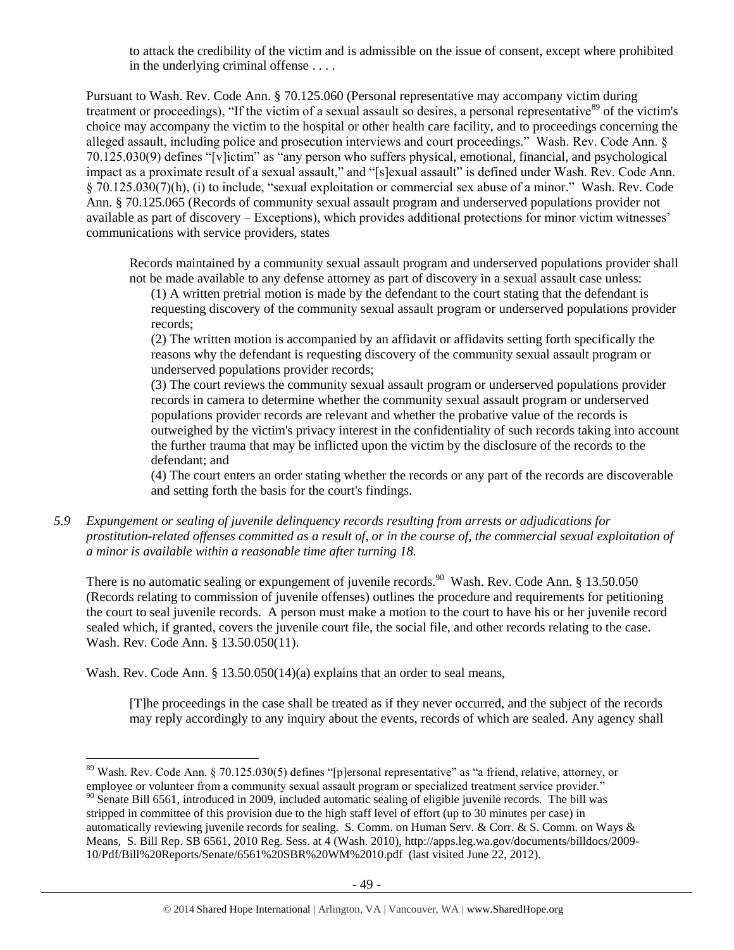to attack the credibility of the victim and is admissible on the issue of consent, except where prohibited in the underlying criminal offense . . . .

Pursuant to Wash. Rev. Code Ann. § 70.125.060 (Personal representative may accompany victim during treatment or proceedings), "If the victim of a sexual assault so desires, a personal representative<sup>89</sup> of the victim's choice may accompany the victim to the hospital or other health care facility, and to proceedings concerning the alleged assault, including police and prosecution interviews and court proceedings." Wash. Rev. Code Ann. § 70.125.030(9) defines "[v]ictim" as "any person who suffers physical, emotional, financial, and psychological impact as a proximate result of a sexual assault," and "[s]exual assault" is defined under Wash. Rev. Code Ann. § 70.125.030(7)(h), (i) to include, "sexual exploitation or commercial sex abuse of a minor." Wash. Rev. Code Ann. § 70.125.065 (Records of community sexual assault program and underserved populations provider not available as part of discovery – Exceptions), which provides additional protections for minor victim witnesses' communications with service providers, states

Records maintained by a community sexual assault program and underserved populations provider shall not be made available to any defense attorney as part of discovery in a sexual assault case unless:

(1) A written pretrial motion is made by the defendant to the court stating that the defendant is requesting discovery of the community sexual assault program or underserved populations provider records;

(2) The written motion is accompanied by an affidavit or affidavits setting forth specifically the reasons why the defendant is requesting discovery of the community sexual assault program or underserved populations provider records;

(3) The court reviews the community sexual assault program or underserved populations provider records in camera to determine whether the community sexual assault program or underserved populations provider records are relevant and whether the probative value of the records is outweighed by the victim's privacy interest in the confidentiality of such records taking into account the further trauma that may be inflicted upon the victim by the disclosure of the records to the defendant; and

(4) The court enters an order stating whether the records or any part of the records are discoverable and setting forth the basis for the court's findings.

*5.9 Expungement or sealing of juvenile delinquency records resulting from arrests or adjudications for prostitution-related offenses committed as a result of, or in the course of, the commercial sexual exploitation of a minor is available within a reasonable time after turning 18.*

There is no automatic sealing or expungement of juvenile records.<sup>90</sup> Wash. Rev. Code Ann. § 13.50.050 (Records relating to commission of juvenile offenses) outlines the procedure and requirements for petitioning the court to seal juvenile records. A person must make a motion to the court to have his or her juvenile record sealed which, if granted, covers the juvenile court file, the social file, and other records relating to the case. Wash. Rev. Code Ann. § 13.50.050(11).

Wash. Rev. Code Ann. § 13.50.050(14)(a) explains that an order to seal means,

 $\overline{a}$ 

[T]he proceedings in the case shall be treated as if they never occurred, and the subject of the records may reply accordingly to any inquiry about the events, records of which are sealed. Any agency shall

<sup>&</sup>lt;sup>89</sup> Wash. Rev. Code Ann. § 70.125.030(5) defines "[p]ersonal representative" as "a friend, relative, attorney, or employee or volunteer from a community sexual assault program or specialized treatment service provider."

 $^{90}$  Senate Bill 6561, introduced in 2009, included automatic sealing of eligible juvenile records. The bill was stripped in committee of this provision due to the high staff level of effort (up to 30 minutes per case) in automatically reviewing juvenile records for sealing. S. Comm. on Human Serv. & Corr. & S. Comm. on Ways & Means, S. Bill Rep. SB 6561, 2010 Reg. Sess. at 4 (Wash. 2010), http://apps.leg.wa.gov/documents/billdocs/2009- 10/Pdf/Bill%20Reports/Senate/6561%20SBR%20WM%2010.pdf (last visited June 22, 2012).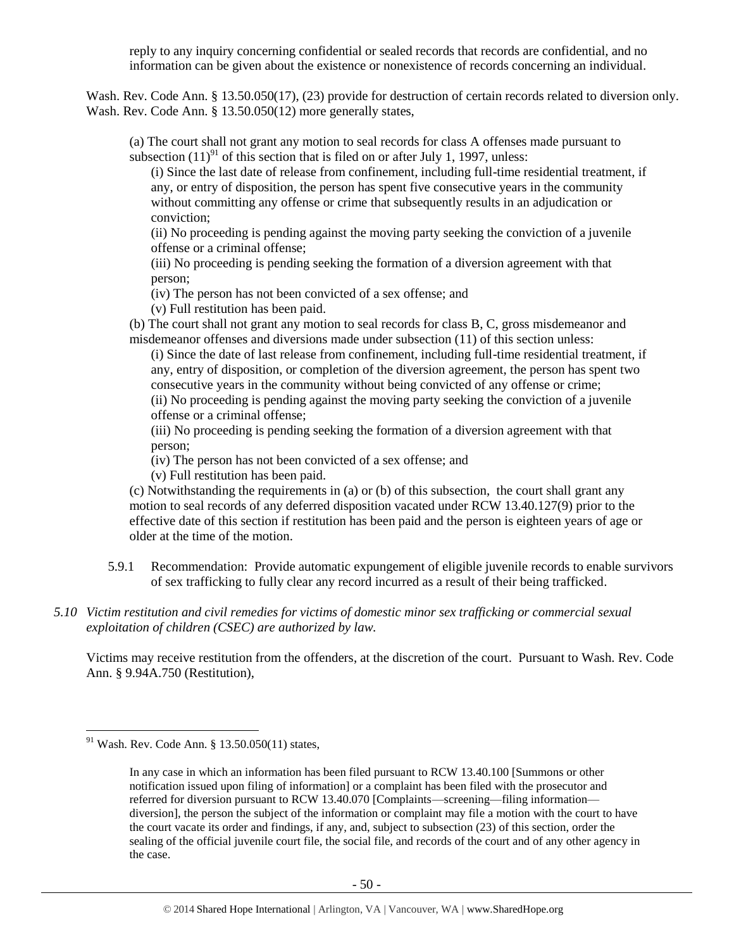reply to any inquiry concerning confidential or sealed records that records are confidential, and no information can be given about the existence or nonexistence of records concerning an individual.

Wash. Rev. Code Ann. § 13.50.050(17), (23) provide for destruction of certain records related to diversion only. Wash. Rev. Code Ann. § 13.50.050(12) more generally states,

(a) The court shall not grant any motion to seal records for class A offenses made pursuant to subsection  $(11)^{91}$  of this section that is filed on or after July 1, 1997, unless:

(i) Since the last date of release from confinement, including full-time residential treatment, if any, or entry of disposition, the person has spent five consecutive years in the community without committing any offense or crime that subsequently results in an adjudication or conviction;

(ii) No proceeding is pending against the moving party seeking the conviction of a juvenile offense or a criminal offense;

(iii) No proceeding is pending seeking the formation of a diversion agreement with that person;

(iv) The person has not been convicted of a sex offense; and

(v) Full restitution has been paid.

(b) The court shall not grant any motion to seal records for class B, C, gross misdemeanor and misdemeanor offenses and diversions made under subsection (11) of this section unless:

(i) Since the date of last release from confinement, including full-time residential treatment, if any, entry of disposition, or completion of the diversion agreement, the person has spent two consecutive years in the community without being convicted of any offense or crime; (ii) No proceeding is pending against the moving party seeking the conviction of a juvenile offense or a criminal offense;

(iii) No proceeding is pending seeking the formation of a diversion agreement with that person;

(iv) The person has not been convicted of a sex offense; and

(v) Full restitution has been paid.

(c) Notwithstanding the requirements in (a) or (b) of this subsection, the court shall grant any motion to seal records of any deferred disposition vacated under RCW 13.40.127(9) prior to the effective date of this section if restitution has been paid and the person is eighteen years of age or older at the time of the motion.

- 5.9.1 Recommendation: Provide automatic expungement of eligible juvenile records to enable survivors of sex trafficking to fully clear any record incurred as a result of their being trafficked.
- *5.10 Victim restitution and civil remedies for victims of domestic minor sex trafficking or commercial sexual exploitation of children (CSEC) are authorized by law.*

Victims may receive restitution from the offenders, at the discretion of the court. Pursuant to Wash. Rev. Code Ann. § 9.94A.750 (Restitution),

<sup>91</sup> Wash. Rev. Code Ann. § 13.50.050(11) states,

In any case in which an information has been filed pursuant to RCW 13.40.100 [Summons or other notification issued upon filing of information] or a complaint has been filed with the prosecutor and referred for diversion pursuant to RCW 13.40.070 [Complaints—screening—filing information diversion], the person the subject of the information or complaint may file a motion with the court to have the court vacate its order and findings, if any, and, subject to subsection (23) of this section, order the sealing of the official juvenile court file, the social file, and records of the court and of any other agency in the case.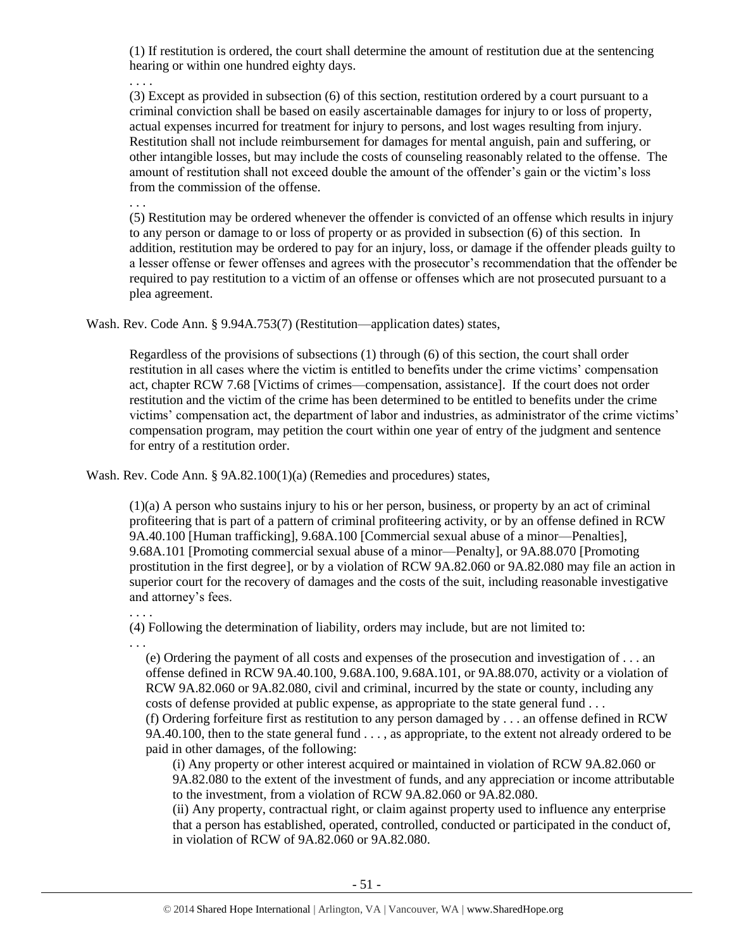(1) If restitution is ordered, the court shall determine the amount of restitution due at the sentencing hearing or within one hundred eighty days.

. . . .

(3) Except as provided in subsection (6) of this section, restitution ordered by a court pursuant to a criminal conviction shall be based on easily ascertainable damages for injury to or loss of property, actual expenses incurred for treatment for injury to persons, and lost wages resulting from injury. Restitution shall not include reimbursement for damages for mental anguish, pain and suffering, or other intangible losses, but may include the costs of counseling reasonably related to the offense. The amount of restitution shall not exceed double the amount of the offender's gain or the victim's loss from the commission of the offense.

. . .

(5) Restitution may be ordered whenever the offender is convicted of an offense which results in injury to any person or damage to or loss of property or as provided in subsection (6) of this section. In addition, restitution may be ordered to pay for an injury, loss, or damage if the offender pleads guilty to a lesser offense or fewer offenses and agrees with the prosecutor's recommendation that the offender be required to pay restitution to a victim of an offense or offenses which are not prosecuted pursuant to a plea agreement.

Wash. Rev. Code Ann. § 9.94A.753(7) (Restitution—application dates) states,

Regardless of the provisions of subsections (1) through (6) of this section, the court shall order restitution in all cases where the victim is entitled to benefits under the crime victims' compensation act, chapter RCW 7.68 [Victims of crimes—compensation, assistance]. If the court does not order restitution and the victim of the crime has been determined to be entitled to benefits under the crime victims' compensation act, the department of labor and industries, as administrator of the crime victims' compensation program, may petition the court within one year of entry of the judgment and sentence for entry of a restitution order.

Wash. Rev. Code Ann. § 9A.82.100(1)(a) (Remedies and procedures) states,

(1)(a) A person who sustains injury to his or her person, business, or property by an act of criminal profiteering that is part of a pattern of criminal profiteering activity, or by an offense defined in RCW 9A.40.100 [Human trafficking], 9.68A.100 [Commercial sexual abuse of a minor—Penalties], 9.68A.101 [Promoting commercial sexual abuse of a minor—Penalty], or 9A.88.070 [Promoting prostitution in the first degree], or by a violation of RCW 9A.82.060 or 9A.82.080 may file an action in superior court for the recovery of damages and the costs of the suit, including reasonable investigative and attorney's fees.

#### . . . .

(4) Following the determination of liability, orders may include, but are not limited to:

. . .

(e) Ordering the payment of all costs and expenses of the prosecution and investigation of . . . an offense defined in RCW 9A.40.100, 9.68A.100, 9.68A.101, or 9A.88.070, activity or a violation of RCW 9A.82.060 or 9A.82.080, civil and criminal, incurred by the state or county, including any costs of defense provided at public expense, as appropriate to the state general fund . . . (f) Ordering forfeiture first as restitution to any person damaged by . . . an offense defined in RCW 9A.40.100, then to the state general fund . . . , as appropriate, to the extent not already ordered to be paid in other damages, of the following:

(i) Any property or other interest acquired or maintained in violation of RCW 9A.82.060 or 9A.82.080 to the extent of the investment of funds, and any appreciation or income attributable to the investment, from a violation of RCW 9A.82.060 or 9A.82.080.

(ii) Any property, contractual right, or claim against property used to influence any enterprise that a person has established, operated, controlled, conducted or participated in the conduct of, in violation of RCW of 9A.82.060 or 9A.82.080.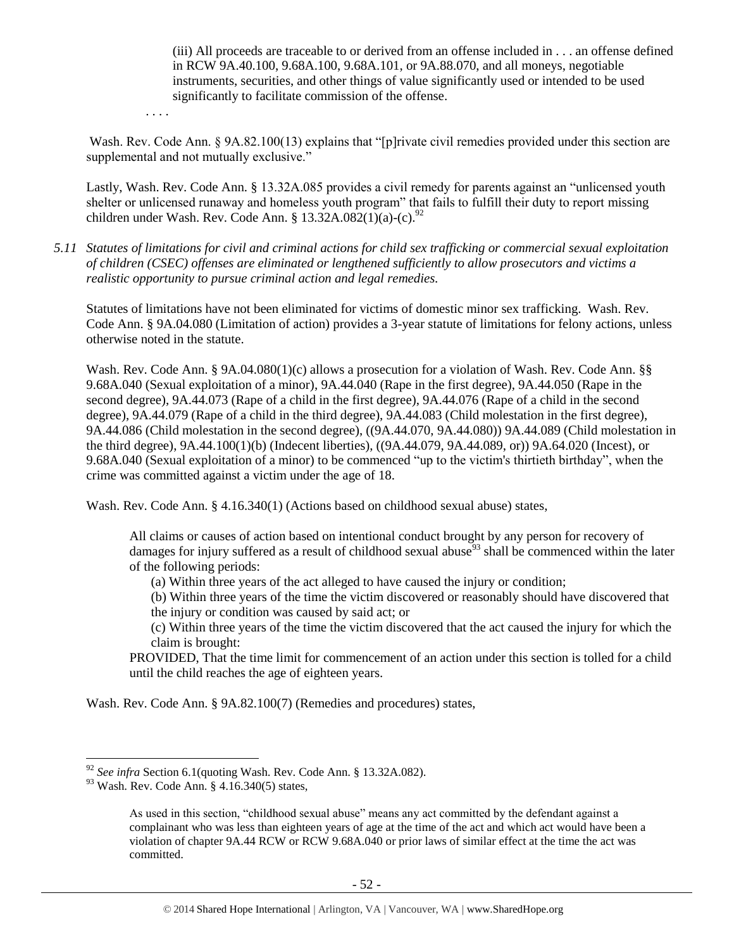(iii) All proceeds are traceable to or derived from an offense included in . . . an offense defined in RCW 9A.40.100, 9.68A.100, 9.68A.101, or 9A.88.070, and all moneys, negotiable instruments, securities, and other things of value significantly used or intended to be used significantly to facilitate commission of the offense.

. . . .

Wash. Rev. Code Ann. § 9A.82.100(13) explains that "[p]rivate civil remedies provided under this section are supplemental and not mutually exclusive."

Lastly, Wash. Rev. Code Ann. § 13.32A.085 provides a civil remedy for parents against an "unlicensed youth shelter or unlicensed runaway and homeless youth program" that fails to fulfill their duty to report missing children under Wash. Rev. Code Ann. § 13.32A.082(1)(a)-(c).<sup>92</sup>

*5.11 Statutes of limitations for civil and criminal actions for child sex trafficking or commercial sexual exploitation of children (CSEC) offenses are eliminated or lengthened sufficiently to allow prosecutors and victims a realistic opportunity to pursue criminal action and legal remedies.*

Statutes of limitations have not been eliminated for victims of domestic minor sex trafficking. Wash. Rev. Code Ann. § 9A.04.080 (Limitation of action) provides a 3-year statute of limitations for felony actions, unless otherwise noted in the statute.

Wash. Rev. Code Ann. § 9A.04.080(1)(c) allows a prosecution for a violation of Wash. Rev. Code Ann. §§ 9.68A.040 (Sexual exploitation of a minor), 9A.44.040 (Rape in the first degree), 9A.44.050 (Rape in the second degree), 9A.44.073 (Rape of a child in the first degree), 9A.44.076 (Rape of a child in the second degree), 9A.44.079 (Rape of a child in the third degree), 9A.44.083 (Child molestation in the first degree), 9A.44.086 (Child molestation in the second degree), ((9A.44.070, 9A.44.080)) 9A.44.089 (Child molestation in the third degree), 9A.44.100(1)(b) (Indecent liberties), ((9A.44.079, 9A.44.089, or)) 9A.64.020 (Incest), or 9.68A.040 (Sexual exploitation of a minor) to be commenced "up to the victim's thirtieth birthday", when the crime was committed against a victim under the age of 18.

Wash. Rev. Code Ann. § 4.16.340(1) (Actions based on childhood sexual abuse) states,

All claims or causes of action based on intentional conduct brought by any person for recovery of damages for injury suffered as a result of childhood sexual abuse  $93$  shall be commenced within the later of the following periods:

(a) Within three years of the act alleged to have caused the injury or condition;

(b) Within three years of the time the victim discovered or reasonably should have discovered that the injury or condition was caused by said act; or

(c) Within three years of the time the victim discovered that the act caused the injury for which the claim is brought:

PROVIDED, That the time limit for commencement of an action under this section is tolled for a child until the child reaches the age of eighteen years.

Wash. Rev. Code Ann. § 9A.82.100(7) (Remedies and procedures) states,

<sup>92</sup> *See infra* Section 6.1(quoting Wash. Rev. Code Ann. § 13.32A.082).

<sup>93</sup> Wash. Rev. Code Ann. § 4.16.340(5) states,

As used in this section, "childhood sexual abuse" means any act committed by the defendant against a complainant who was less than eighteen years of age at the time of the act and which act would have been a violation of chapter 9A.44 RCW or RCW 9.68A.040 or prior laws of similar effect at the time the act was committed.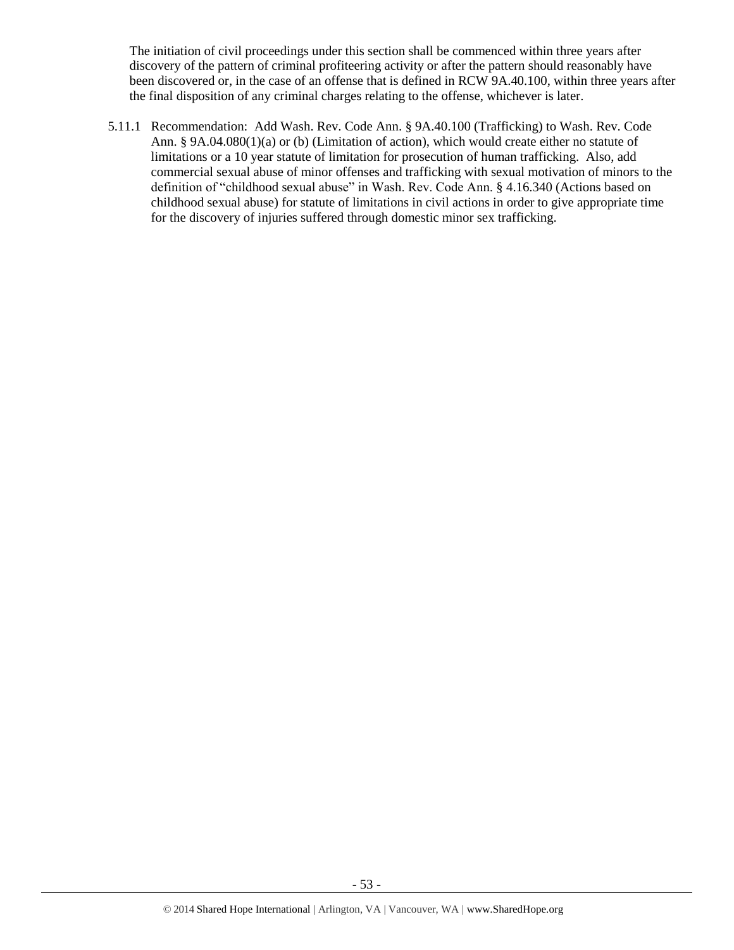The initiation of civil proceedings under this section shall be commenced within three years after discovery of the pattern of criminal profiteering activity or after the pattern should reasonably have been discovered or, in the case of an offense that is defined in RCW 9A.40.100, within three years after the final disposition of any criminal charges relating to the offense, whichever is later.

5.11.1 Recommendation: Add Wash. Rev. Code Ann. § 9A.40.100 (Trafficking) to Wash. Rev. Code Ann. § 9A.04.080(1)(a) or (b) (Limitation of action), which would create either no statute of limitations or a 10 year statute of limitation for prosecution of human trafficking. Also, add commercial sexual abuse of minor offenses and trafficking with sexual motivation of minors to the definition of "childhood sexual abuse" in Wash. Rev. Code Ann. § 4.16.340 (Actions based on childhood sexual abuse) for statute of limitations in civil actions in order to give appropriate time for the discovery of injuries suffered through domestic minor sex trafficking.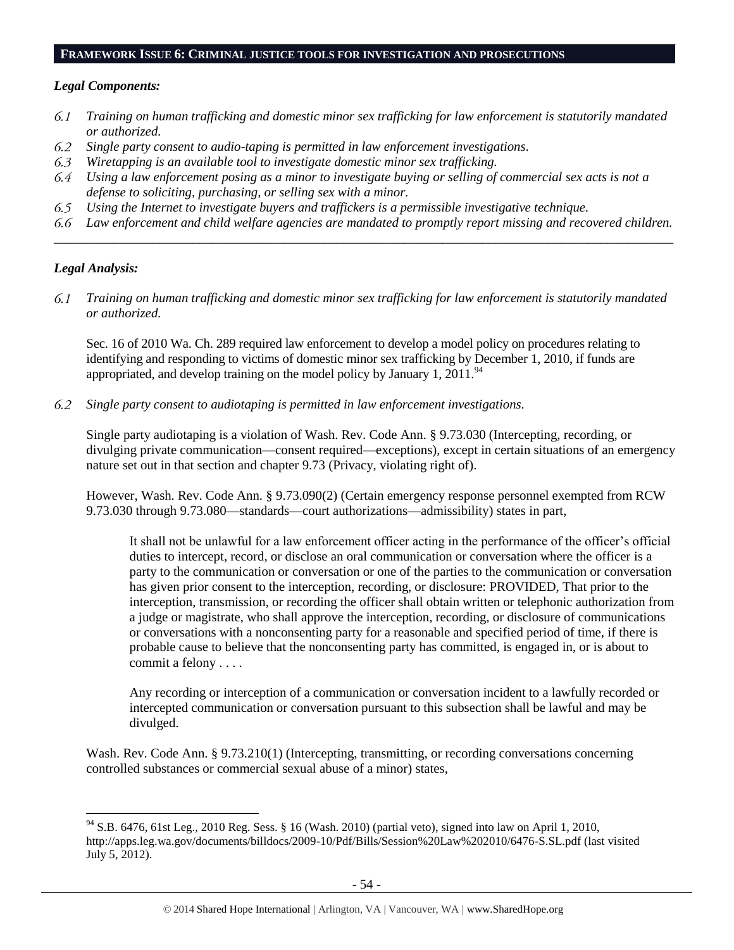#### **FRAMEWORK ISSUE 6: CRIMINAL JUSTICE TOOLS FOR INVESTIGATION AND PROSECUTIONS**

#### *Legal Components:*

- *Training on human trafficking and domestic minor sex trafficking for law enforcement is statutorily mandated*  6.1 *or authorized.*
- 6.2 *Single party consent to audio-taping is permitted in law enforcement investigations.*
- 6.3 *Wiretapping is an available tool to investigate domestic minor sex trafficking.*
- 6.4 *Using a law enforcement posing as a minor to investigate buying or selling of commercial sex acts is not a defense to soliciting, purchasing, or selling sex with a minor.*
- *Using the Internet to investigate buyers and traffickers is a permissible investigative technique.* 6.5
- *Law enforcement and child welfare agencies are mandated to promptly report missing and recovered children. \_\_\_\_\_\_\_\_\_\_\_\_\_\_\_\_\_\_\_\_\_\_\_\_\_\_\_\_\_\_\_\_\_\_\_\_\_\_\_\_\_\_\_\_\_\_\_\_\_\_\_\_\_\_\_\_\_\_\_\_\_\_\_\_\_\_\_\_\_\_\_\_\_\_\_\_\_\_\_\_\_\_\_\_\_\_\_\_\_\_\_\_\_\_*

#### *Legal Analysis:*

 $\overline{a}$ 

*Training on human trafficking and domestic minor sex trafficking for law enforcement is statutorily mandated* 6.1 *or authorized.*

Sec. 16 of 2010 Wa. Ch. 289 required law enforcement to develop a model policy on procedures relating to identifying and responding to victims of domestic minor sex trafficking by December 1, 2010, if funds are appropriated, and develop training on the model policy by January 1,  $2011$ .<sup>94</sup>

 $6.2$ *Single party consent to audiotaping is permitted in law enforcement investigations.*

Single party audiotaping is a violation of Wash. Rev. Code Ann. § 9.73.030 (Intercepting, recording, or divulging private communication—consent required—exceptions), except in certain situations of an emergency nature set out in that section and chapter 9.73 (Privacy, violating right of).

However, Wash. Rev. Code Ann. § 9.73.090(2) (Certain emergency response personnel exempted from RCW 9.73.030 through 9.73.080—standards—court authorizations—admissibility) states in part,

It shall not be unlawful for a law enforcement officer acting in the performance of the officer's official duties to intercept, record, or disclose an oral communication or conversation where the officer is a party to the communication or conversation or one of the parties to the communication or conversation has given prior consent to the interception, recording, or disclosure: PROVIDED, That prior to the interception, transmission, or recording the officer shall obtain written or telephonic authorization from a judge or magistrate, who shall approve the interception, recording, or disclosure of communications or conversations with a nonconsenting party for a reasonable and specified period of time, if there is probable cause to believe that the nonconsenting party has committed, is engaged in, or is about to commit a felony . . . .

Any recording or interception of a communication or conversation incident to a lawfully recorded or intercepted communication or conversation pursuant to this subsection shall be lawful and may be divulged.

Wash. Rev. Code Ann. § 9.73.210(1) (Intercepting, transmitting, or recording conversations concerning controlled substances or commercial sexual abuse of a minor) states,

<sup>&</sup>lt;sup>94</sup> S.B. 6476, 61st Leg., 2010 Reg. Sess. § 16 (Wash. 2010) (partial veto), signed into law on April 1, 2010, http://apps.leg.wa.gov/documents/billdocs/2009-10/Pdf/Bills/Session%20Law%202010/6476-S.SL.pdf (last visited July 5, 2012).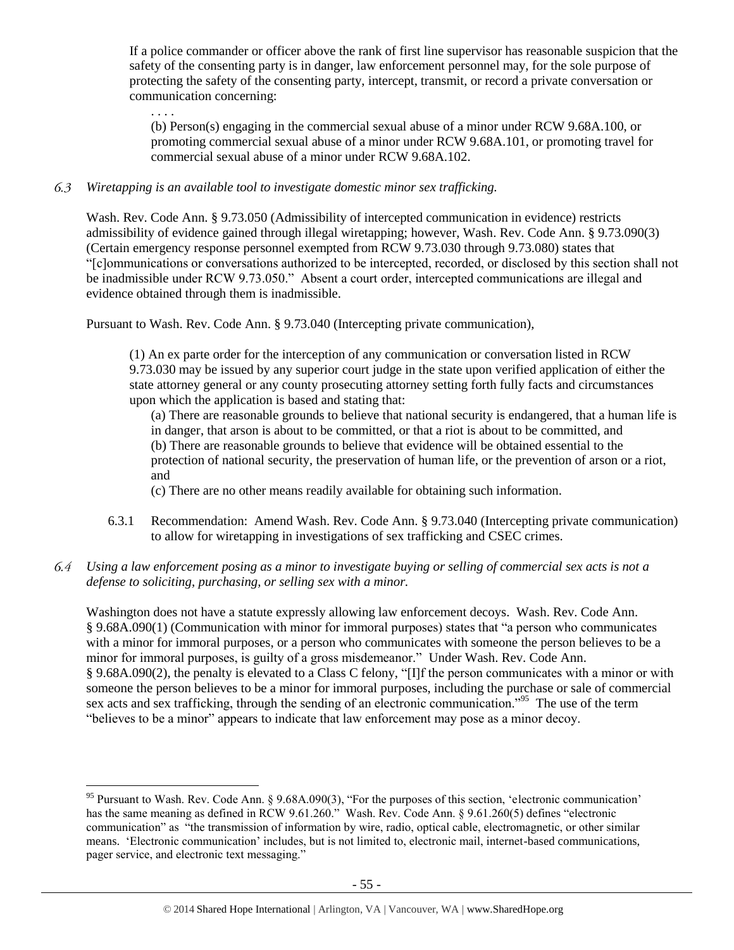If a police commander or officer above the rank of first line supervisor has reasonable suspicion that the safety of the consenting party is in danger, law enforcement personnel may, for the sole purpose of protecting the safety of the consenting party, intercept, transmit, or record a private conversation or communication concerning:

. . . . (b) Person(s) engaging in the commercial sexual abuse of a minor under RCW 9.68A.100, or promoting commercial sexual abuse of a minor under RCW 9.68A.101, or promoting travel for commercial sexual abuse of a minor under RCW 9.68A.102.

#### 6.3 *Wiretapping is an available tool to investigate domestic minor sex trafficking.*

Wash. Rev. Code Ann. § 9.73.050 (Admissibility of intercepted communication in evidence) restricts admissibility of evidence gained through illegal wiretapping; however, Wash. Rev. Code Ann. § 9.73.090(3) (Certain emergency response personnel exempted from RCW 9.73.030 through 9.73.080) states that "[c]ommunications or conversations authorized to be intercepted, recorded, or disclosed by this section shall not be inadmissible under RCW 9.73.050." Absent a court order, intercepted communications are illegal and evidence obtained through them is inadmissible.

Pursuant to Wash. Rev. Code Ann. § 9.73.040 (Intercepting private communication),

(1) An ex parte order for the interception of any communication or conversation listed in RCW 9.73.030 may be issued by any superior court judge in the state upon verified application of either the state attorney general or any county prosecuting attorney setting forth fully facts and circumstances upon which the application is based and stating that:

(a) There are reasonable grounds to believe that national security is endangered, that a human life is in danger, that arson is about to be committed, or that a riot is about to be committed, and

(b) There are reasonable grounds to believe that evidence will be obtained essential to the

protection of national security, the preservation of human life, or the prevention of arson or a riot, and

(c) There are no other means readily available for obtaining such information.

6.3.1 Recommendation: Amend Wash. Rev. Code Ann. § 9.73.040 (Intercepting private communication) to allow for wiretapping in investigations of sex trafficking and CSEC crimes.

# *Using a law enforcement posing as a minor to investigate buying or selling of commercial sex acts is not a defense to soliciting, purchasing, or selling sex with a minor.*

Washington does not have a statute expressly allowing law enforcement decoys. Wash. Rev. Code Ann. § 9.68A.090(1) (Communication with minor for immoral purposes) states that "a person who communicates with a minor for immoral purposes, or a person who communicates with someone the person believes to be a minor for immoral purposes, is guilty of a gross misdemeanor." Under Wash. Rev. Code Ann. § 9.68A.090(2), the penalty is elevated to a Class C felony, "[I]f the person communicates with a minor or with someone the person believes to be a minor for immoral purposes, including the purchase or sale of commercial sex acts and sex trafficking, through the sending of an electronic communication."<sup>95</sup> The use of the term "believes to be a minor" appears to indicate that law enforcement may pose as a minor decoy.

 $\overline{a}$ <sup>95</sup> Pursuant to Wash. Rev. Code Ann. § 9.68A.090(3), "For the purposes of this section, 'electronic communication' has the same meaning as defined in RCW 9.61.260." Wash. Rev. Code Ann. § 9.61.260(5) defines "electronic communication" as "the transmission of information by wire, radio, optical cable, electromagnetic, or other similar means. 'Electronic communication' includes, but is not limited to, electronic mail, internet-based communications, pager service, and electronic text messaging."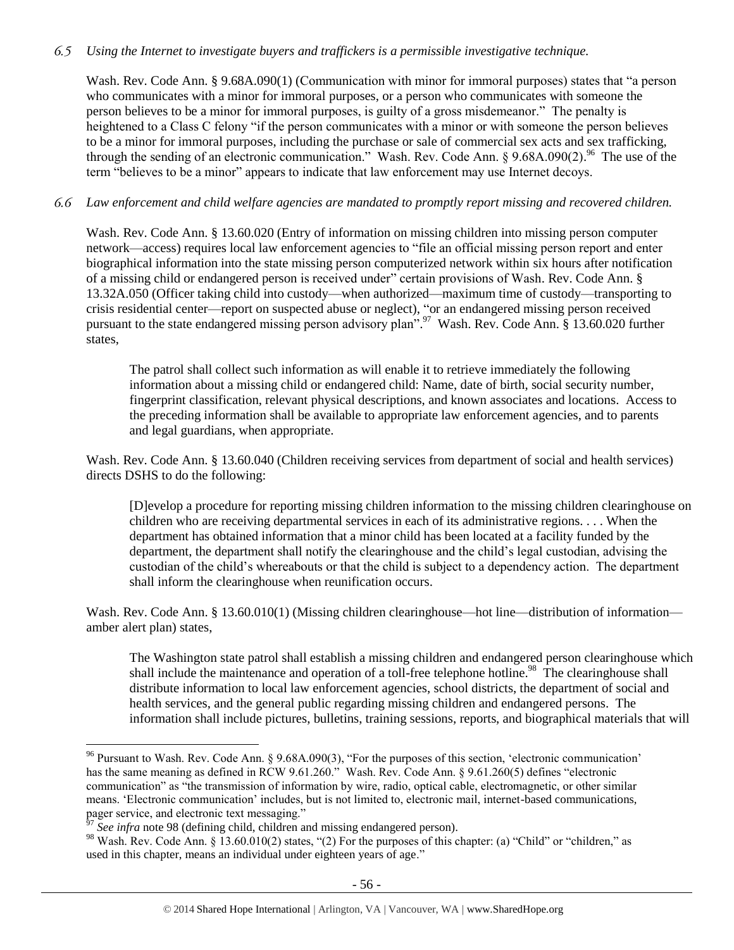# *Using the Internet to investigate buyers and traffickers is a permissible investigative technique.*

Wash. Rev. Code Ann. § 9.68A.090(1) (Communication with minor for immoral purposes) states that "a person who communicates with a minor for immoral purposes, or a person who communicates with someone the person believes to be a minor for immoral purposes, is guilty of a gross misdemeanor." The penalty is heightened to a Class C felony "if the person communicates with a minor or with someone the person believes to be a minor for immoral purposes, including the purchase or sale of commercial sex acts and sex trafficking, through the sending of an electronic communication." Wash. Rev. Code Ann. § 9.68A.090(2).<sup>96</sup> The use of the term "believes to be a minor" appears to indicate that law enforcement may use Internet decoys.

# *Law enforcement and child welfare agencies are mandated to promptly report missing and recovered children.*

Wash. Rev. Code Ann. § 13.60.020 (Entry of information on missing children into missing person computer network—access) requires local law enforcement agencies to "file an official missing person report and enter biographical information into the state missing person computerized network within six hours after notification of a missing child or endangered person is received under" certain provisions of Wash. Rev. Code Ann. § 13.32A.050 (Officer taking child into custody—when authorized—maximum time of custody—transporting to crisis residential center—report on suspected abuse or neglect), "or an endangered missing person received pursuant to the state endangered missing person advisory plan".<sup>97</sup> Wash. Rev. Code Ann. § 13.60.020 further states,

The patrol shall collect such information as will enable it to retrieve immediately the following information about a missing child or endangered child: Name, date of birth, social security number, fingerprint classification, relevant physical descriptions, and known associates and locations. Access to the preceding information shall be available to appropriate law enforcement agencies, and to parents and legal guardians, when appropriate.

Wash. Rev. Code Ann. § 13.60.040 (Children receiving services from department of social and health services) directs DSHS to do the following:

[D]evelop a procedure for reporting missing children information to the missing children clearinghouse on children who are receiving departmental services in each of its administrative regions. . . . When the department has obtained information that a minor child has been located at a facility funded by the department, the department shall notify the clearinghouse and the child's legal custodian, advising the custodian of the child's whereabouts or that the child is subject to a dependency action. The department shall inform the clearinghouse when reunification occurs.

Wash. Rev. Code Ann. § 13.60.010(1) (Missing children clearinghouse—hot line—distribution of information amber alert plan) states,

<span id="page-55-0"></span>The Washington state patrol shall establish a missing children and endangered person clearinghouse which shall include the maintenance and operation of a toll-free telephone hotline.<sup>98</sup> The clearinghouse shall distribute information to local law enforcement agencies, school districts, the department of social and health services, and the general public regarding missing children and endangered persons. The information shall include pictures, bulletins, training sessions, reports, and biographical materials that will

<sup>&</sup>lt;sup>96</sup> Pursuant to Wash. Rev. Code Ann. § 9.68A.090(3), "For the purposes of this section, 'electronic communication' has the same meaning as defined in RCW 9.61.260." Wash. Rev. Code Ann. § 9.61.260(5) defines "electronic communication" as "the transmission of information by wire, radio, optical cable, electromagnetic, or other similar means. 'Electronic communication' includes, but is not limited to, electronic mail, internet-based communications, pager service, and electronic text messaging."

See infra note [98](#page-55-0) (defining child, children and missing endangered person).

<sup>98</sup> Wash. Rev. Code Ann. § 13.60.010(2) states, "(2) For the purposes of this chapter: (a) "Child" or "children," as used in this chapter, means an individual under eighteen years of age."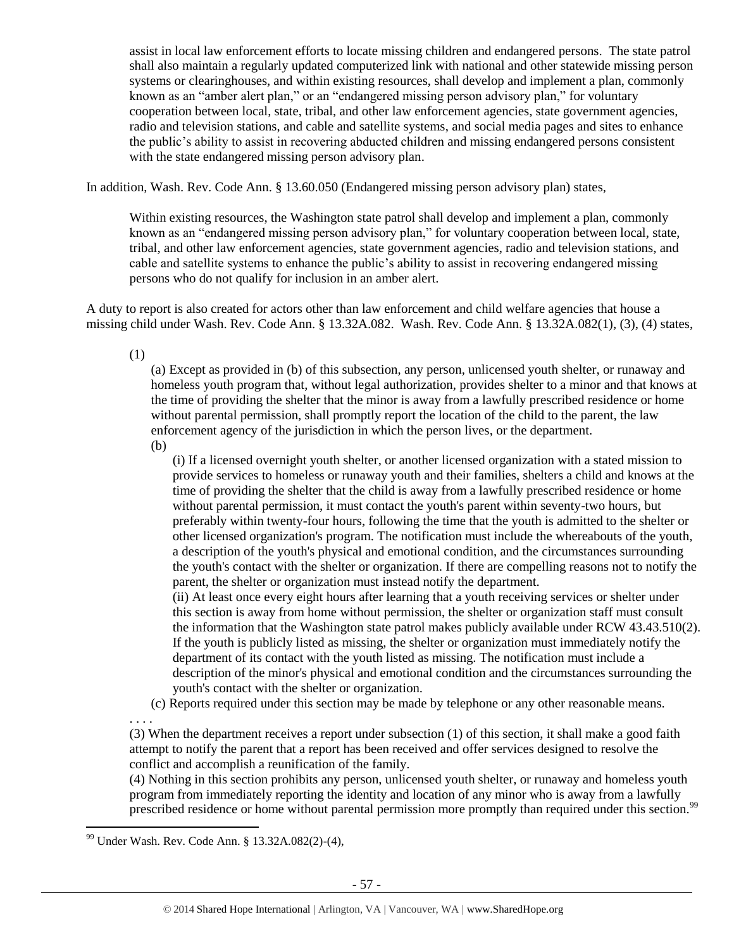assist in local law enforcement efforts to locate missing children and endangered persons. The state patrol shall also maintain a regularly updated computerized link with national and other statewide missing person systems or clearinghouses, and within existing resources, shall develop and implement a plan, commonly known as an "amber alert plan," or an "endangered missing person advisory plan," for voluntary cooperation between local, state, tribal, and other law enforcement agencies, state government agencies, radio and television stations, and cable and satellite systems, and social media pages and sites to enhance the public's ability to assist in recovering abducted children and missing endangered persons consistent with the state endangered missing person advisory plan.

In addition, Wash. Rev. Code Ann. § 13.60.050 (Endangered missing person advisory plan) states,

Within existing resources, the Washington state patrol shall develop and implement a plan, commonly known as an "endangered missing person advisory plan," for voluntary cooperation between local, state, tribal, and other law enforcement agencies, state government agencies, radio and television stations, and cable and satellite systems to enhance the public's ability to assist in recovering endangered missing persons who do not qualify for inclusion in an amber alert.

A duty to report is also created for actors other than law enforcement and child welfare agencies that house a missing child under Wash. Rev. Code Ann. § 13.32A.082. Wash. Rev. Code Ann. § 13.32A.082(1), (3), (4) states,

(1)

(a) Except as provided in (b) of this subsection, any person, unlicensed youth shelter, or runaway and homeless youth program that, without legal authorization, provides shelter to a minor and that knows at the time of providing the shelter that the minor is away from a lawfully prescribed residence or home without parental permission, shall promptly report the location of the child to the parent, the law enforcement agency of the jurisdiction in which the person lives, or the department.

(b)

(i) If a licensed overnight youth shelter, or another licensed organization with a stated mission to provide services to homeless or runaway youth and their families, shelters a child and knows at the time of providing the shelter that the child is away from a lawfully prescribed residence or home without parental permission, it must contact the youth's parent within seventy-two hours, but preferably within twenty-four hours, following the time that the youth is admitted to the shelter or other licensed organization's program. The notification must include the whereabouts of the youth, a description of the youth's physical and emotional condition, and the circumstances surrounding the youth's contact with the shelter or organization. If there are compelling reasons not to notify the parent, the shelter or organization must instead notify the department.

(ii) At least once every eight hours after learning that a youth receiving services or shelter under this section is away from home without permission, the shelter or organization staff must consult the information that the Washington state patrol makes publicly available under RCW 43.43.510(2). If the youth is publicly listed as missing, the shelter or organization must immediately notify the department of its contact with the youth listed as missing. The notification must include a description of the minor's physical and emotional condition and the circumstances surrounding the youth's contact with the shelter or organization.

(c) Reports required under this section may be made by telephone or any other reasonable means.

. . . . (3) When the department receives a report under subsection (1) of this section, it shall make a good faith attempt to notify the parent that a report has been received and offer services designed to resolve the conflict and accomplish a reunification of the family.

(4) Nothing in this section prohibits any person, unlicensed youth shelter, or runaway and homeless youth program from immediately reporting the identity and location of any minor who is away from a lawfully prescribed residence or home without parental permission more promptly than required under this section.<sup>99</sup>

 $\overline{a}$ <sup>99</sup> Under Wash. Rev. Code Ann. § 13.32A.082(2)-(4),